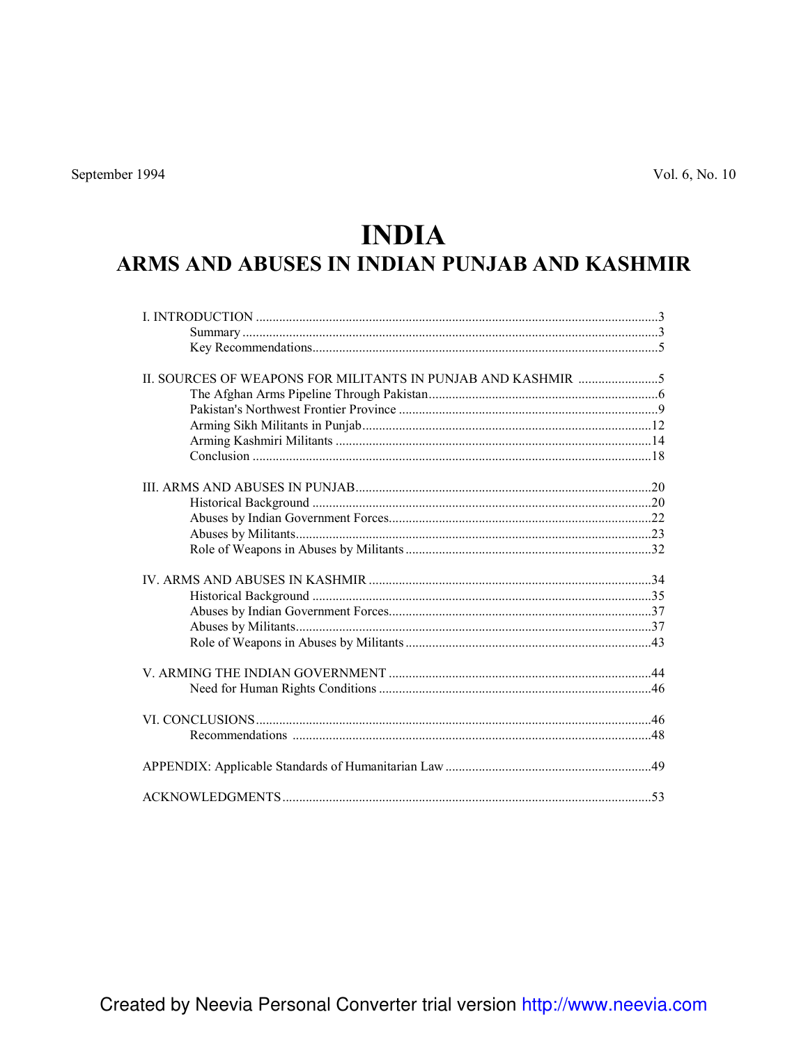# **INDIA**

## ARMS AND ABUSES IN INDIAN PUNJAB AND KASHMIR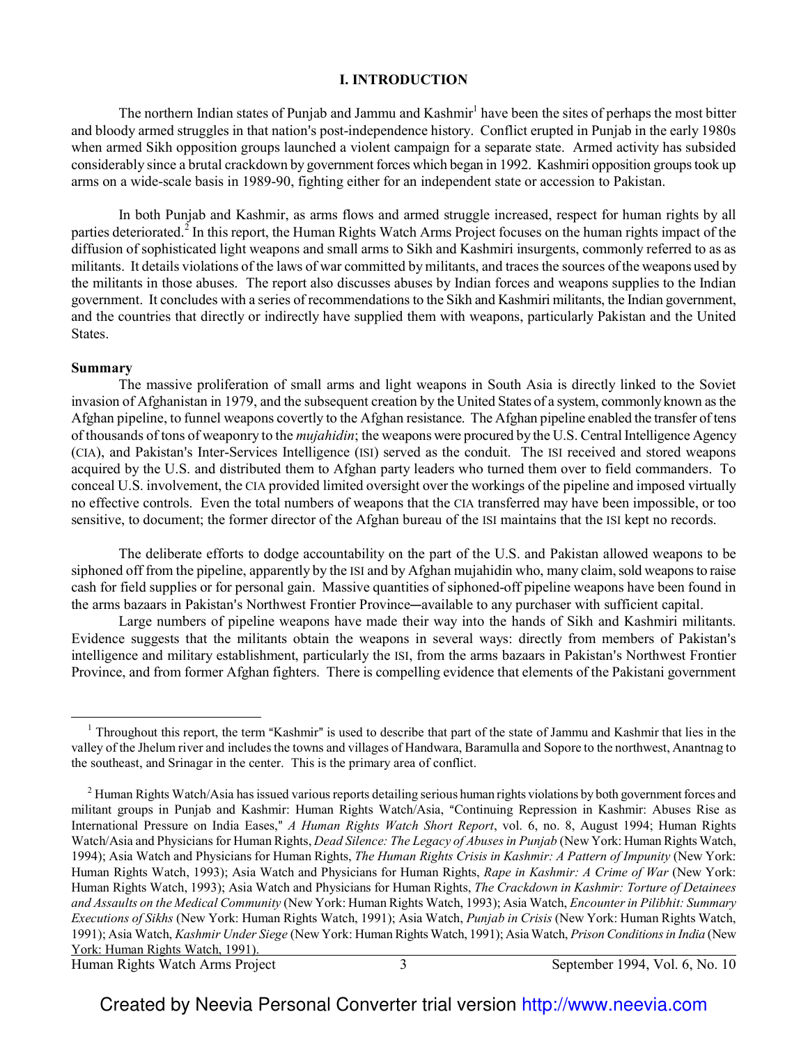#### **I. INTRODUCTION**

The northern Indian states of Punjab and Jammu and Kashmir<sup>1</sup> have been the sites of perhaps the most bitter and bloody armed struggles in that nation's post-independence history. Conflict erupted in Punjab in the early 1980s when armed Sikh opposition groups launched a violent campaign for a separate state. Armed activity has subsided considerably since a brutal crackdown by government forces which began in 1992. Kashmiri opposition groups took up arms on a wide-scale basis in 1989-90, fighting either for an independent state or accession to Pakistan.

In both Punjab and Kashmir, as arms flows and armed struggle increased, respect for human rights by all parties deteriorated.<sup>2</sup> In this report, the Human Rights Watch Arms Project focuses on the human rights impact of the diffusion of sophisticated light weapons and small arms to Sikh and Kashmiri insurgents, commonly referred to as as militants. It details violations of the laws of war committed by militants, and traces the sources of the weapons used by the militants in those abuses. The report also discusses abuses by Indian forces and weapons supplies to the Indian government. It concludes with a series of recommendations to the Sikh and Kashmiri militants, the Indian government, and the countries that directly or indirectly have supplied them with weapons, particularly Pakistan and the United States.

#### **Summary**

 $\overline{\phantom{0}}$ 

The massive proliferation of small arms and light weapons in South Asia is directly linked to the Soviet invasion of Afghanistan in 1979, and the subsequent creation by the United States of a system, commonly known as the Afghan pipeline, to funnel weapons covertly to the Afghan resistance. The Afghan pipeline enabled the transfer of tens of thousands of tons of weaponry to the *mujahidin*; the weapons were procured by the U.S. Central Intelligence Agency (CIA), and Pakistan's Inter-Services Intelligence (ISI) served as the conduit. The ISI received and stored weapons acquired by the U.S. and distributed them to Afghan party leaders who turned them over to field commanders. To conceal U.S. involvement, the CIA provided limited oversight over the workings of the pipeline and imposed virtually no effective controls. Even the total numbers of weapons that the CIA transferred may have been impossible, or too sensitive, to document; the former director of the Afghan bureau of the ISI maintains that the ISI kept no records.

The deliberate efforts to dodge accountability on the part of the U.S. and Pakistan allowed weapons to be siphoned off from the pipeline, apparently by the ISI and by Afghan mujahidin who, many claim, sold weapons to raise cash for field supplies or for personal gain. Massive quantities of siphoned-off pipeline weapons have been found in the arms bazaars in Pakistan's Northwest Frontier Province—available to any purchaser with sufficient capital.

Large numbers of pipeline weapons have made their way into the hands of Sikh and Kashmiri militants. Evidence suggests that the militants obtain the weapons in several ways: directly from members of Pakistan's intelligence and military establishment, particularly the ISI, from the arms bazaars in Pakistan's Northwest Frontier Province, and from former Afghan fighters. There is compelling evidence that elements of the Pakistani government

Human Rights Watch Arms Project 3 September 1994, Vol. 6, No. 10

<sup>&</sup>lt;sup>1</sup> Throughout this report, the term "Kashmir" is used to describe that part of the state of Jammu and Kashmir that lies in the valley of the Jhelum river and includes the towns and villages of Handwara, Baramulla and Sopore to the northwest, Anantnag to the southeast, and Srinagar in the center. This is the primary area of conflict.

 $2$  Human Rights Watch/Asia has issued various reports detailing serious human rights violations by both government forces and militant groups in Punjab and Kashmir: Human Rights Watch/Asia, "Continuing Repression in Kashmir: Abuses Rise as International Pressure on India Eases," *A Human Rights Watch Short Report*, vol. 6, no. 8, August 1994; Human Rights Watch/Asia and Physicians for Human Rights, *Dead Silence: The Legacy of Abuses in Punjab* (New York: Human Rights Watch, 1994); Asia Watch and Physicians for Human Rights, *The Human Rights Crisis in Kashmir: A Pattern of Impunity* (New York: Human Rights Watch, 1993); Asia Watch and Physicians for Human Rights, *Rape in Kashmir: A Crime of War* (New York: Human Rights Watch, 1993); Asia Watch and Physicians for Human Rights, *The Crackdown in Kashmir: Torture of Detainees and Assaults on the Medical Community* (New York: Human Rights Watch, 1993); Asia Watch, *Encounter in Pilibhit: Summary Executions of Sikhs* (New York: Human Rights Watch, 1991); Asia Watch, *Punjab in Crisis* (New York: Human Rights Watch, 1991); Asia Watch, *Kashmir Under Siege* (New York: Human Rights Watch, 1991); Asia Watch, *Prison Conditions in India* (New York: Human Rights Watch, 1991).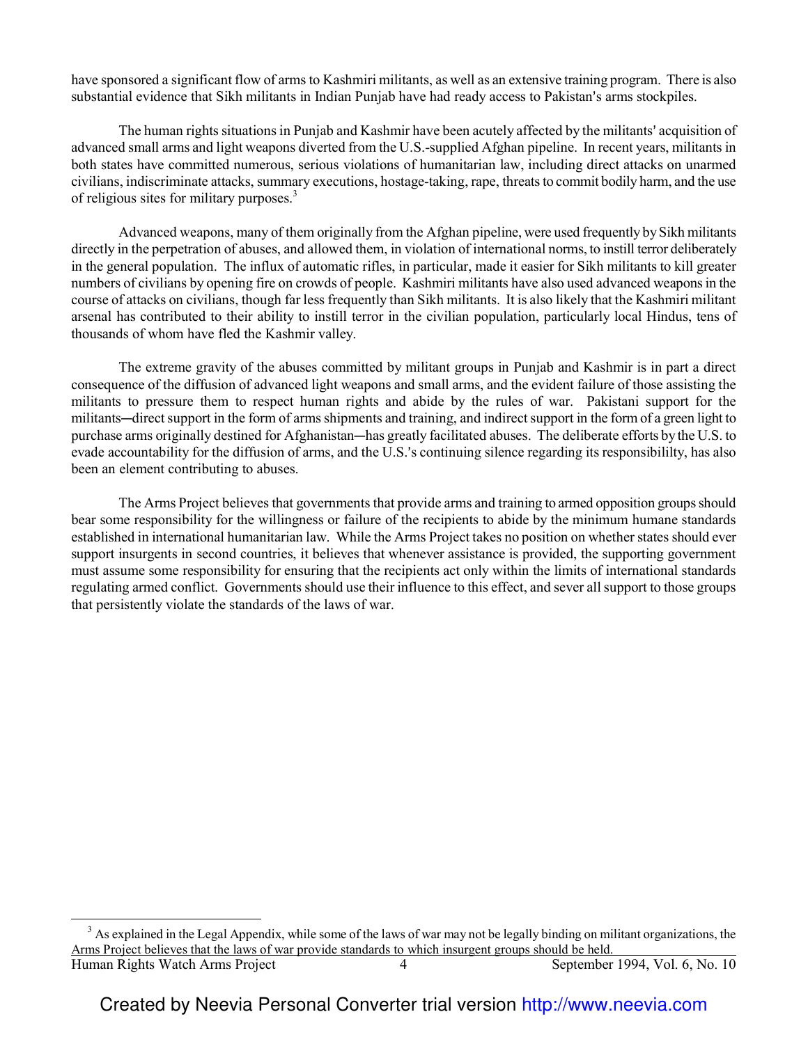have sponsored a significant flow of arms to Kashmiri militants, as well as an extensive training program. There is also substantial evidence that Sikh militants in Indian Punjab have had ready access to Pakistan's arms stockpiles.

The human rights situations in Punjab and Kashmir have been acutely affected by the militants' acquisition of advanced small arms and light weapons diverted from the U.S.-supplied Afghan pipeline. In recent years, militants in both states have committed numerous, serious violations of humanitarian law, including direct attacks on unarmed civilians, indiscriminate attacks, summary executions, hostage-taking, rape, threats to commit bodily harm, and the use of religious sites for military purposes.<sup>3</sup>

Advanced weapons, many of them originally from the Afghan pipeline, were used frequently by Sikh militants directly in the perpetration of abuses, and allowed them, in violation of international norms, to instill terror deliberately in the general population. The influx of automatic rifles, in particular, made it easier for Sikh militants to kill greater numbers of civilians by opening fire on crowds of people. Kashmiri militants have also used advanced weapons in the course of attacks on civilians, though far less frequently than Sikh militants. It is also likely that the Kashmiri militant arsenal has contributed to their ability to instill terror in the civilian population, particularly local Hindus, tens of thousands of whom have fled the Kashmir valley.

The extreme gravity of the abuses committed by militant groups in Punjab and Kashmir is in part a direct consequence of the diffusion of advanced light weapons and small arms, and the evident failure of those assisting the militants to pressure them to respect human rights and abide by the rules of war. Pakistani support for the militants—direct support in the form of arms shipments and training, and indirect support in the form of a green light to purchase arms originally destined for Afghanistan—has greatly facilitated abuses. The deliberate efforts by the U.S. to evade accountability for the diffusion of arms, and the U.S.'s continuing silence regarding its responsibililty, has also been an element contributing to abuses.

The Arms Project believes that governments that provide arms and training to armed opposition groups should bear some responsibility for the willingness or failure of the recipients to abide by the minimum humane standards established in international humanitarian law. While the Arms Project takes no position on whether states should ever support insurgents in second countries, it believes that whenever assistance is provided, the supporting government must assume some responsibility for ensuring that the recipients act only within the limits of international standards regulating armed conflict. Governments should use their influence to this effect, and sever all support to those groups that persistently violate the standards of the laws of war.

 $\overline{\phantom{0}}$ 

Human Rights Watch Arms Project 4 September 1994, Vol. 6, No. 10  $3$  As explained in the Legal Appendix, while some of the laws of war may not be legally binding on militant organizations, the Arms Project believes that the laws of war provide standards to which insurgent groups should be held.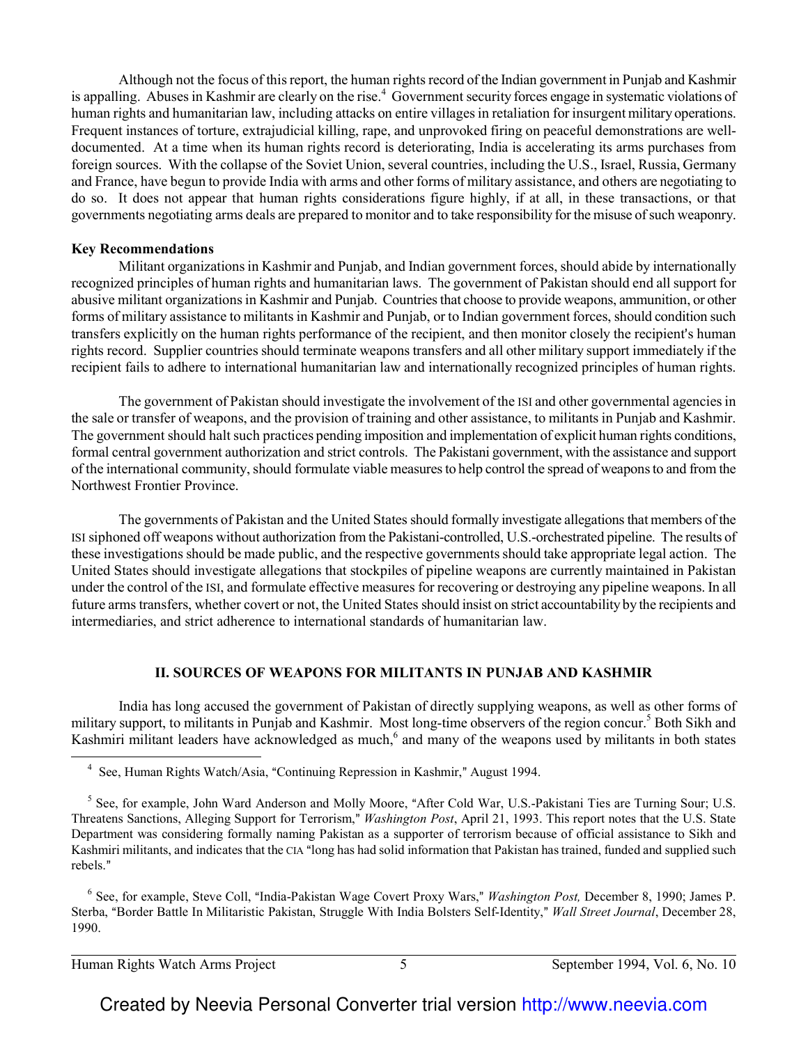Although not the focus of this report, the human rights record of the Indian government in Punjab and Kashmir is appalling. Abuses in Kashmir are clearly on the rise.<sup>4</sup> Government security forces engage in systematic violations of human rights and humanitarian law, including attacks on entire villages in retaliation for insurgent military operations. Frequent instances of torture, extrajudicial killing, rape, and unprovoked firing on peaceful demonstrations are welldocumented. At a time when its human rights record is deteriorating, India is accelerating its arms purchases from foreign sources. With the collapse of the Soviet Union, several countries, including the U.S., Israel, Russia, Germany and France, have begun to provide India with arms and other forms of military assistance, and others are negotiating to do so. It does not appear that human rights considerations figure highly, if at all, in these transactions, or that governments negotiating arms deals are prepared to monitor and to take responsibility for the misuse of such weaponry.

#### **Key Recommendations**

Militant organizations in Kashmir and Punjab, and Indian government forces, should abide by internationally recognized principles of human rights and humanitarian laws. The government of Pakistan should end all support for abusive militant organizations in Kashmir and Punjab. Countries that choose to provide weapons, ammunition, or other forms of military assistance to militants in Kashmir and Punjab, or to Indian government forces, should condition such transfers explicitly on the human rights performance of the recipient, and then monitor closely the recipient's human rights record. Supplier countries should terminate weapons transfers and all other military support immediately if the recipient fails to adhere to international humanitarian law and internationally recognized principles of human rights.

The government of Pakistan should investigate the involvement of the ISI and other governmental agencies in the sale or transfer of weapons, and the provision of training and other assistance, to militants in Punjab and Kashmir. The government should halt such practices pending imposition and implementation of explicit human rights conditions, formal central government authorization and strict controls. The Pakistani government, with the assistance and support of the international community, should formulate viable measures to help control the spread of weapons to and from the Northwest Frontier Province.

The governments of Pakistan and the United States should formally investigate allegations that members of the ISI siphoned off weapons without authorization from the Pakistani-controlled, U.S.-orchestrated pipeline. The results of these investigations should be made public, and the respective governments should take appropriate legal action. The United States should investigate allegations that stockpiles of pipeline weapons are currently maintained in Pakistan under the control of the ISI, and formulate effective measures for recovering or destroying any pipeline weapons. In all future arms transfers, whether covert or not, the United States should insist on strict accountability by the recipients and intermediaries, and strict adherence to international standards of humanitarian law.

#### **II. SOURCES OF WEAPONS FOR MILITANTS IN PUNJAB AND KASHMIR**

India has long accused the government of Pakistan of directly supplying weapons, as well as other forms of military support, to militants in Punjab and Kashmir. Most long-time observers of the region concur.<sup>5</sup> Both Sikh and Kashmiri militant leaders have acknowledged as much,<sup>6</sup> and many of the weapons used by militants in both states  $\overline{\phantom{0}}$ 

<sup>6</sup> See, for example, Steve Coll, "India-Pakistan Wage Covert Proxy Wars," Washington Post, December 8, 1990; James P. Sterba, "Border Battle In Militaristic Pakistan, Struggle With India Bolsters Self-Identity," *Wall Street Journal*, December 28, 1990.

Human Rights Watch Arms Project 5 September 1994, Vol. 6, No. 10

<sup>&</sup>lt;sup>4</sup> See, Human Rights Watch/Asia, "Continuing Repression in Kashmir," August 1994.

<sup>&</sup>lt;sup>5</sup> See, for example, John Ward Anderson and Molly Moore, "After Cold War, U.S.-Pakistani Ties are Turning Sour; U.S. Threatens Sanctions, Alleging Support for Terrorism," Washington Post, April 21, 1993. This report notes that the U.S. State Department was considering formally naming Pakistan as a supporter of terrorism because of official assistance to Sikh and Kashmiri militants, and indicates that the CIA "long has had solid information that Pakistan has trained, funded and supplied such rebels."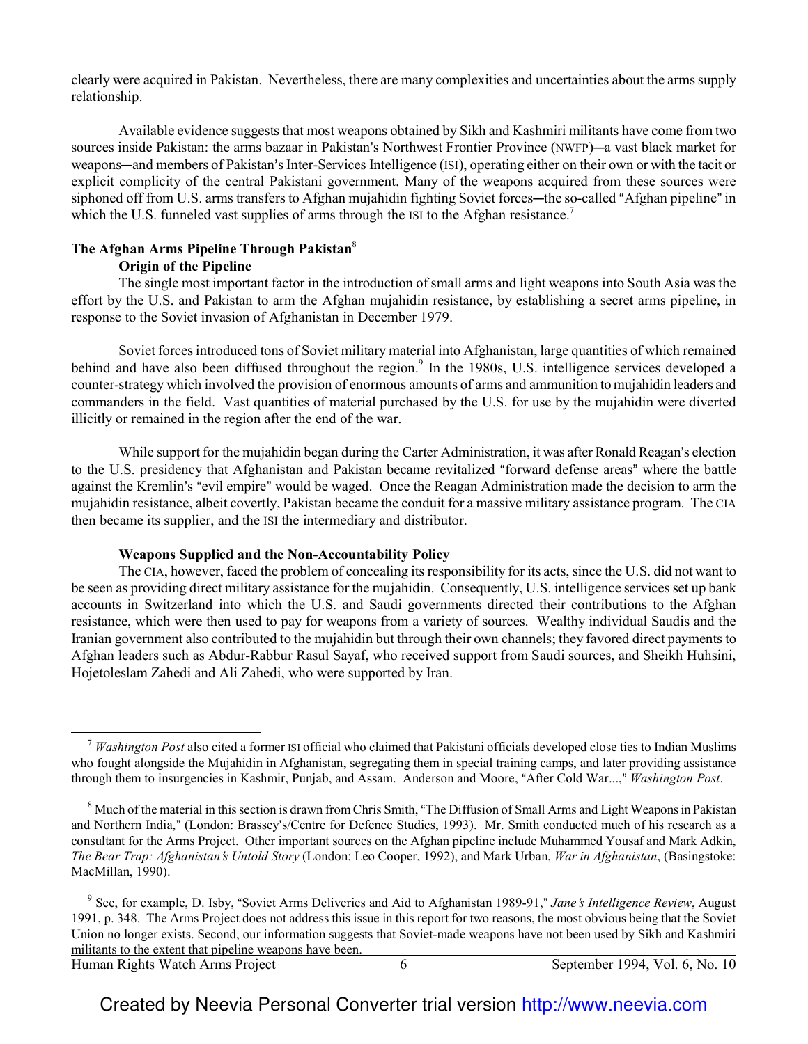clearly were acquired in Pakistan. Nevertheless, there are many complexities and uncertainties about the arms supply relationship.

Available evidence suggests that most weapons obtained by Sikh and Kashmiri militants have come from two sources inside Pakistan: the arms bazaar in Pakistan's Northwest Frontier Province (NWFP)—a vast black market for weapons—and members of Pakistan's Inter-Services Intelligence (ISI), operating either on their own or with the tacit or explicit complicity of the central Pakistani government. Many of the weapons acquired from these sources were siphoned off from U.S. arms transfers to Afghan mujahidin fighting Soviet forces—the so-called "Afghan pipeline" in which the U.S. funneled vast supplies of arms through the ISI to the Afghan resistance.<sup>7</sup>

## **The Afghan Arms Pipeline Through Pakistan**<sup>8</sup>

#### **Origin of the Pipeline**

The single most important factor in the introduction of small arms and light weapons into South Asia was the effort by the U.S. and Pakistan to arm the Afghan mujahidin resistance, by establishing a secret arms pipeline, in response to the Soviet invasion of Afghanistan in December 1979.

Soviet forces introduced tons of Soviet military material into Afghanistan, large quantities of which remained behind and have also been diffused throughout the region.<sup>9</sup> In the 1980s, U.S. intelligence services developed a counter-strategy which involved the provision of enormous amounts of arms and ammunition to mujahidin leaders and commanders in the field. Vast quantities of material purchased by the U.S. for use by the mujahidin were diverted illicitly or remained in the region after the end of the war.

While support for the mujahidin began during the Carter Administration, it was after Ronald Reagan's election to the U.S. presidency that Afghanistan and Pakistan became revitalized "forward defense areas" where the battle against the Kremlin's "evil empire" would be waged. Once the Reagan Administration made the decision to arm the mujahidin resistance, albeit covertly, Pakistan became the conduit for a massive military assistance program. The CIA then became its supplier, and the ISI the intermediary and distributor.

#### **Weapons Supplied and the Non-Accountability Policy**

The CIA, however, faced the problem of concealing its responsibility for its acts, since the U.S. did not want to be seen as providing direct military assistance for the mujahidin. Consequently, U.S. intelligence services set up bank accounts in Switzerland into which the U.S. and Saudi governments directed their contributions to the Afghan resistance, which were then used to pay for weapons from a variety of sources. Wealthy individual Saudis and the Iranian government also contributed to the mujahidin but through their own channels; they favored direct payments to Afghan leaders such as Abdur-Rabbur Rasul Sayaf, who received support from Saudi sources, and Sheikh Huhsini, Hojetoleslam Zahedi and Ali Zahedi, who were supported by Iran.

 $\overline{a}$ 

<sup>7</sup> *Washington Post* also cited a former ISI official who claimed that Pakistani officials developed close ties to Indian Muslims who fought alongside the Mujahidin in Afghanistan, segregating them in special training camps, and later providing assistance through them to insurgencies in Kashmir, Punjab, and Assam. Anderson and Moore, "After Cold War...," *Washington Post.* 

 $8$  Much of the material in this section is drawn from Chris Smith, "The Diffusion of Small Arms and Light Weapons in Pakistan and Northern India," (London: Brassey's/Centre for Defence Studies, 1993). Mr. Smith conducted much of his research as a consultant for the Arms Project. Other important sources on the Afghan pipeline include Muhammed Yousaf and Mark Adkin, *The Bear Trap: Afghanistan*=*s Untold Story* (London: Leo Cooper, 1992), and Mark Urban, *War in Afghanistan*, (Basingstoke: MacMillan, 1990).

<sup>&</sup>lt;sup>9</sup> See, for example, D. Isby, "Soviet Arms Deliveries and Aid to Afghanistan 1989-91," Jane's Intelligence Review, August 1991, p. 348. The Arms Project does not address this issue in this report for two reasons, the most obvious being that the Soviet Union no longer exists. Second, our information suggests that Soviet-made weapons have not been used by Sikh and Kashmiri militants to the extent that pipeline weapons have been.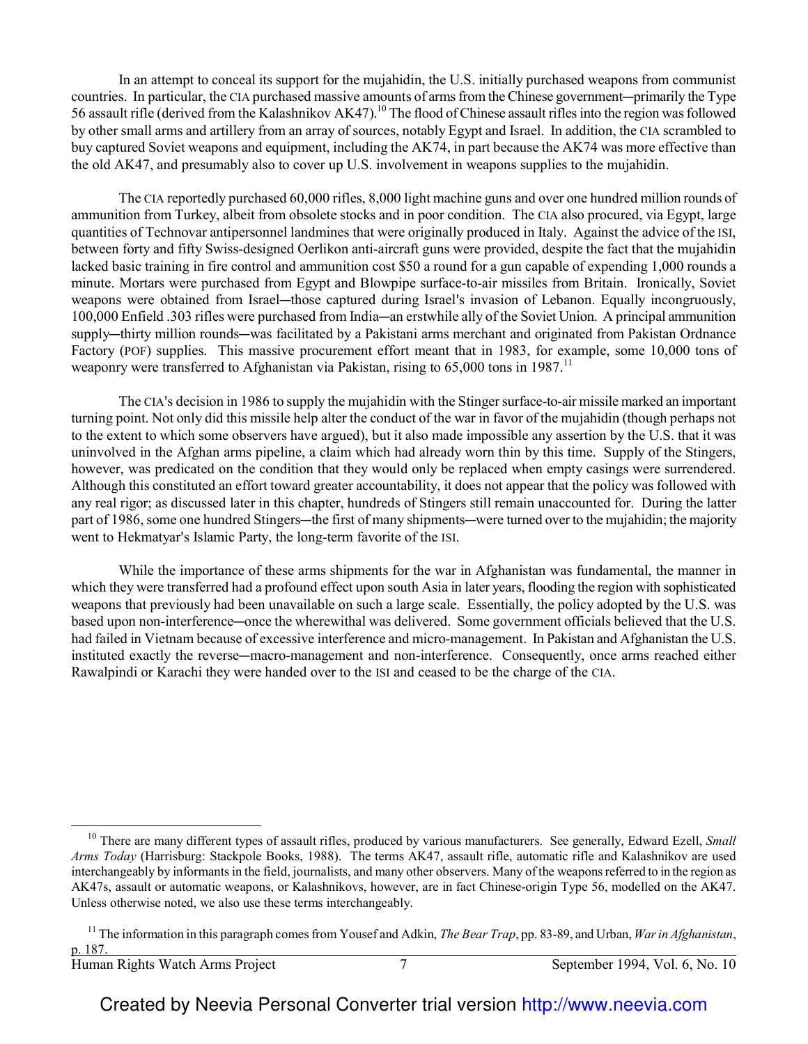In an attempt to conceal its support for the mujahidin, the U.S. initially purchased weapons from communist countries. In particular, the CIA purchased massive amounts of arms from the Chinese government—primarily the Type 56 assault rifle (derived from the Kalashnikov AK47).<sup>10</sup> The flood of Chinese assault rifles into the region was followed by other small arms and artillery from an array of sources, notably Egypt and Israel. In addition, the CIA scrambled to buy captured Soviet weapons and equipment, including the AK74, in part because the AK74 was more effective than the old AK47, and presumably also to cover up U.S. involvement in weapons supplies to the mujahidin.

The CIA reportedly purchased 60,000 rifles, 8,000 light machine guns and over one hundred million rounds of ammunition from Turkey, albeit from obsolete stocks and in poor condition. The CIA also procured, via Egypt, large quantities of Technovar antipersonnel landmines that were originally produced in Italy. Against the advice of the ISI, between forty and fifty Swiss-designed Oerlikon anti-aircraft guns were provided, despite the fact that the mujahidin lacked basic training in fire control and ammunition cost \$50 a round for a gun capable of expending 1,000 rounds a minute. Mortars were purchased from Egypt and Blowpipe surface-to-air missiles from Britain. Ironically, Soviet weapons were obtained from Israel-those captured during Israel's invasion of Lebanon. Equally incongruously, 100,000 Enfield .303 rifles were purchased from India—an erstwhile ally of the Soviet Union. A principal ammunition supply—thirty million rounds—was facilitated by a Pakistani arms merchant and originated from Pakistan Ordnance Factory (POF) supplies. This massive procurement effort meant that in 1983, for example, some 10,000 tons of weaponry were transferred to Afghanistan via Pakistan, rising to 65,000 tons in 1987.<sup>11</sup>

The CIA's decision in 1986 to supply the mujahidin with the Stinger surface-to-air missile marked an important turning point. Not only did this missile help alter the conduct of the war in favor of the mujahidin (though perhaps not to the extent to which some observers have argued), but it also made impossible any assertion by the U.S. that it was uninvolved in the Afghan arms pipeline, a claim which had already worn thin by this time. Supply of the Stingers, however, was predicated on the condition that they would only be replaced when empty casings were surrendered. Although this constituted an effort toward greater accountability, it does not appear that the policy was followed with any real rigor; as discussed later in this chapter, hundreds of Stingers still remain unaccounted for. During the latter part of 1986, some one hundred Stingers—the first of many shipments—were turned over to the mujahidin; the majority went to Hekmatyar's Islamic Party, the long-term favorite of the ISI.

While the importance of these arms shipments for the war in Afghanistan was fundamental, the manner in which they were transferred had a profound effect upon south Asia in later years, flooding the region with sophisticated weapons that previously had been unavailable on such a large scale. Essentially, the policy adopted by the U.S. was based upon non-interference—once the wherewithal was delivered. Some government officials believed that the U.S. had failed in Vietnam because of excessive interference and micro-management. In Pakistan and Afghanistan the U.S. instituted exactly the reverse—macro-management and non-interference. Consequently, once arms reached either Rawalpindi or Karachi they were handed over to the ISI and ceased to be the charge of the CIA.

Framan Rights Watch Arms Project 7 September 1994, Vol. 6, No. 10

 $\overline{a}$ 

<sup>&</sup>lt;sup>10</sup> There are many different types of assault rifles, produced by various manufacturers. See generally, Edward Ezell, *Small Arms Today* (Harrisburg: Stackpole Books, 1988). The terms AK47, assault rifle, automatic rifle and Kalashnikov are used interchangeably by informants in the field, journalists, and many other observers. Many of the weapons referred to in the region as AK47s, assault or automatic weapons, or Kalashnikovs, however, are in fact Chinese-origin Type 56, modelled on the AK47. Unless otherwise noted, we also use these terms interchangeably.

<sup>11</sup> The information in this paragraph comes from Yousef and Adkin, *The Bear Trap*, pp. 83-89, and Urban, *War in Afghanistan*, p. 187.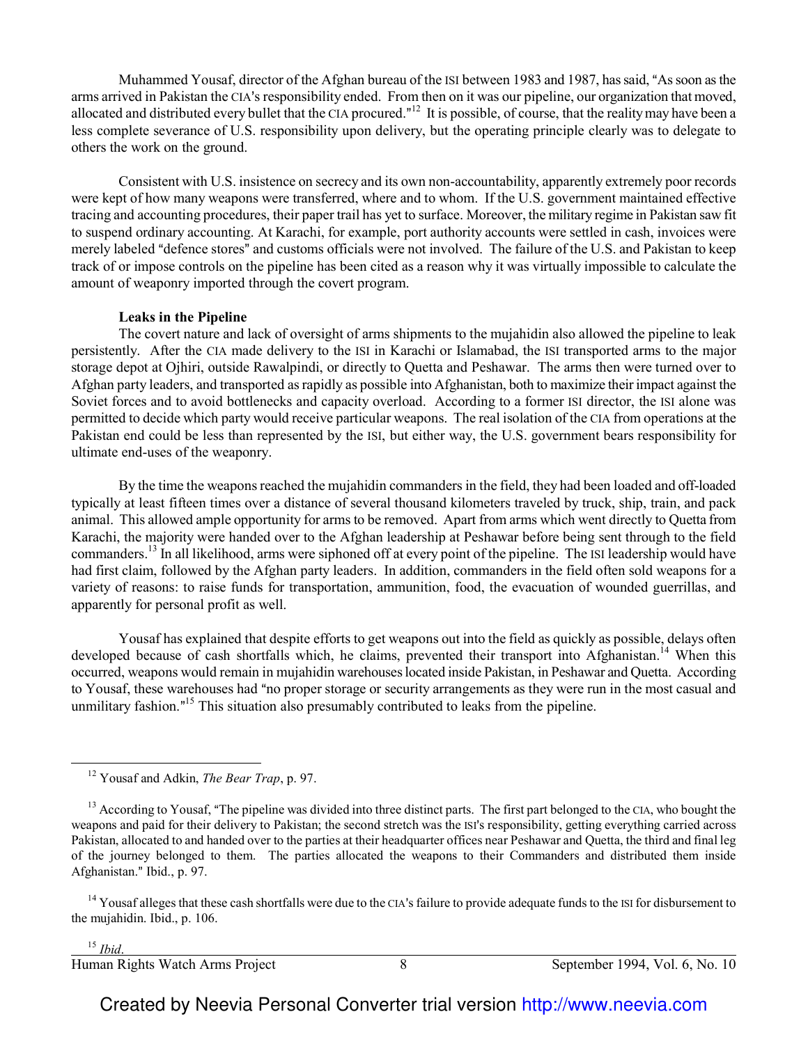Muhammed Yousaf, director of the Afghan bureau of the ISI between 1983 and 1987, has said, "As soon as the arms arrived in Pakistan the CIA's responsibility ended. From then on it was our pipeline, our organization that moved, allocated and distributed every bullet that the CIA procured."<sup>12</sup> It is possible, of course, that the reality may have been a less complete severance of U.S. responsibility upon delivery, but the operating principle clearly was to delegate to others the work on the ground.

Consistent with U.S. insistence on secrecy and its own non-accountability, apparently extremely poor records were kept of how many weapons were transferred, where and to whom. If the U.S. government maintained effective tracing and accounting procedures, their paper trail has yet to surface. Moreover, the military regime in Pakistan saw fit to suspend ordinary accounting. At Karachi, for example, port authority accounts were settled in cash, invoices were merely labeled "defence stores" and customs officials were not involved. The failure of the U.S. and Pakistan to keep track of or impose controls on the pipeline has been cited as a reason why it was virtually impossible to calculate the amount of weaponry imported through the covert program.

#### **Leaks in the Pipeline**

The covert nature and lack of oversight of arms shipments to the mujahidin also allowed the pipeline to leak persistently. After the CIA made delivery to the ISI in Karachi or Islamabad, the ISI transported arms to the major storage depot at Ojhiri, outside Rawalpindi, or directly to Quetta and Peshawar. The arms then were turned over to Afghan party leaders, and transported as rapidly as possible into Afghanistan, both to maximize their impact against the Soviet forces and to avoid bottlenecks and capacity overload. According to a former ISI director, the ISI alone was permitted to decide which party would receive particular weapons. The real isolation of the CIA from operations at the Pakistan end could be less than represented by the ISI, but either way, the U.S. government bears responsibility for ultimate end-uses of the weaponry.

By the time the weapons reached the mujahidin commanders in the field, they had been loaded and off-loaded typically at least fifteen times over a distance of several thousand kilometers traveled by truck, ship, train, and pack animal. This allowed ample opportunity for arms to be removed. Apart from arms which went directly to Quetta from Karachi, the majority were handed over to the Afghan leadership at Peshawar before being sent through to the field commanders.<sup>13</sup> In all likelihood, arms were siphoned off at every point of the pipeline. The ISI leadership would have had first claim, followed by the Afghan party leaders. In addition, commanders in the field often sold weapons for a variety of reasons: to raise funds for transportation, ammunition, food, the evacuation of wounded guerrillas, and apparently for personal profit as well.

Yousaf has explained that despite efforts to get weapons out into the field as quickly as possible, delays often developed because of cash shortfalls which, he claims, prevented their transport into Afghanistan.<sup>14</sup> When this occurred, weapons would remain in mujahidin warehouses located inside Pakistan, in Peshawar and Quetta. According to Yousaf, these warehouses had "no proper storage or security arrangements as they were run in the most casual and unmilitary fashion."<sup>15</sup> This situation also presumably contributed to leaks from the pipeline.

<sup>14</sup> Yousaf alleges that these cash shortfalls were due to the CIA's failure to provide adequate funds to the ISI for disbursement to the mujahidin. Ibid., p. 106.

<sup>15</sup> *Ibid*.

 $\overline{\phantom{0}}$ 

<sup>12</sup> Yousaf and Adkin, *The Bear Trap*, p. 97.

<sup>&</sup>lt;sup>13</sup> According to Yousaf, "The pipeline was divided into three distinct parts. The first part belonged to the CIA, who bought the weapons and paid for their delivery to Pakistan; the second stretch was the ISI's responsibility, getting everything carried across Pakistan, allocated to and handed over to the parties at their headquarter offices near Peshawar and Quetta, the third and final leg of the journey belonged to them. The parties allocated the weapons to their Commanders and distributed them inside Afghanistan." Ibid., p. 97.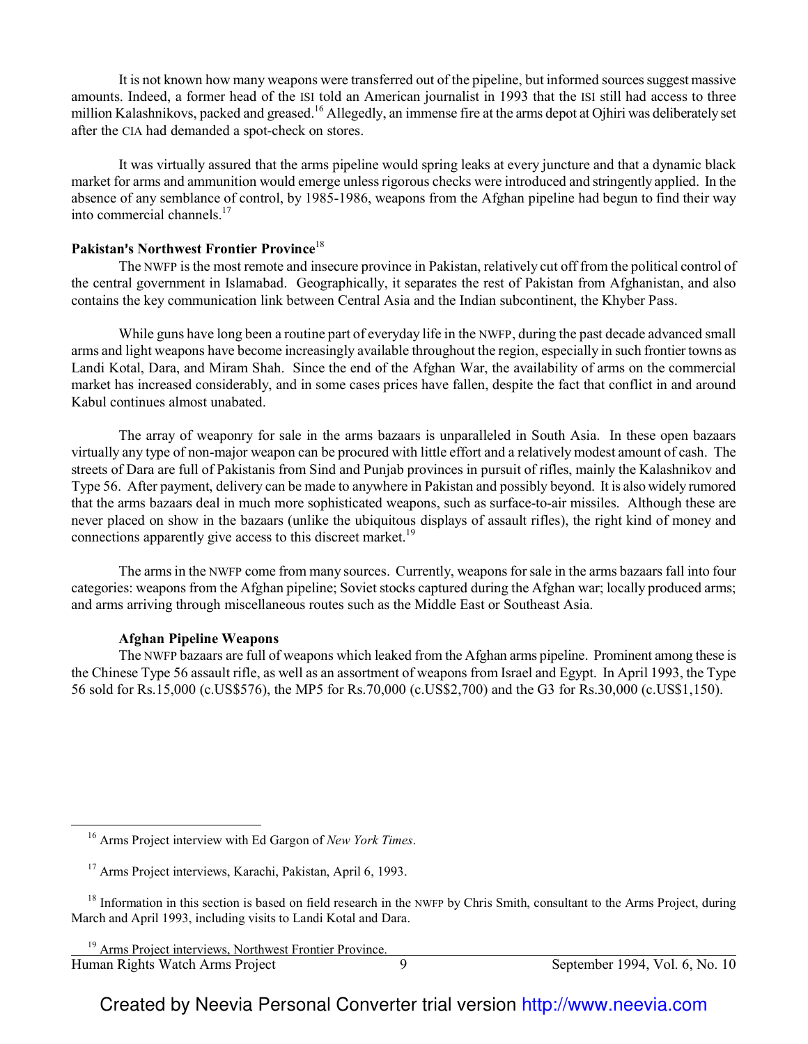It is not known how many weapons were transferred out of the pipeline, but informed sources suggest massive amounts. Indeed, a former head of the ISI told an American journalist in 1993 that the ISI still had access to three million Kalashnikovs, packed and greased.<sup>16</sup> Allegedly, an immense fire at the arms depot at Ojhiri was deliberately set after the CIA had demanded a spot-check on stores.

It was virtually assured that the arms pipeline would spring leaks at every juncture and that a dynamic black market for arms and ammunition would emerge unless rigorous checks were introduced and stringently applied. In the absence of any semblance of control, by 1985-1986, weapons from the Afghan pipeline had begun to find their way into commercial channels. $17$ 

#### **Pakistan**=**s Northwest Frontier Province**<sup>18</sup>

The NWFP is the most remote and insecure province in Pakistan, relatively cut off from the political control of the central government in Islamabad. Geographically, it separates the rest of Pakistan from Afghanistan, and also contains the key communication link between Central Asia and the Indian subcontinent, the Khyber Pass.

While guns have long been a routine part of everyday life in the NWFP, during the past decade advanced small arms and light weapons have become increasingly available throughout the region, especially in such frontier towns as Landi Kotal, Dara, and Miram Shah. Since the end of the Afghan War, the availability of arms on the commercial market has increased considerably, and in some cases prices have fallen, despite the fact that conflict in and around Kabul continues almost unabated.

The array of weaponry for sale in the arms bazaars is unparalleled in South Asia. In these open bazaars virtually any type of non-major weapon can be procured with little effort and a relatively modest amount of cash. The streets of Dara are full of Pakistanis from Sind and Punjab provinces in pursuit of rifles, mainly the Kalashnikov and Type 56. After payment, delivery can be made to anywhere in Pakistan and possibly beyond. It is also widely rumored that the arms bazaars deal in much more sophisticated weapons, such as surface-to-air missiles. Although these are never placed on show in the bazaars (unlike the ubiquitous displays of assault rifles), the right kind of money and connections apparently give access to this discreet market.<sup>19</sup>

The arms in the NWFP come from many sources. Currently, weapons for sale in the arms bazaars fall into four categories: weapons from the Afghan pipeline; Soviet stocks captured during the Afghan war; locally produced arms; and arms arriving through miscellaneous routes such as the Middle East or Southeast Asia.

## **Afghan Pipeline Weapons**

 $\overline{\phantom{0}}$ 

The NWFP bazaars are full of weapons which leaked from the Afghan arms pipeline. Prominent among these is the Chinese Type 56 assault rifle, as well as an assortment of weapons from Israel and Egypt. In April 1993, the Type 56 sold for Rs.15,000 (c.US\$576), the MP5 for Rs.70,000 (c.US\$2,700) and the G3 for Rs.30,000 (c.US\$1,150).

<sup>16</sup> Arms Project interview with Ed Gargon of *New York Times*.

<sup>17</sup> Arms Project interviews, Karachi, Pakistan, April 6, 1993.

<sup>&</sup>lt;sup>18</sup> Information in this section is based on field research in the NWFP by Chris Smith, consultant to the Arms Project, during March and April 1993, including visits to Landi Kotal and Dara.

Human Rights Watch Arms Project 9 9 September 1994, Vol. 6, No. 10 <sup>19</sup> Arms Project interviews, Northwest Frontier Province.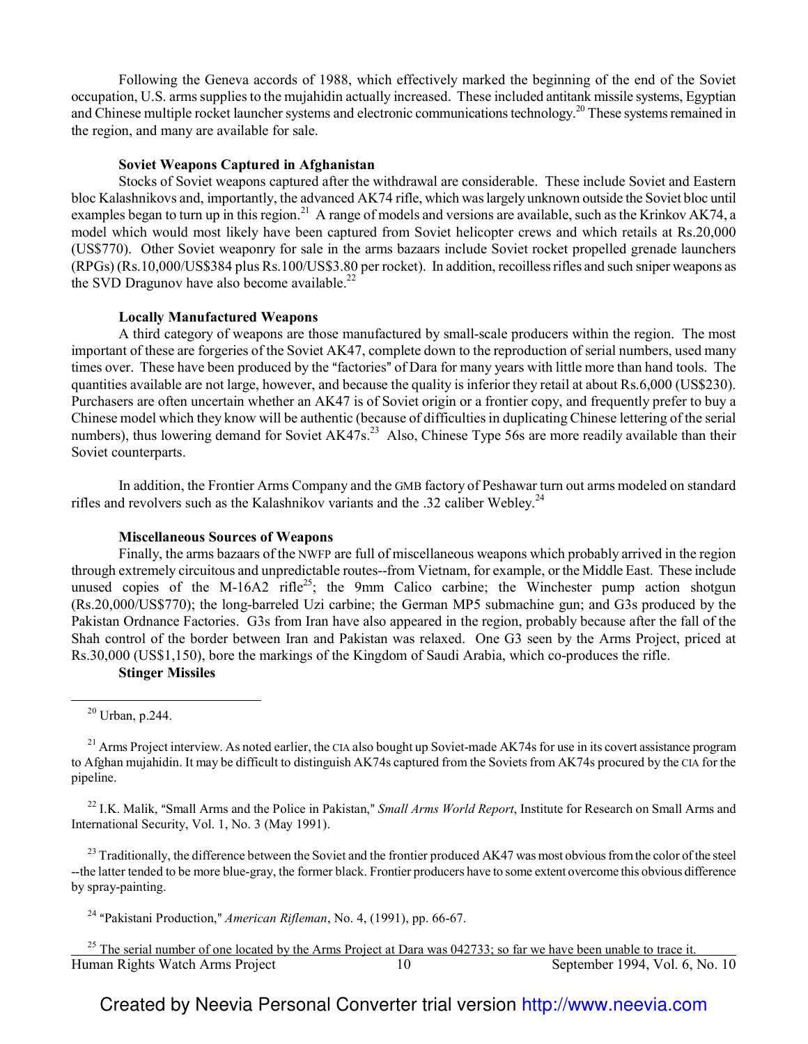Following the Geneva accords of 1988, which effectively marked the beginning of the end of the Soviet occupation, U.S. arms supplies to the mujahidin actually increased. These included antitank missile systems, Egyptian and Chinese multiple rocket launcher systems and electronic communications technology.<sup>20</sup> These systems remained in the region, and many are available for sale.

#### **Soviet Weapons Captured in Afghanistan**

Stocks of Soviet weapons captured after the withdrawal are considerable. These include Soviet and Eastern bloc Kalashnikovs and, importantly, the advanced AK74 rifle, which was largely unknown outside the Soviet bloc until examples began to turn up in this region.<sup>21</sup> A range of models and versions are available, such as the Krinkov AK74, a model which would most likely have been captured from Soviet helicopter crews and which retails at Rs.20,000 (US\$770). Other Soviet weaponry for sale in the arms bazaars include Soviet rocket propelled grenade launchers (RPGs) (Rs.10,000/US\$384 plus Rs.100/US\$3.80 per rocket). In addition, recoilless rifles and such sniper weapons as the SVD Dragunov have also become available. $^{22}$ 

#### **Locally Manufactured Weapons**

A third category of weapons are those manufactured by small-scale producers within the region. The most important of these are forgeries of the Soviet AK47, complete down to the reproduction of serial numbers, used many times over. These have been produced by the "factories" of Dara for many years with little more than hand tools. The quantities available are not large, however, and because the quality is inferior they retail at about Rs.6,000 (US\$230). Purchasers are often uncertain whether an AK47 is of Soviet origin or a frontier copy, and frequently prefer to buy a Chinese model which they know will be authentic (because of difficulties in duplicating Chinese lettering of the serial numbers), thus lowering demand for Soviet AK47s.<sup>23</sup> Also, Chinese Type 56s are more readily available than their Soviet counterparts.

In addition, the Frontier Arms Company and the GMB factory of Peshawar turn out arms modeled on standard rifles and revolvers such as the Kalashnikov variants and the .32 caliber Webley.<sup>24</sup>

#### **Miscellaneous Sources of Weapons**

Finally, the arms bazaars of the NWFP are full of miscellaneous weapons which probably arrived in the region through extremely circuitous and unpredictable routes--from Vietnam, for example, or the Middle East. These include unused copies of the M-16A2 rifle<sup>25</sup>; the 9mm Calico carbine; the Winchester pump action shotgun (Rs.20,000/US\$770); the long-barreled Uzi carbine; the German MP5 submachine gun; and G3s produced by the Pakistan Ordnance Factories. G3s from Iran have also appeared in the region, probably because after the fall of the Shah control of the border between Iran and Pakistan was relaxed. One G3 seen by the Arms Project, priced at Rs.30,000 (US\$1,150), bore the markings of the Kingdom of Saudi Arabia, which co-produces the rifle.

#### **Stinger Missiles**

 $\overline{\phantom{0}}$ 

<sup>22</sup> I.K. Malik, "Small Arms and the Police in Pakistan," *Small Arms World Report*, Institute for Research on Small Arms and International Security, Vol. 1, No. 3 (May 1991).

<sup>23</sup> Traditionally, the difference between the Soviet and the frontier produced AK47 was most obvious from the color of the steel --the latter tended to be more blue-gray, the former black. Frontier producers have to some extent overcome this obvious difference by spray-painting.

<sup>24</sup> "Pakistani Production," *American Rifleman*, No. 4, (1991), pp. 66-67.

Human Rights Watch Arms Project 10 September 1994, Vol. 6, No. 10 l <sup>25</sup> The serial number of one located by the Arms Project at Dara was 042733; so far we have been unable to trace it.

 $20$  Urban, p.244.

<sup>&</sup>lt;sup>21</sup> Arms Project interview. As noted earlier, the CIA also bought up Soviet-made AK74s for use in its covert assistance program to Afghan mujahidin. It may be difficult to distinguish AK74s captured from the Soviets from AK74s procured by the CIA for the pipeline.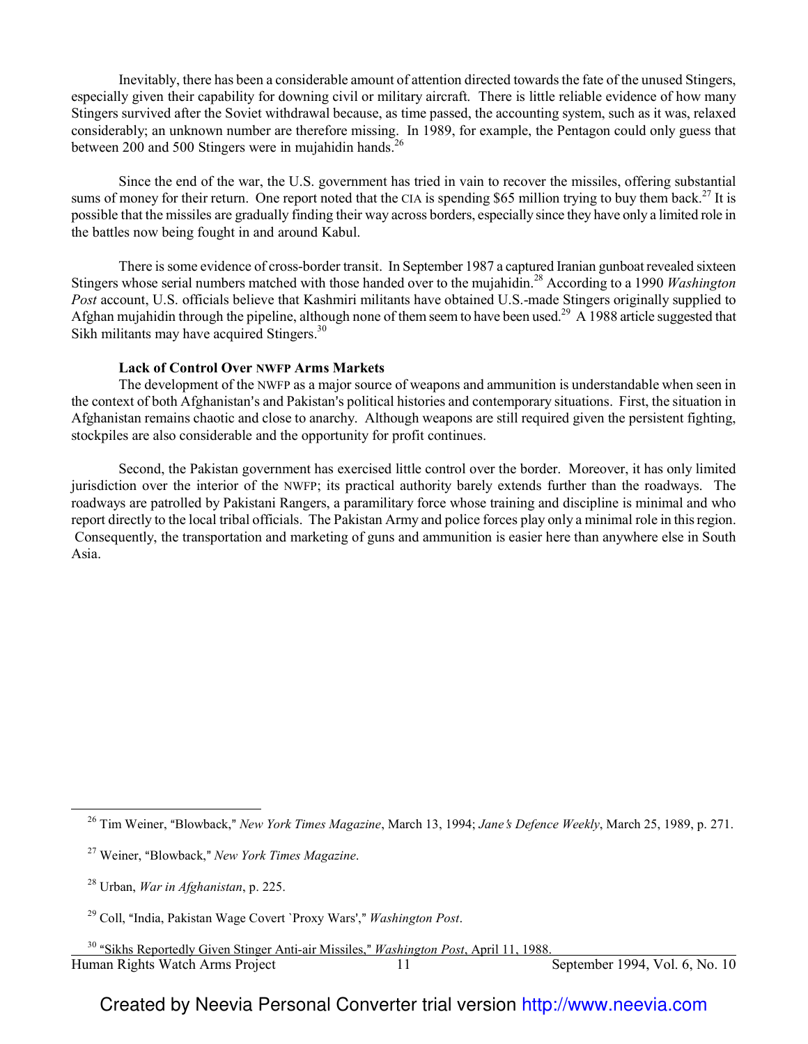Inevitably, there has been a considerable amount of attention directed towards the fate of the unused Stingers, especially given their capability for downing civil or military aircraft. There is little reliable evidence of how many Stingers survived after the Soviet withdrawal because, as time passed, the accounting system, such as it was, relaxed considerably; an unknown number are therefore missing. In 1989, for example, the Pentagon could only guess that between 200 and 500 Stingers were in mujahidin hands.<sup>26</sup>

 Since the end of the war, the U.S. government has tried in vain to recover the missiles, offering substantial sums of money for their return. One report noted that the CIA is spending \$65 million trying to buy them back.<sup>27</sup> It is possible that the missiles are gradually finding their way across borders, especially since they have only a limited role in the battles now being fought in and around Kabul.

There is some evidence of cross-border transit. In September 1987 a captured Iranian gunboat revealed sixteen Stingers whose serial numbers matched with those handed over to the mujahidin.<sup>28</sup> According to a 1990 *Washington Post* account, U.S. officials believe that Kashmiri militants have obtained U.S.-made Stingers originally supplied to Afghan mujahidin through the pipeline, although none of them seem to have been used.<sup>29</sup> A 1988 article suggested that Sikh militants may have acquired Stingers.<sup>30</sup>

#### **Lack of Control Over NWFP Arms Markets**

The development of the NWFP as a major source of weapons and ammunition is understandable when seen in the context of both Afghanistan's and Pakistan's political histories and contemporary situations. First, the situation in Afghanistan remains chaotic and close to anarchy. Although weapons are still required given the persistent fighting, stockpiles are also considerable and the opportunity for profit continues.

Second, the Pakistan government has exercised little control over the border. Moreover, it has only limited jurisdiction over the interior of the NWFP; its practical authority barely extends further than the roadways. The roadways are patrolled by Pakistani Rangers, a paramilitary force whose training and discipline is minimal and who report directly to the local tribal officials. The Pakistan Army and police forces play only a minimal role in this region. Consequently, the transportation and marketing of guns and ammunition is easier here than anywhere else in South Asia.

 $\overline{\phantom{0}}$ 

<sup>&</sup>lt;sup>26</sup> Tim Weiner, "Blowback," *New York Times Magazine*, March 13, 1994; *Jane's Defence Weekly*, March 25, 1989, p. 271.

<sup>&</sup>lt;sup>27</sup> Weiner, "Blowback," New York Times Magazine.

<sup>28</sup> Urban, *War in Afghanistan*, p. 225.

<sup>&</sup>lt;sup>29</sup> Coll, "India, Pakistan Wage Covert `Proxy Wars'," *Washington Post.* 

Human Rights Watch Arms Project 11 September 1994, Vol. 6, No. 10 l <sup>30</sup> "Sikhs Reportedly Given Stinger Anti-air Missiles," *Washington Post*, April 11, 1988.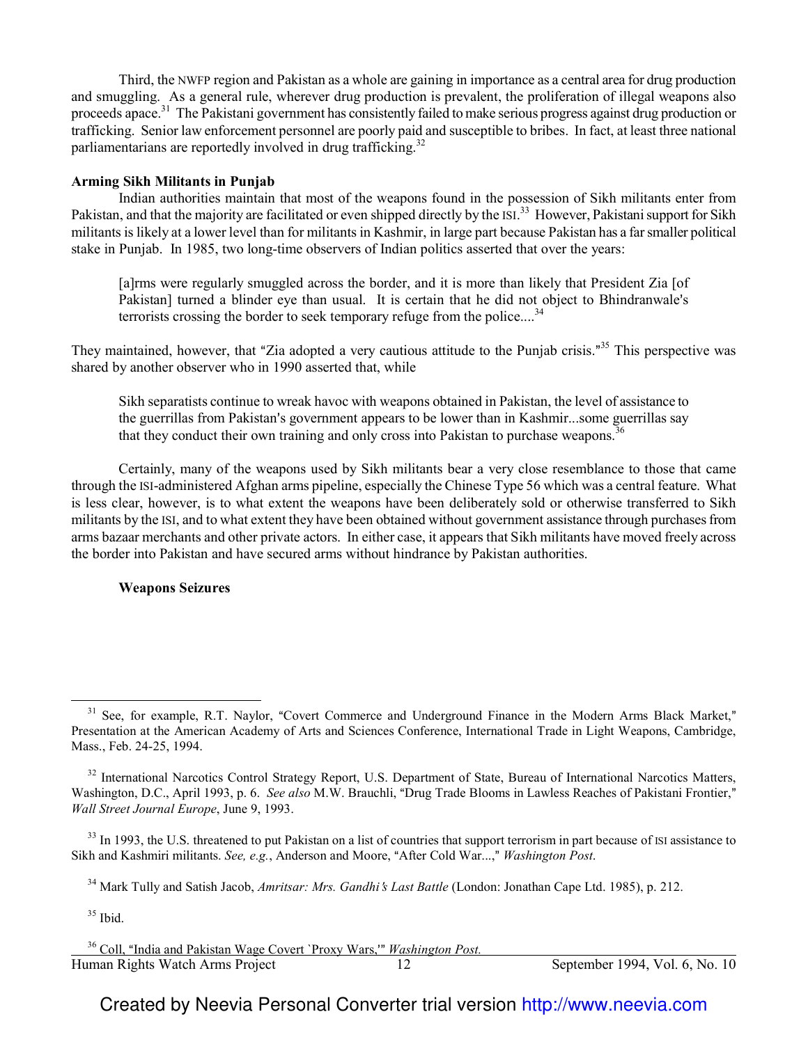Third, the NWFP region and Pakistan as a whole are gaining in importance as a central area for drug production and smuggling. As a general rule, wherever drug production is prevalent, the proliferation of illegal weapons also proceeds apace.<sup>31</sup> The Pakistani government has consistently failed to make serious progress against drug production or trafficking. Senior law enforcement personnel are poorly paid and susceptible to bribes. In fact, at least three national parliamentarians are reportedly involved in drug trafficking.<sup>32</sup>

#### **Arming Sikh Militants in Punjab**

Indian authorities maintain that most of the weapons found in the possession of Sikh militants enter from Pakistan, and that the majority are facilitated or even shipped directly by the ISI.<sup>33</sup> However, Pakistani support for Sikh militants is likely at a lower level than for militants in Kashmir, in large part because Pakistan has a far smaller political stake in Punjab. In 1985, two long-time observers of Indian politics asserted that over the years:

[a]rms were regularly smuggled across the border, and it is more than likely that President Zia [of Pakistan] turned a blinder eye than usual. It is certain that he did not object to Bhindranwale's terrorists crossing the border to seek temporary refuge from the police....<sup>34</sup>

They maintained, however, that "Zia adopted a very cautious attitude to the Punjab crisis."<sup>35</sup> This perspective was shared by another observer who in 1990 asserted that, while

Sikh separatists continue to wreak havoc with weapons obtained in Pakistan, the level of assistance to the guerrillas from Pakistan's government appears to be lower than in Kashmir...some guerrillas say that they conduct their own training and only cross into Pakistan to purchase weapons.<sup>3</sup>

Certainly, many of the weapons used by Sikh militants bear a very close resemblance to those that came through the ISI-administered Afghan arms pipeline, especially the Chinese Type 56 which was a central feature. What is less clear, however, is to what extent the weapons have been deliberately sold or otherwise transferred to Sikh militants by the ISI, and to what extent they have been obtained without government assistance through purchases from arms bazaar merchants and other private actors. In either case, it appears that Sikh militants have moved freely across the border into Pakistan and have secured arms without hindrance by Pakistan authorities.

#### **Weapons Seizures**

 $\overline{\phantom{0}}$ 

Human Rights Watch Arms Project 12 September 1994, Vol. 6, No. 10 Human Rights Watch Arms Project <sup>36</sup> Coll, "India and Pakistan Wage Covert `Proxy Wars,'" *Washington Post.* 

<sup>&</sup>lt;sup>31</sup> See, for example, R.T. Naylor, "Covert Commerce and Underground Finance in the Modern Arms Black Market," Presentation at the American Academy of Arts and Sciences Conference, International Trade in Light Weapons, Cambridge, Mass., Feb. 24-25, 1994.

<sup>&</sup>lt;sup>32</sup> International Narcotics Control Strategy Report, U.S. Department of State, Bureau of International Narcotics Matters, Washington, D.C., April 1993, p. 6. *See also* M.W. Brauchli, "Drug Trade Blooms in Lawless Reaches of Pakistani Frontier," *Wall Street Journal Europe*, June 9, 1993.

<sup>&</sup>lt;sup>33</sup> In 1993, the U.S. threatened to put Pakistan on a list of countries that support terrorism in part because of ISI assistance to Sikh and Kashmiri militants. *See, e.g.*, Anderson and Moore, "After Cold War...," *Washington Post.* 

<sup>&</sup>lt;sup>34</sup> Mark Tully and Satish Jacob, *Amritsar: Mrs. Gandhi's Last Battle* (London: Jonathan Cape Ltd. 1985), p. 212.

 $35$  Ibid.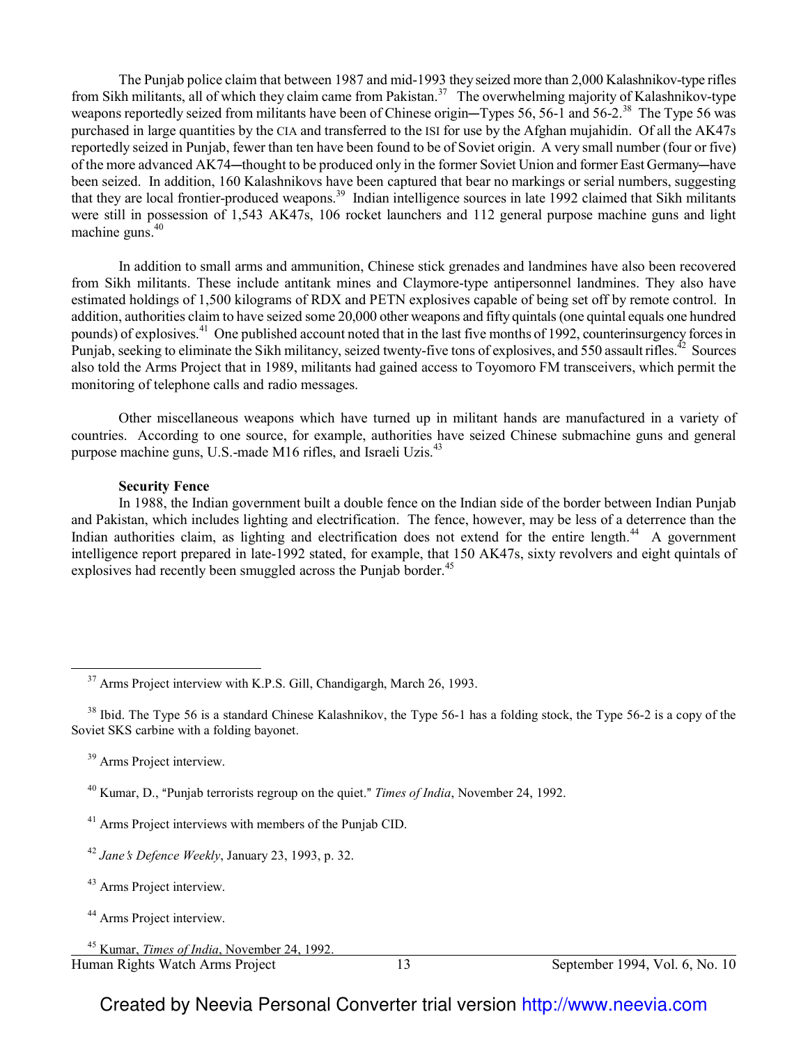The Punjab police claim that between 1987 and mid-1993 they seized more than 2,000 Kalashnikov-type rifles from Sikh militants, all of which they claim came from Pakistan.<sup>37</sup> The overwhelming majority of Kalashnikov-type weapons reportedly seized from militants have been of Chinese origin—Types 56, 56-1 and 56-2.<sup>38</sup> The Type 56 was purchased in large quantities by the CIA and transferred to the ISI for use by the Afghan mujahidin. Of all the AK47s reportedly seized in Punjab, fewer than ten have been found to be of Soviet origin. A very small number (four or five) of the more advanced AK74—thought to be produced only in the former Soviet Union and former East Germany—have been seized. In addition, 160 Kalashnikovs have been captured that bear no markings or serial numbers, suggesting that they are local frontier-produced weapons.<sup>39</sup> Indian intelligence sources in late 1992 claimed that Sikh militants were still in possession of 1,543 AK47s, 106 rocket launchers and 112 general purpose machine guns and light machine guns.<sup>40</sup>

In addition to small arms and ammunition, Chinese stick grenades and landmines have also been recovered from Sikh militants. These include antitank mines and Claymore-type antipersonnel landmines. They also have estimated holdings of 1,500 kilograms of RDX and PETN explosives capable of being set off by remote control. In addition, authorities claim to have seized some 20,000 other weapons and fifty quintals (one quintal equals one hundred pounds) of explosives.<sup>41</sup> One published account noted that in the last five months of 1992, counterinsurgency forces in Punjab, seeking to eliminate the Sikh militancy, seized twenty-five tons of explosives, and 550 assault rifles.<sup> $42$ </sup> Sources also told the Arms Project that in 1989, militants had gained access to Toyomoro FM transceivers, which permit the monitoring of telephone calls and radio messages.

Other miscellaneous weapons which have turned up in militant hands are manufactured in a variety of countries. According to one source, for example, authorities have seized Chinese submachine guns and general purpose machine guns, U.S.-made M16 rifles, and Israeli Uzis.<sup>43</sup>

#### **Security Fence**

In 1988, the Indian government built a double fence on the Indian side of the border between Indian Punjab and Pakistan, which includes lighting and electrification. The fence, however, may be less of a deterrence than the Indian authorities claim, as lighting and electrification does not extend for the entire length.<sup>44</sup> A government intelligence report prepared in late-1992 stated, for example, that 150 AK47s, sixty revolvers and eight quintals of explosives had recently been smuggled across the Punjab border.<sup>45</sup>

 $\overline{\phantom{0}}$ 

l

<sup>&</sup>lt;sup>37</sup> Arms Project interview with K.P.S. Gill, Chandigargh, March 26, 1993.

 $38$  Ibid. The Type 56 is a standard Chinese Kalashnikov, the Type 56-1 has a folding stock, the Type 56-2 is a copy of the Soviet SKS carbine with a folding bayonet.

<sup>&</sup>lt;sup>39</sup> Arms Project interview.

<sup>&</sup>lt;sup>40</sup> Kumar, D., "Punjab terrorists regroup on the quiet." *Times of India*, November 24, 1992.

<sup>41</sup> Arms Project interviews with members of the Punjab CID.

<sup>&</sup>lt;sup>42</sup> Jane's Defence Weekly, January 23, 1993, p. 32.

<sup>43</sup> Arms Project interview.

<sup>44</sup> Arms Project interview.

Human Rights Watch Arms Project 13 September 1994, Vol. 6, No. 10 <sup>45</sup> Kumar, *Times of India*, November 24, 1992.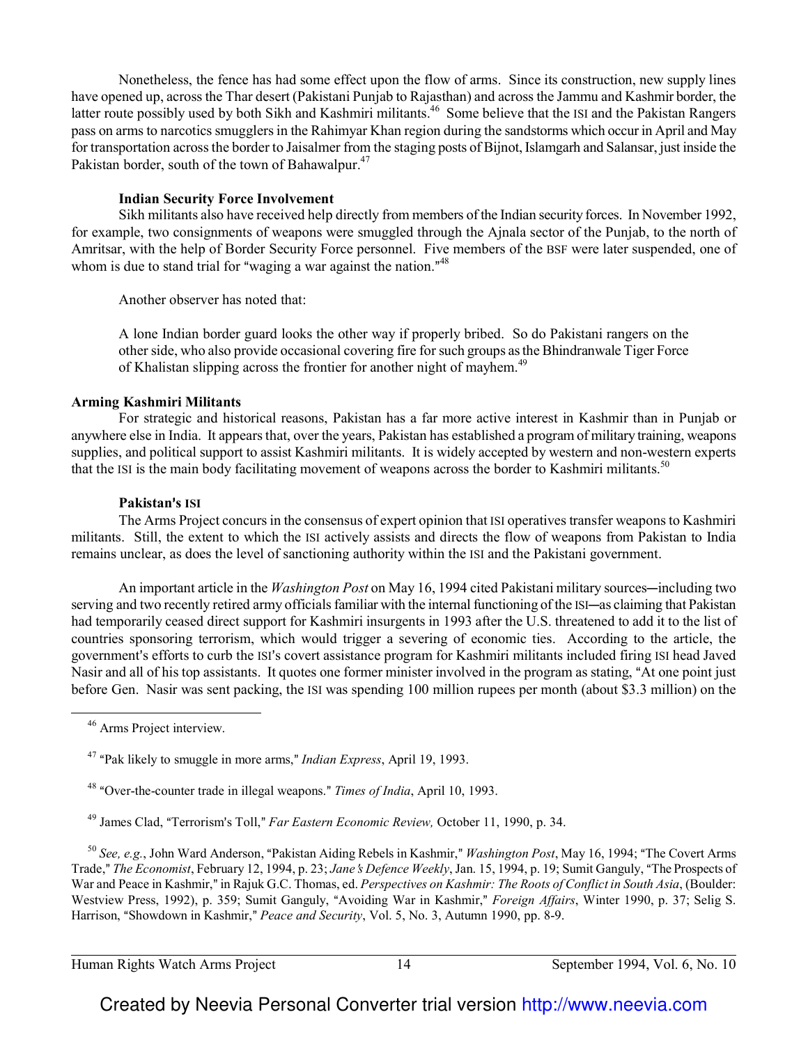Nonetheless, the fence has had some effect upon the flow of arms. Since its construction, new supply lines have opened up, across the Thar desert (Pakistani Punjab to Rajasthan) and across the Jammu and Kashmir border, the latter route possibly used by both Sikh and Kashmiri militants.<sup>46</sup> Some believe that the ISI and the Pakistan Rangers pass on arms to narcotics smugglers in the Rahimyar Khan region during the sandstorms which occur in April and May for transportation across the border to Jaisalmer from the staging posts of Bijnot, Islamgarh and Salansar, just inside the Pakistan border, south of the town of Bahawalpur.<sup>47</sup>

## **Indian Security Force Involvement**

Sikh militants also have received help directly from members of the Indian security forces. In November 1992, for example, two consignments of weapons were smuggled through the Ajnala sector of the Punjab, to the north of Amritsar, with the help of Border Security Force personnel. Five members of the BSF were later suspended, one of whom is due to stand trial for "waging a war against the nation." $48$ 

Another observer has noted that:

A lone Indian border guard looks the other way if properly bribed. So do Pakistani rangers on the other side, who also provide occasional covering fire for such groups as the Bhindranwale Tiger Force of Khalistan slipping across the frontier for another night of mayhem.<sup>49</sup>

## **Arming Kashmiri Militants**

For strategic and historical reasons, Pakistan has a far more active interest in Kashmir than in Punjab or anywhere else in India. It appears that, over the years, Pakistan has established a program of military training, weapons supplies, and political support to assist Kashmiri militants. It is widely accepted by western and non-western experts that the ISI is the main body facilitating movement of weapons across the border to Kashmiri militants.<sup>50</sup>

## **Pakistan**=**s ISI**

The Arms Project concurs in the consensus of expert opinion that ISI operatives transfer weapons to Kashmiri militants. Still, the extent to which the ISI actively assists and directs the flow of weapons from Pakistan to India remains unclear, as does the level of sanctioning authority within the ISI and the Pakistani government.

An important article in the *Washington Post* on May 16, 1994 cited Pakistani military sources—including two serving and two recently retired army officials familiar with the internal functioning of the ISI—as claiming that Pakistan had temporarily ceased direct support for Kashmiri insurgents in 1993 after the U.S. threatened to add it to the list of countries sponsoring terrorism, which would trigger a severing of economic ties. According to the article, the government's efforts to curb the ISI's covert assistance program for Kashmiri militants included firing ISI head Javed Nasir and all of his top assistants. It quotes one former minister involved in the program as stating, "At one point just before Gen. Nasir was sent packing, the ISI was spending 100 million rupees per month (about \$3.3 million) on the

 $\overline{\phantom{0}}$ 

<sup>50</sup> See, e.g., John Ward Anderson, "Pakistan Aiding Rebels in Kashmir," *Washington Post*, May 16, 1994; "The Covert Arms Trade," The Economist, February 12, 1994, p. 23; *Jane's Defence Weekly*, Jan. 15, 1994, p. 19; Sumit Ganguly, "The Prospects of War and Peace in Kashmir," in Rajuk G.C. Thomas, ed. *Perspectives on Kashmir: The Roots of Conflict in South Asia*, (Boulder: Westview Press, 1992), p. 359; Sumit Ganguly, "Avoiding War in Kashmir," *Foreign Affairs*, Winter 1990, p. 37; Selig S. Harrison, "Showdown in Kashmir," *Peace and Security*, Vol. 5, No. 3, Autumn 1990, pp. 8-9.

Human Rights Watch Arms Project 14 September 1994, Vol. 6, No. 10

<sup>46</sup> Arms Project interview.

<sup>&</sup>lt;sup>47</sup> "Pak likely to smuggle in more arms," *Indian Express*, April 19, 1993.

<sup>&</sup>lt;sup>48</sup> "Over-the-counter trade in illegal weapons." *Times of India*, April 10, 1993.

<sup>&</sup>lt;sup>49</sup> James Clad, "Terrorism's Toll," *Far Eastern Economic Review*, October 11, 1990, p. 34.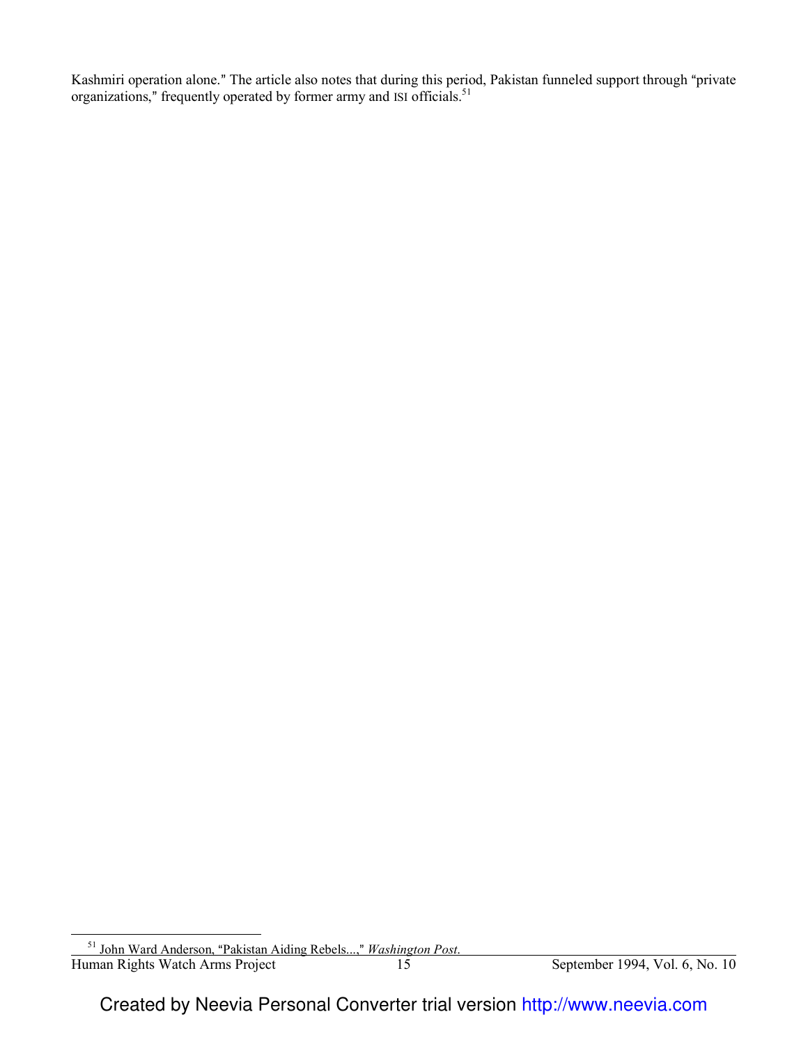Kashmiri operation alone." The article also notes that during this period, Pakistan funneled support through "private organizations," frequently operated by former army and ISI officials.<sup>51</sup>

 $\overline{a}$ 

Human Rights Watch Arms Project 15 September 1994, Vol. 6, No. 10 <sup>51</sup> John Ward Anderson, "Pakistan Aiding Rebels...," *Washington Post.*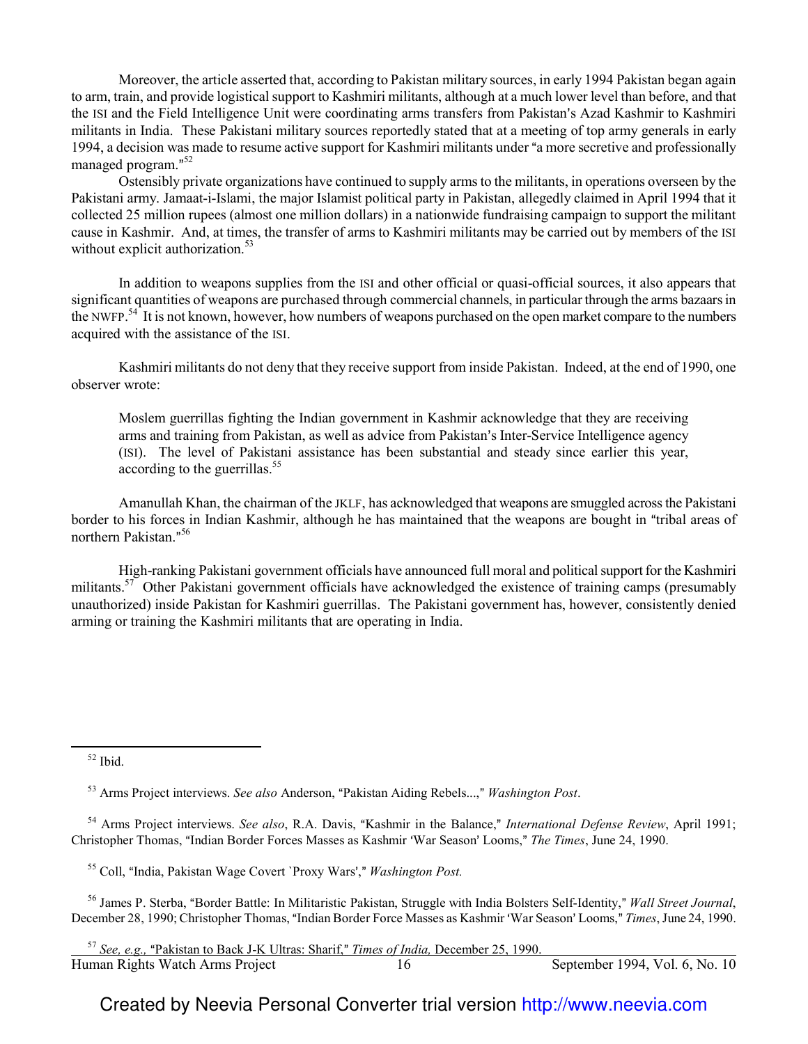Moreover, the article asserted that, according to Pakistan military sources, in early 1994 Pakistan began again to arm, train, and provide logistical support to Kashmiri militants, although at a much lower level than before, and that the ISI and the Field Intelligence Unit were coordinating arms transfers from Pakistan's Azad Kashmir to Kashmiri militants in India. These Pakistani military sources reportedly stated that at a meeting of top army generals in early 1994, a decision was made to resume active support for Kashmiri militants under "a more secretive and professionally managed program."<sup>52</sup>

Ostensibly private organizations have continued to supply arms to the militants, in operations overseen by the Pakistani army. Jamaat-i-Islami, the major Islamist political party in Pakistan, allegedly claimed in April 1994 that it collected 25 million rupees (almost one million dollars) in a nationwide fundraising campaign to support the militant cause in Kashmir. And, at times, the transfer of arms to Kashmiri militants may be carried out by members of the ISI without explicit authorization.<sup>53</sup>

In addition to weapons supplies from the ISI and other official or quasi-official sources, it also appears that significant quantities of weapons are purchased through commercial channels, in particular through the arms bazaars in the NWFP.<sup>54</sup> It is not known, however, how numbers of weapons purchased on the open market compare to the numbers acquired with the assistance of the ISI.

Kashmiri militants do not deny that they receive support from inside Pakistan. Indeed, at the end of 1990, one observer wrote:

Moslem guerrillas fighting the Indian government in Kashmir acknowledge that they are receiving arms and training from Pakistan, as well as advice from Pakistan's Inter-Service Intelligence agency (ISI). The level of Pakistani assistance has been substantial and steady since earlier this year, according to the guerrillas.<sup>55</sup>

Amanullah Khan, the chairman of the JKLF, has acknowledged that weapons are smuggled across the Pakistani border to his forces in Indian Kashmir, although he has maintained that the weapons are bought in "tribal areas of northern Pakistan."<sup>56</sup>

High-ranking Pakistani government officials have announced full moral and political support for the Kashmiri militants.<sup>57</sup> Other Pakistani government officials have acknowledged the existence of training camps (presumably unauthorized) inside Pakistan for Kashmiri guerrillas. The Pakistani government has, however, consistently denied arming or training the Kashmiri militants that are operating in India.

<sup>52</sup> Ibid.

 $\overline{\phantom{0}}$ 

<sup>54</sup> Arms Project interviews. *See also*, R.A. Davis, "Kashmir in the Balance," *International Defense Review*, April 1991; Christopher Thomas, "Indian Border Forces Masses as Kashmir 'War Season' Looms," The Times, June 24, 1990.

<sup>55</sup> Coll, "India, Pakistan Wage Covert `Proxy Wars'," Washington Post.

<sup>56</sup> James P. Sterba, "Border Battle: In Militaristic Pakistan, Struggle with India Bolsters Self-Identity," *Wall Street Journal*, December 28, 1990; Christopher Thomas, "Indian Border Force Masses as Kashmir 'War Season' Looms," *Times*, June 24, 1990.

Human Rights Watch Arms Project 16 16 September 1994, Vol. 6, No. 10 l <sup>57</sup> See, e.g., "Pakistan to Back J-K Ultras: Sharif," *Times of India*, December 25, 1990.

<sup>&</sup>lt;sup>53</sup> Arms Project interviews. *See also* Anderson, "Pakistan Aiding Rebels...," *Washington Post.*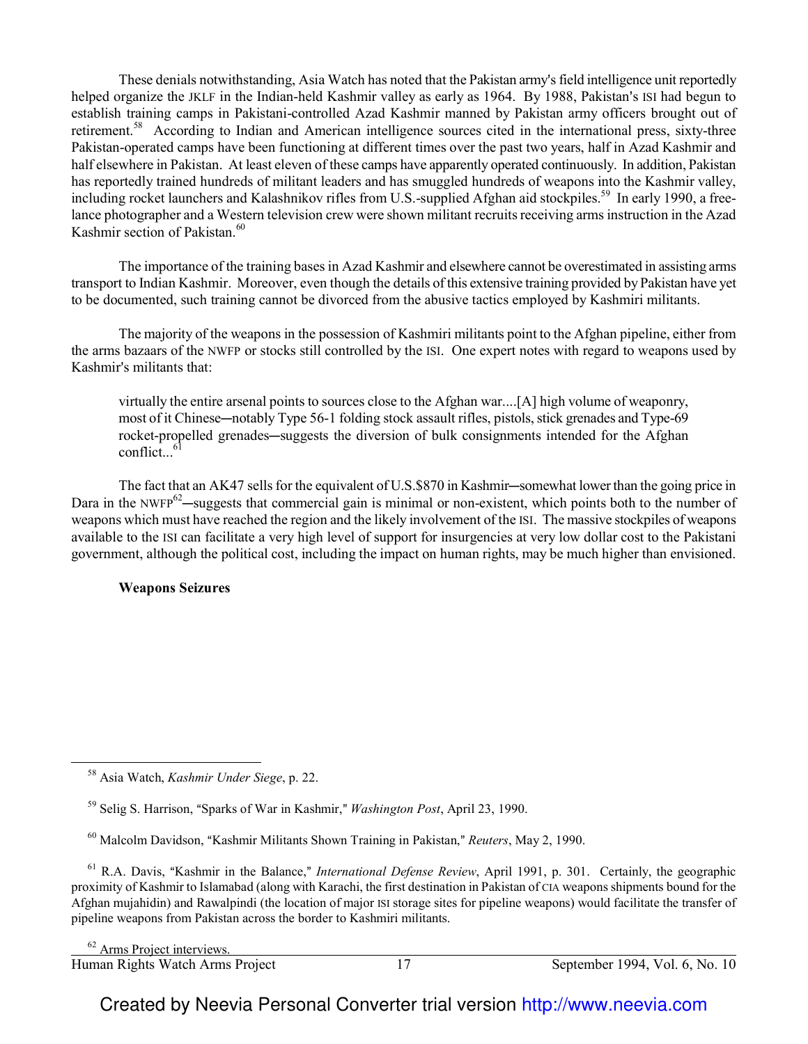These denials notwithstanding, Asia Watch has noted that the Pakistan army's field intelligence unit reportedly helped organize the JKLF in the Indian-held Kashmir valley as early as 1964. By 1988, Pakistan's ISI had begun to establish training camps in Pakistani-controlled Azad Kashmir manned by Pakistan army officers brought out of retirement.<sup>58</sup> According to Indian and American intelligence sources cited in the international press, sixty-three Pakistan-operated camps have been functioning at different times over the past two years, half in Azad Kashmir and half elsewhere in Pakistan. At least eleven of these camps have apparently operated continuously. In addition, Pakistan has reportedly trained hundreds of militant leaders and has smuggled hundreds of weapons into the Kashmir valley, including rocket launchers and Kalashnikov rifles from U.S.-supplied Afghan aid stockpiles.<sup>59</sup> In early 1990, a freelance photographer and a Western television crew were shown militant recruits receiving arms instruction in the Azad Kashmir section of Pakistan.<sup>60</sup>

The importance of the training bases in Azad Kashmir and elsewhere cannot be overestimated in assisting arms transport to Indian Kashmir. Moreover, even though the details of this extensive training provided by Pakistan have yet to be documented, such training cannot be divorced from the abusive tactics employed by Kashmiri militants.

The majority of the weapons in the possession of Kashmiri militants point to the Afghan pipeline, either from the arms bazaars of the NWFP or stocks still controlled by the ISI. One expert notes with regard to weapons used by Kashmir's militants that:

virtually the entire arsenal points to sources close to the Afghan war....[A] high volume of weaponry, most of it Chinese—notably Type 56-1 folding stock assault rifles, pistols, stick grenades and Type-69 rocket-propelled grenades—suggests the diversion of bulk consignments intended for the Afghan  $conflict...$ <sup>61</sup>

The fact that an AK47 sells for the equivalent of U.S.\$870 in Kashmir—somewhat lower than the going price in Dara in the NWFP $^{62}$ —suggests that commercial gain is minimal or non-existent, which points both to the number of weapons which must have reached the region and the likely involvement of the ISI. The massive stockpiles of weapons available to the ISI can facilitate a very high level of support for insurgencies at very low dollar cost to the Pakistani government, although the political cost, including the impact on human rights, may be much higher than envisioned.

**Weapons Seizures**

 $\overline{\phantom{0}}$ 

l

<sup>58</sup> Asia Watch, *Kashmir Under Siege*, p. 22.

<sup>&</sup>lt;sup>59</sup> Selig S. Harrison, "Sparks of War in Kashmir," *Washington Post*, April 23, 1990.

<sup>&</sup>lt;sup>60</sup> Malcolm Davidson, "Kashmir Militants Shown Training in Pakistan," *Reuters*, May 2, 1990.

<sup>&</sup>lt;sup>61</sup> R.A. Davis, "Kashmir in the Balance," *International Defense Review*, April 1991, p. 301. Certainly, the geographic proximity of Kashmir to Islamabad (along with Karachi, the first destination in Pakistan of CIA weapons shipments bound for the Afghan mujahidin) and Rawalpindi (the location of major ISI storage sites for pipeline weapons) would facilitate the transfer of pipeline weapons from Pakistan across the border to Kashmiri militants.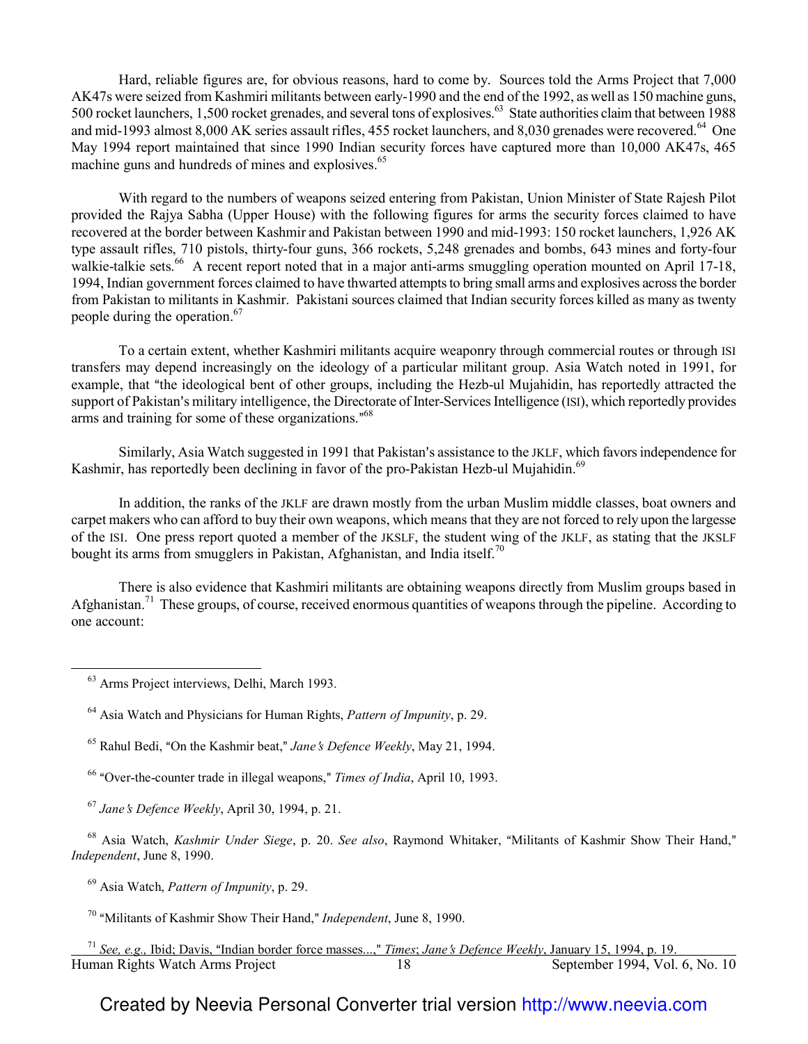Hard, reliable figures are, for obvious reasons, hard to come by. Sources told the Arms Project that 7,000 AK47s were seized from Kashmiri militants between early-1990 and the end of the 1992, as well as 150 machine guns, 500 rocket launchers, 1,500 rocket grenades, and several tons of explosives.<sup>63</sup> State authorities claim that between 1988 and mid-1993 almost 8,000 AK series assault rifles, 455 rocket launchers, and 8,030 grenades were recovered.<sup>64</sup> One May 1994 report maintained that since 1990 Indian security forces have captured more than 10,000 AK47s, 465 machine guns and hundreds of mines and explosives.<sup>65</sup>

With regard to the numbers of weapons seized entering from Pakistan, Union Minister of State Rajesh Pilot provided the Rajya Sabha (Upper House) with the following figures for arms the security forces claimed to have recovered at the border between Kashmir and Pakistan between 1990 and mid-1993: 150 rocket launchers, 1,926 AK type assault rifles, 710 pistols, thirty-four guns, 366 rockets, 5,248 grenades and bombs, 643 mines and forty-four walkie-talkie sets.<sup>66</sup> A recent report noted that in a major anti-arms smuggling operation mounted on April 17-18, 1994, Indian government forces claimed to have thwarted attempts to bring small arms and explosives across the border from Pakistan to militants in Kashmir. Pakistani sources claimed that Indian security forces killed as many as twenty people during the operation.<sup>67</sup>

To a certain extent, whether Kashmiri militants acquire weaponry through commercial routes or through ISI transfers may depend increasingly on the ideology of a particular militant group. Asia Watch noted in 1991, for example, that "the ideological bent of other groups, including the Hezb-ul Mujahidin, has reportedly attracted the support of Pakistan's military intelligence, the Directorate of Inter-Services Intelligence (ISI), which reportedly provides arms and training for some of these organizations."<sup>68</sup>

Similarly, Asia Watch suggested in 1991 that Pakistan's assistance to the JKLF, which favors independence for Kashmir, has reportedly been declining in favor of the pro-Pakistan Hezb-ul Mujahidin.<sup>69</sup>

In addition, the ranks of the JKLF are drawn mostly from the urban Muslim middle classes, boat owners and carpet makers who can afford to buy their own weapons, which means that they are not forced to rely upon the largesse of the ISI. One press report quoted a member of the JKSLF, the student wing of the JKLF, as stating that the JKSLF bought its arms from smugglers in Pakistan, Afghanistan, and India itself.<sup>70</sup>

There is also evidence that Kashmiri militants are obtaining weapons directly from Muslim groups based in Afghanistan.<sup>71</sup> These groups, of course, received enormous quantities of weapons through the pipeline. According to one account:

 $\overline{\phantom{0}}$ 

<sup>66</sup> "Over-the-counter trade in illegal weapons," *Times of India*, April 10, 1993.

<sup>68</sup> Asia Watch, *Kashmir Under Siege*, p. 20. *See also*, Raymond Whitaker, "Militants of Kashmir Show Their Hand," *Independent*, June 8, 1990.

<sup>69</sup> Asia Watch, *Pattern of Impunity*, p. 29.

<sup>70</sup> "Militants of Kashmir Show Their Hand," *Independent*, June 8, 1990.

<sup>63</sup> Arms Project interviews, Delhi, March 1993.

<sup>64</sup> Asia Watch and Physicians for Human Rights, *Pattern of Impunity*, p. 29.

<sup>&</sup>lt;sup>65</sup> Rahul Bedi, "On the Kashmir beat," *Jane's Defence Weekly*, May 21, 1994.

<sup>67</sup> *Jane*=*s Defence Weekly*, April 30, 1994, p. 21.

Human Rights Watch Arms Project 18 18 September 1994, Vol. 6, No. 10 l <sup>71</sup> See, e.g., Ibid; Davis, "Indian border force masses...," *Times; Jane's Defence Weekly*, January 15, 1994, p. 19.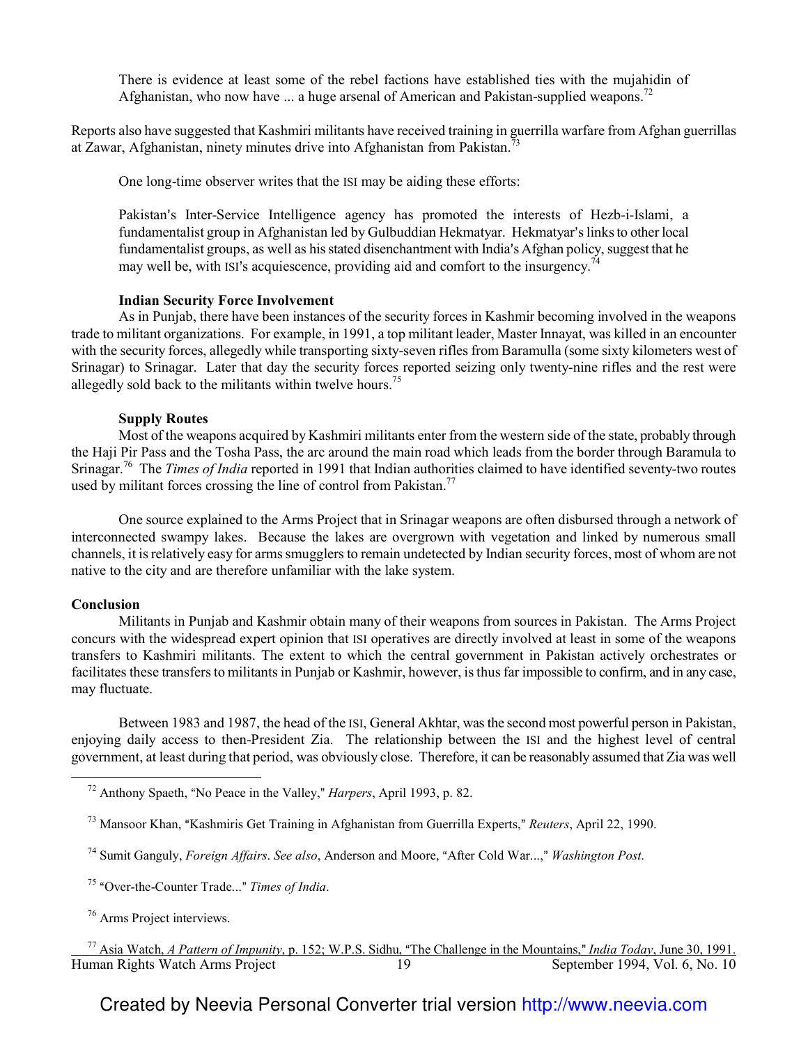There is evidence at least some of the rebel factions have established ties with the mujahidin of Afghanistan, who now have  $\ldots$  a huge arsenal of American and Pakistan-supplied weapons.<sup>72</sup>

Reports also have suggested that Kashmiri militants have received training in guerrilla warfare from Afghan guerrillas at Zawar, Afghanistan, ninety minutes drive into Afghanistan from Pakistan.<sup>7</sup>

One long-time observer writes that the ISI may be aiding these efforts:

Pakistan's Inter-Service Intelligence agency has promoted the interests of Hezb-i-Islami, a fundamentalist group in Afghanistan led by Gulbuddian Hekmatyar. Hekmatyar's links to other local fundamentalist groups, as well as his stated disenchantment with India's Afghan policy, suggest that he may well be, with ISI's acquiescence, providing aid and comfort to the insurgency.<sup>74</sup>

#### **Indian Security Force Involvement**

As in Punjab, there have been instances of the security forces in Kashmir becoming involved in the weapons trade to militant organizations. For example, in 1991, a top militant leader, Master Innayat, was killed in an encounter with the security forces, allegedly while transporting sixty-seven rifles from Baramulla (some sixty kilometers west of Srinagar) to Srinagar. Later that day the security forces reported seizing only twenty-nine rifles and the rest were allegedly sold back to the militants within twelve hours.<sup>75</sup>

#### **Supply Routes**

Most of the weapons acquired by Kashmiri militants enter from the western side of the state, probably through the Haji Pir Pass and the Tosha Pass, the arc around the main road which leads from the border through Baramula to Srinagar.<sup>76</sup> The *Times of India* reported in 1991 that Indian authorities claimed to have identified seventy-two routes used by militant forces crossing the line of control from Pakistan.<sup>77</sup>

One source explained to the Arms Project that in Srinagar weapons are often disbursed through a network of interconnected swampy lakes. Because the lakes are overgrown with vegetation and linked by numerous small channels, it is relatively easy for arms smugglers to remain undetected by Indian security forces, most of whom are not native to the city and are therefore unfamiliar with the lake system.

#### **Conclusion**

 $\overline{\phantom{0}}$ 

Militants in Punjab and Kashmir obtain many of their weapons from sources in Pakistan. The Arms Project concurs with the widespread expert opinion that ISI operatives are directly involved at least in some of the weapons transfers to Kashmiri militants. The extent to which the central government in Pakistan actively orchestrates or facilitates these transfers to militants in Punjab or Kashmir, however, is thus far impossible to confirm, and in any case, may fluctuate.

Between 1983 and 1987, the head of the ISI, General Akhtar, was the second most powerful person in Pakistan, enjoying daily access to then-President Zia. The relationship between the ISI and the highest level of central government, at least during that period, was obviously close. Therefore, it can be reasonably assumed that Zia was well

- <sup>74</sup> Sumit Ganguly, *Foreign Affairs. See also*, Anderson and Moore, "After Cold War...," *Washington Post.*
- <sup>75</sup> "Over-the-Counter Trade..." *Times of India*.

<sup>76</sup> Arms Project interviews.

Human Rights Watch Arms Project 1994, Vol. 6, No. 10 Human Rights Watch Arms Project <sup>77</sup> Asia Watch, *A Pattern of Impunity*, p. 152; W.P.S. Sidhu, "The Challenge in the Mountains," *India Today*, June 30, 1991.

 $72$  Anthony Spaeth, "No Peace in the Valley," *Harpers*, April 1993, p. 82.

<sup>&</sup>lt;sup>73</sup> Mansoor Khan, "Kashmiris Get Training in Afghanistan from Guerrilla Experts," *Reuters*, April 22, 1990.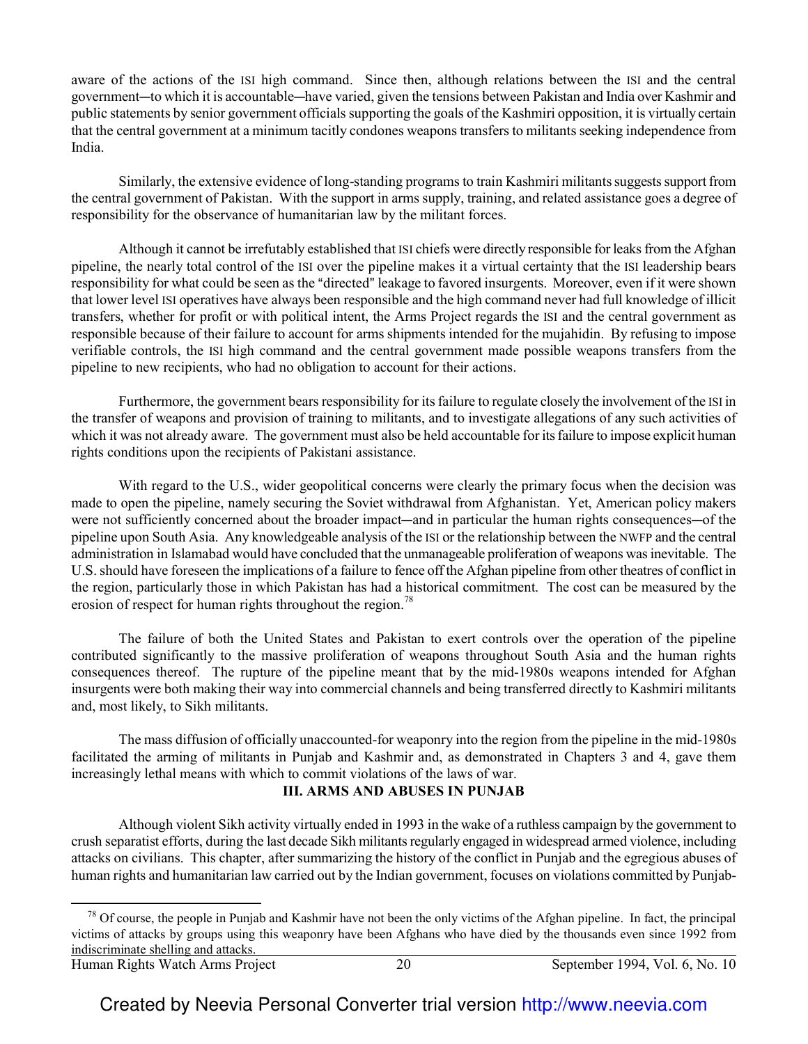aware of the actions of the ISI high command. Since then, although relations between the ISI and the central government—to which it is accountable—have varied, given the tensions between Pakistan and India over Kashmir and public statements by senior government officials supporting the goals of the Kashmiri opposition, it is virtually certain that the central government at a minimum tacitly condones weapons transfers to militants seeking independence from India.

Similarly, the extensive evidence of long-standing programs to train Kashmiri militants suggests support from the central government of Pakistan. With the support in arms supply, training, and related assistance goes a degree of responsibility for the observance of humanitarian law by the militant forces.

Although it cannot be irrefutably established that ISI chiefs were directly responsible for leaks from the Afghan pipeline, the nearly total control of the ISI over the pipeline makes it a virtual certainty that the ISI leadership bears responsibility for what could be seen as the "directed" leakage to favored insurgents. Moreover, even if it were shown that lower level ISI operatives have always been responsible and the high command never had full knowledge of illicit transfers, whether for profit or with political intent, the Arms Project regards the ISI and the central government as responsible because of their failure to account for arms shipments intended for the mujahidin. By refusing to impose verifiable controls, the ISI high command and the central government made possible weapons transfers from the pipeline to new recipients, who had no obligation to account for their actions.

Furthermore, the government bears responsibility for its failure to regulate closely the involvement of the ISI in the transfer of weapons and provision of training to militants, and to investigate allegations of any such activities of which it was not already aware. The government must also be held accountable for its failure to impose explicit human rights conditions upon the recipients of Pakistani assistance.

With regard to the U.S., wider geopolitical concerns were clearly the primary focus when the decision was made to open the pipeline, namely securing the Soviet withdrawal from Afghanistan. Yet, American policy makers were not sufficiently concerned about the broader impact—and in particular the human rights consequences—of the pipeline upon South Asia. Any knowledgeable analysis of the ISI or the relationship between the NWFP and the central administration in Islamabad would have concluded that the unmanageable proliferation of weapons was inevitable. The U.S. should have foreseen the implications of a failure to fence off the Afghan pipeline from other theatres of conflict in the region, particularly those in which Pakistan has had a historical commitment. The cost can be measured by the erosion of respect for human rights throughout the region.<sup>78</sup>

The failure of both the United States and Pakistan to exert controls over the operation of the pipeline contributed significantly to the massive proliferation of weapons throughout South Asia and the human rights consequences thereof. The rupture of the pipeline meant that by the mid-1980s weapons intended for Afghan insurgents were both making their way into commercial channels and being transferred directly to Kashmiri militants and, most likely, to Sikh militants.

The mass diffusion of officially unaccounted-for weaponry into the region from the pipeline in the mid-1980s facilitated the arming of militants in Punjab and Kashmir and, as demonstrated in Chapters 3 and 4, gave them increasingly lethal means with which to commit violations of the laws of war.

## **III. ARMS AND ABUSES IN PUNJAB**

Although violent Sikh activity virtually ended in 1993 in the wake of a ruthless campaign by the government to crush separatist efforts, during the last decade Sikh militants regularly engaged in widespread armed violence, including attacks on civilians. This chapter, after summarizing the history of the conflict in Punjab and the egregious abuses of human rights and humanitarian law carried out by the Indian government, focuses on violations committed by Punjab-

 $\overline{\phantom{0}}$ 

Human Rights Watch Arms Project 20 September 1994, Vol. 6, No. 10  $<sup>78</sup>$  Of course, the people in Punjab and Kashmir have not been the only victims of the Afghan pipeline. In fact, the principal</sup> victims of attacks by groups using this weaponry have been Afghans who have died by the thousands even since 1992 from indiscriminate shelling and attacks.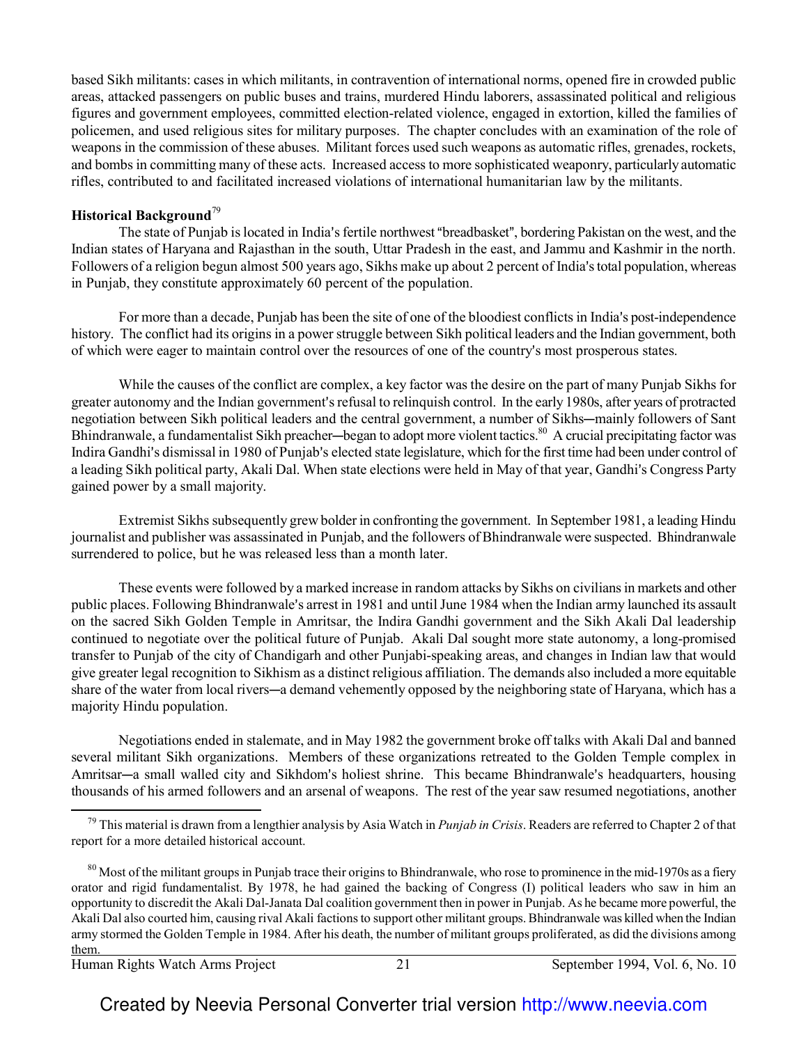based Sikh militants: cases in which militants, in contravention of international norms, opened fire in crowded public areas, attacked passengers on public buses and trains, murdered Hindu laborers, assassinated political and religious figures and government employees, committed election-related violence, engaged in extortion, killed the families of policemen, and used religious sites for military purposes. The chapter concludes with an examination of the role of weapons in the commission of these abuses. Militant forces used such weapons as automatic rifles, grenades, rockets, and bombs in committing many of these acts. Increased access to more sophisticated weaponry, particularly automatic rifles, contributed to and facilitated increased violations of international humanitarian law by the militants.

#### **Historical Background**<sup>79</sup>

The state of Punjab is located in India's fertile northwest "breadbasket", bordering Pakistan on the west, and the Indian states of Haryana and Rajasthan in the south, Uttar Pradesh in the east, and Jammu and Kashmir in the north. Followers of a religion begun almost 500 years ago, Sikhs make up about 2 percent of India's total population, whereas in Punjab, they constitute approximately 60 percent of the population.

For more than a decade, Punjab has been the site of one of the bloodiest conflicts in India's post-independence history. The conflict had its origins in a power struggle between Sikh political leaders and the Indian government, both of which were eager to maintain control over the resources of one of the country's most prosperous states.

While the causes of the conflict are complex, a key factor was the desire on the part of many Punjab Sikhs for greater autonomy and the Indian government's refusal to relinquish control. In the early 1980s, after years of protracted negotiation between Sikh political leaders and the central government, a number of Sikhs-mainly followers of Sant Bhindranwale, a fundamentalist Sikh preacher—began to adopt more violent tactics.<sup>80</sup> A crucial precipitating factor was Indira Gandhi's dismissal in 1980 of Punjab's elected state legislature, which for the first time had been under control of a leading Sikh political party, Akali Dal. When state elections were held in May of that year, Gandhi's Congress Party gained power by a small majority.

Extremist Sikhs subsequently grew bolder in confronting the government. In September 1981, a leading Hindu journalist and publisher was assassinated in Punjab, and the followers of Bhindranwale were suspected. Bhindranwale surrendered to police, but he was released less than a month later.

These events were followed by a marked increase in random attacks by Sikhs on civilians in markets and other public places. Following Bhindranwale's arrest in 1981 and until June 1984 when the Indian army launched its assault on the sacred Sikh Golden Temple in Amritsar, the Indira Gandhi government and the Sikh Akali Dal leadership continued to negotiate over the political future of Punjab. Akali Dal sought more state autonomy, a long-promised transfer to Punjab of the city of Chandigarh and other Punjabi-speaking areas, and changes in Indian law that would give greater legal recognition to Sikhism as a distinct religious affiliation. The demands also included a more equitable share of the water from local rivers—a demand vehemently opposed by the neighboring state of Haryana, which has a majority Hindu population.

 $\overline{\phantom{0}}$ Negotiations ended in stalemate, and in May 1982 the government broke off talks with Akali Dal and banned several militant Sikh organizations. Members of these organizations retreated to the Golden Temple complex in Amritsar-a small walled city and Sikhdom's holiest shrine. This became Bhindranwale's headquarters, housing thousands of his armed followers and an arsenal of weapons. The rest of the year saw resumed negotiations, another

Human Rights Watch Arms Project 21 September 1994, Vol. 6, No. 10

<sup>79</sup> This material is drawn from a lengthier analysis by Asia Watch in *Punjab in Crisis*. Readers are referred to Chapter 2 of that report for a more detailed historical account.

 $80$  Most of the militant groups in Punjab trace their origins to Bhindranwale, who rose to prominence in the mid-1970s as a fiery orator and rigid fundamentalist. By 1978, he had gained the backing of Congress (I) political leaders who saw in him an opportunity to discredit the Akali Dal-Janata Dal coalition government then in power in Punjab. As he became more powerful, the Akali Dal also courted him, causing rival Akali factions to support other militant groups. Bhindranwale was killed when the Indian army stormed the Golden Temple in 1984. After his death, the number of militant groups proliferated, as did the divisions among them.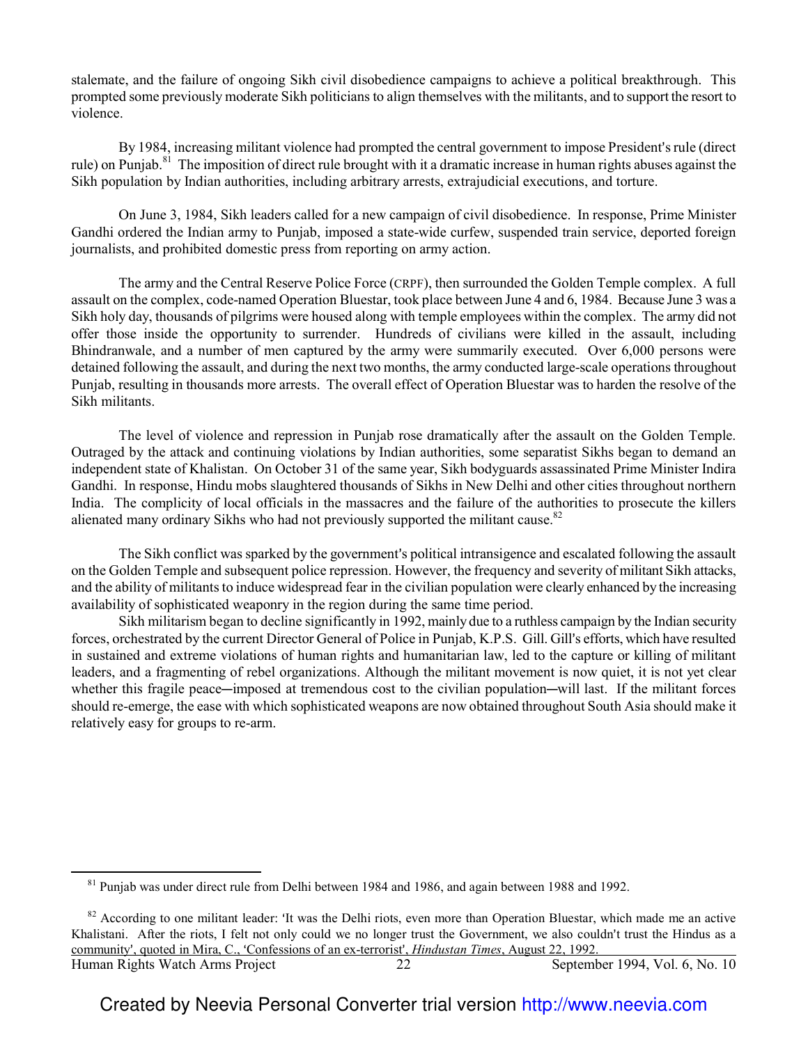stalemate, and the failure of ongoing Sikh civil disobedience campaigns to achieve a political breakthrough. This prompted some previously moderate Sikh politicians to align themselves with the militants, and to support the resort to violence.

By 1984, increasing militant violence had prompted the central government to impose President's rule (direct rule) on Punjab.<sup>81</sup> The imposition of direct rule brought with it a dramatic increase in human rights abuses against the Sikh population by Indian authorities, including arbitrary arrests, extrajudicial executions, and torture.

On June 3, 1984, Sikh leaders called for a new campaign of civil disobedience. In response, Prime Minister Gandhi ordered the Indian army to Punjab, imposed a state-wide curfew, suspended train service, deported foreign journalists, and prohibited domestic press from reporting on army action.

The army and the Central Reserve Police Force (CRPF), then surrounded the Golden Temple complex. A full assault on the complex, code-named Operation Bluestar, took place between June 4 and 6, 1984. Because June 3 was a Sikh holy day, thousands of pilgrims were housed along with temple employees within the complex. The army did not offer those inside the opportunity to surrender. Hundreds of civilians were killed in the assault, including Bhindranwale, and a number of men captured by the army were summarily executed. Over 6,000 persons were detained following the assault, and during the next two months, the army conducted large-scale operations throughout Punjab, resulting in thousands more arrests. The overall effect of Operation Bluestar was to harden the resolve of the Sikh militants.

The level of violence and repression in Punjab rose dramatically after the assault on the Golden Temple. Outraged by the attack and continuing violations by Indian authorities, some separatist Sikhs began to demand an independent state of Khalistan. On October 31 of the same year, Sikh bodyguards assassinated Prime Minister Indira Gandhi. In response, Hindu mobs slaughtered thousands of Sikhs in New Delhi and other cities throughout northern India. The complicity of local officials in the massacres and the failure of the authorities to prosecute the killers alienated many ordinary Sikhs who had not previously supported the militant cause.<sup>82</sup>

The Sikh conflict was sparked by the government's political intransigence and escalated following the assault on the Golden Temple and subsequent police repression. However, the frequency and severity of militant Sikh attacks, and the ability of militants to induce widespread fear in the civilian population were clearly enhanced by the increasing availability of sophisticated weaponry in the region during the same time period.

Sikh militarism began to decline significantly in 1992, mainly due to a ruthless campaign by the Indian security forces, orchestrated by the current Director General of Police in Punjab, K.P.S. Gill. Gill's efforts, which have resulted in sustained and extreme violations of human rights and humanitarian law, led to the capture or killing of militant leaders, and a fragmenting of rebel organizations. Although the militant movement is now quiet, it is not yet clear whether this fragile peace—imposed at tremendous cost to the civilian population—will last. If the militant forces should re-emerge, the ease with which sophisticated weapons are now obtained throughout South Asia should make it relatively easy for groups to re-arm.

 $\overline{a}$ 

 $81$  Punjab was under direct rule from Delhi between 1984 and 1986, and again between 1988 and 1992.

Human Rights Watch Arms Project 22 September 1994, Vol. 6, No. 10  $82$  According to one militant leader: 'It was the Delhi riots, even more than Operation Bluestar, which made me an active Khalistani. After the riots, I felt not only could we no longer trust the Government, we also couldn't trust the Hindus as a community', quoted in Mira, C., 'Confessions of an ex-terrorist', *Hindustan Times*, August 22, 1992.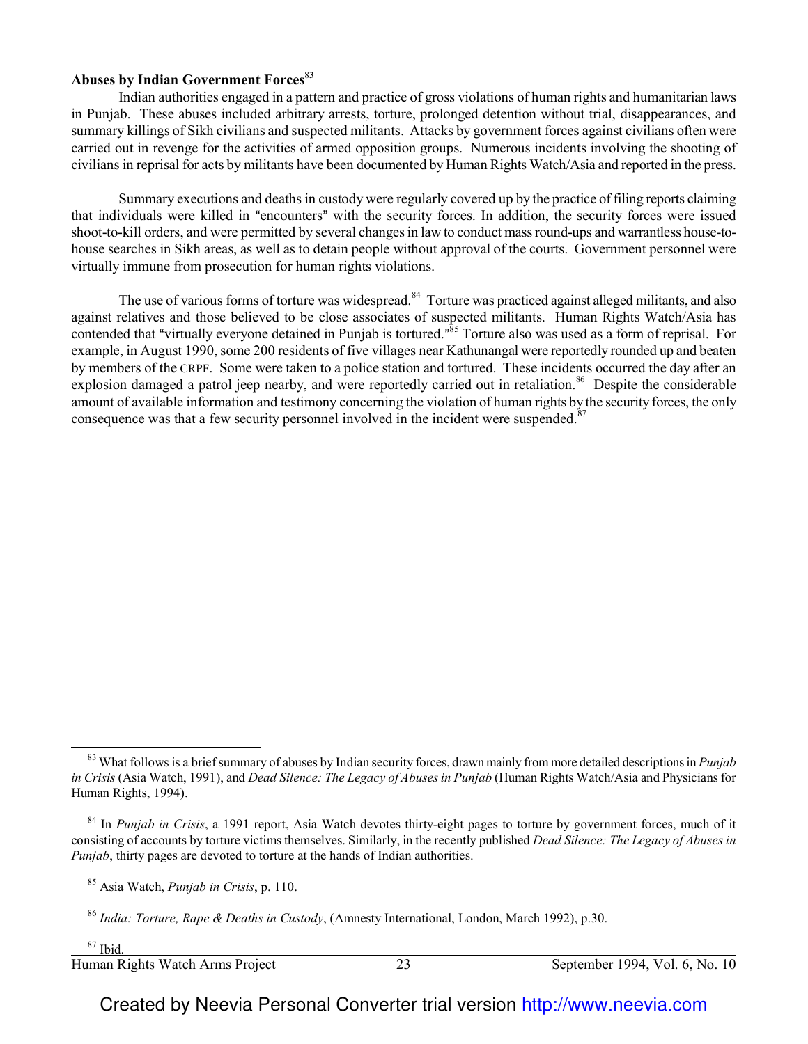## **Abuses by Indian Government Forces**<sup>83</sup>

Indian authorities engaged in a pattern and practice of gross violations of human rights and humanitarian laws in Punjab. These abuses included arbitrary arrests, torture, prolonged detention without trial, disappearances, and summary killings of Sikh civilians and suspected militants. Attacks by government forces against civilians often were carried out in revenge for the activities of armed opposition groups. Numerous incidents involving the shooting of civilians in reprisal for acts by militants have been documented by Human Rights Watch/Asia and reported in the press.

Summary executions and deaths in custody were regularly covered up by the practice of filing reports claiming that individuals were killed in "encounters" with the security forces. In addition, the security forces were issued shoot-to-kill orders, and were permitted by several changes in law to conduct mass round-ups and warrantless house-tohouse searches in Sikh areas, as well as to detain people without approval of the courts. Government personnel were virtually immune from prosecution for human rights violations.

The use of various forms of torture was widespread.<sup>84</sup> Torture was practiced against alleged militants, and also against relatives and those believed to be close associates of suspected militants. Human Rights Watch/Asia has contended that "virtually everyone detained in Punjab is tortured."<sup>85</sup> Torture also was used as a form of reprisal. For example, in August 1990, some 200 residents of five villages near Kathunangal were reportedly rounded up and beaten by members of the CRPF. Some were taken to a police station and tortured. These incidents occurred the day after an explosion damaged a patrol jeep nearby, and were reportedly carried out in retaliation.<sup>86</sup> Despite the considerable amount of available information and testimony concerning the violation of human rights by the security forces, the only consequence was that a few security personnel involved in the incident were suspended. $87$ 

 $87$  Ibid.

l

 $\overline{\phantom{0}}$ 

Human Rights Watch Arms Project 23 September 1994, Vol. 6, No. 10

<sup>83</sup> What follows is a brief summary of abuses by Indian security forces, drawn mainly from more detailed descriptions in *Punjab in Crisis* (Asia Watch, 1991), and *Dead Silence: The Legacy of Abuses in Punjab* (Human Rights Watch/Asia and Physicians for Human Rights, 1994).

<sup>84</sup> In *Punjab in Crisis*, a 1991 report, Asia Watch devotes thirty-eight pages to torture by government forces, much of it consisting of accounts by torture victims themselves. Similarly, in the recently published *Dead Silence: The Legacy of Abuses in Punjab*, thirty pages are devoted to torture at the hands of Indian authorities.

<sup>85</sup> Asia Watch, *Punjab in Crisis*, p. 110.

<sup>86</sup> *India: Torture, Rape & Deaths in Custody*, (Amnesty International, London, March 1992), p.30.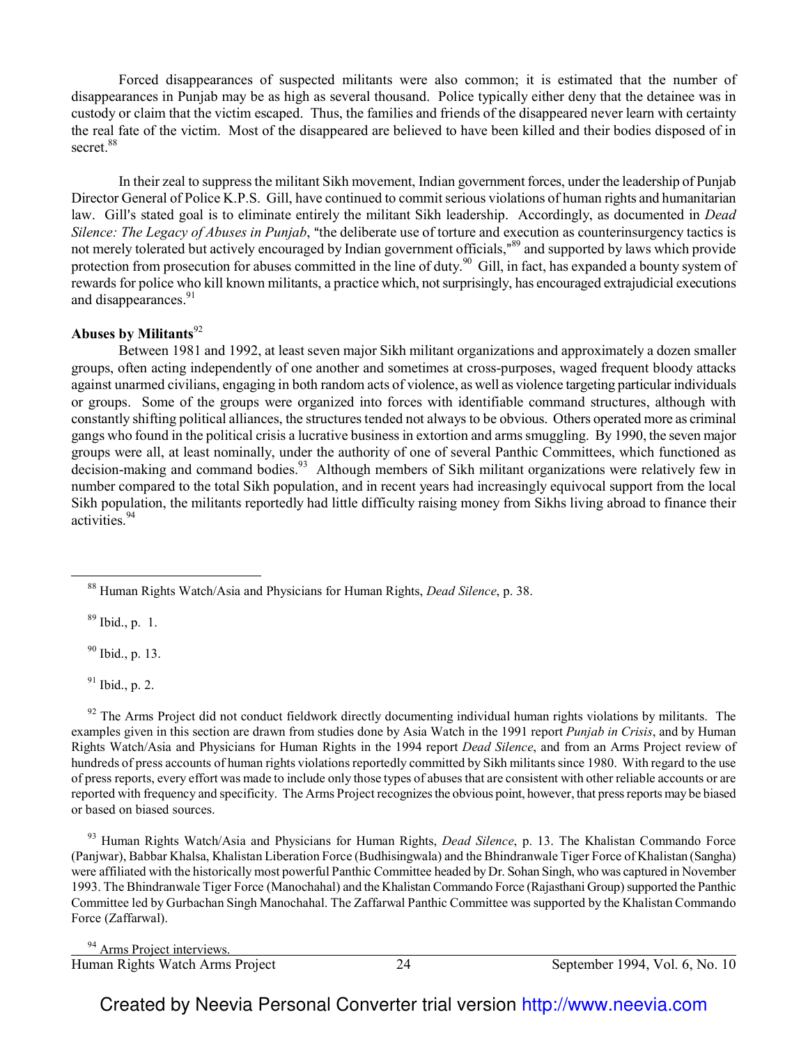Forced disappearances of suspected militants were also common; it is estimated that the number of disappearances in Punjab may be as high as several thousand. Police typically either deny that the detainee was in custody or claim that the victim escaped. Thus, the families and friends of the disappeared never learn with certainty the real fate of the victim. Most of the disappeared are believed to have been killed and their bodies disposed of in secret.<sup>88</sup>

In their zeal to suppress the militant Sikh movement, Indian government forces, under the leadership of Punjab Director General of Police K.P.S. Gill, have continued to commit serious violations of human rights and humanitarian law. Gill's stated goal is to eliminate entirely the militant Sikh leadership. Accordingly, as documented in *Dead Silence: The Legacy of Abuses in Punjab*, "the deliberate use of torture and execution as counterinsurgency tactics is not merely tolerated but actively encouraged by Indian government officials,"<sup>89</sup> and supported by laws which provide protection from prosecution for abuses committed in the line of duty.<sup>90</sup> Gill, in fact, has expanded a bounty system of rewards for police who kill known militants, a practice which, not surprisingly, has encouraged extrajudicial executions and disappearances.<sup>91</sup>

## Abuses by Militants<sup>92</sup>

Between 1981 and 1992, at least seven major Sikh militant organizations and approximately a dozen smaller groups, often acting independently of one another and sometimes at cross-purposes, waged frequent bloody attacks against unarmed civilians, engaging in both random acts of violence, as well as violence targeting particular individuals or groups. Some of the groups were organized into forces with identifiable command structures, although with constantly shifting political alliances, the structures tended not always to be obvious. Others operated more as criminal gangs who found in the political crisis a lucrative business in extortion and arms smuggling. By 1990, the seven major groups were all, at least nominally, under the authority of one of several Panthic Committees, which functioned as decision-making and command bodies.<sup>93</sup> Although members of Sikh militant organizations were relatively few in number compared to the total Sikh population, and in recent years had increasingly equivocal support from the local Sikh population, the militants reportedly had little difficulty raising money from Sikhs living abroad to finance their activities.<sup>94</sup>

 $89$  Ibid., p. 1.

 $\overline{a}$ 

<sup>90</sup> Ibid., p. 13.

 $91$  Ibid., p. 2.

 $92$  The Arms Project did not conduct fieldwork directly documenting individual human rights violations by militants. The examples given in this section are drawn from studies done by Asia Watch in the 1991 report *Punjab in Crisis*, and by Human Rights Watch/Asia and Physicians for Human Rights in the 1994 report *Dead Silence*, and from an Arms Project review of hundreds of press accounts of human rights violations reportedly committed by Sikh militants since 1980. With regard to the use of press reports, every effort was made to include only those types of abuses that are consistent with other reliable accounts or are reported with frequency and specificity. The Arms Project recognizes the obvious point, however, that press reports may be biased or based on biased sources.

<sup>93</sup> Human Rights Watch/Asia and Physicians for Human Rights, *Dead Silence*, p. 13. The Khalistan Commando Force (Panjwar), Babbar Khalsa, Khalistan Liberation Force (Budhisingwala) and the Bhindranwale Tiger Force of Khalistan (Sangha) were affiliated with the historically most powerful Panthic Committee headed by Dr. Sohan Singh, who was captured in November 1993. The Bhindranwale Tiger Force (Manochahal) and the Khalistan Commando Force (Rajasthani Group) supported the Panthic Committee led by Gurbachan Singh Manochahal. The Zaffarwal Panthic Committee was supported by the Khalistan Commando Force (Zaffarwal).

Human Rights Watch Arms Project 24 September 1994, Vol. 6, No. 10 l <sup>94</sup> Arms Project interviews.

<sup>88</sup> Human Rights Watch/Asia and Physicians for Human Rights, *Dead Silence*, p. 38.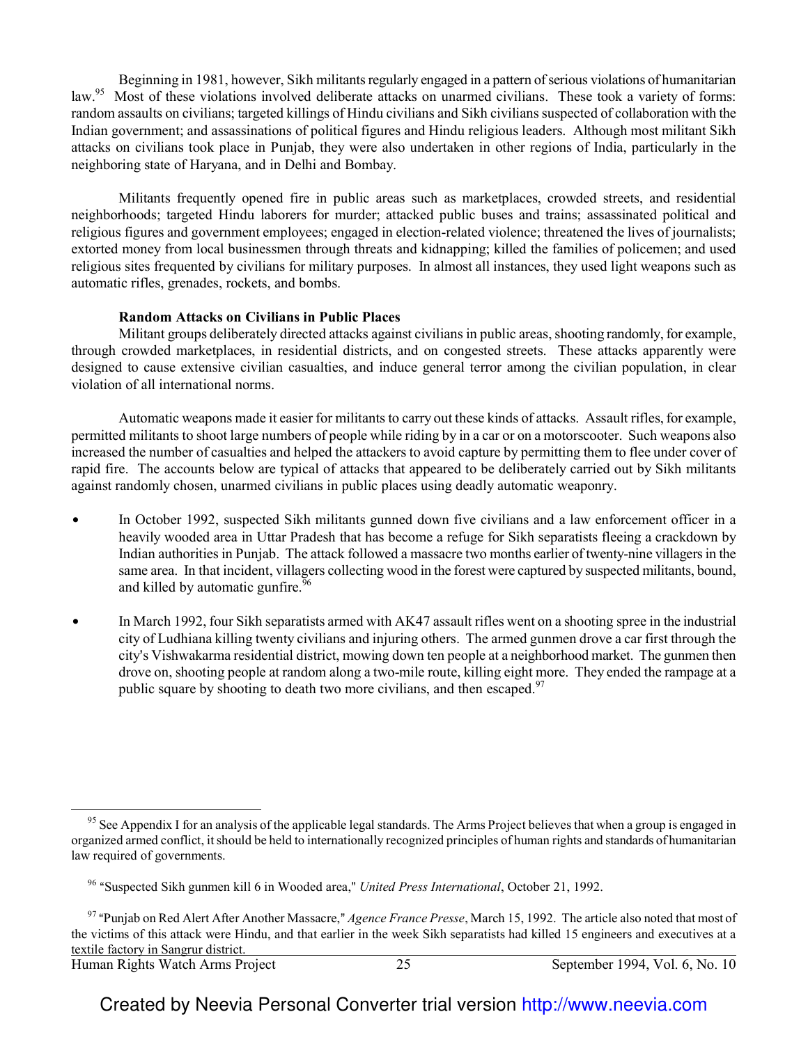Beginning in 1981, however, Sikh militants regularly engaged in a pattern of serious violations of humanitarian law.<sup>95</sup> Most of these violations involved deliberate attacks on unarmed civilians. These took a variety of forms: random assaults on civilians; targeted killings of Hindu civilians and Sikh civilians suspected of collaboration with the Indian government; and assassinations of political figures and Hindu religious leaders. Although most militant Sikh attacks on civilians took place in Punjab, they were also undertaken in other regions of India, particularly in the neighboring state of Haryana, and in Delhi and Bombay.

Militants frequently opened fire in public areas such as marketplaces, crowded streets, and residential neighborhoods; targeted Hindu laborers for murder; attacked public buses and trains; assassinated political and religious figures and government employees; engaged in election-related violence; threatened the lives of journalists; extorted money from local businessmen through threats and kidnapping; killed the families of policemen; and used religious sites frequented by civilians for military purposes. In almost all instances, they used light weapons such as automatic rifles, grenades, rockets, and bombs.

#### **Random Attacks on Civilians in Public Places**

Militant groups deliberately directed attacks against civilians in public areas, shooting randomly, for example, through crowded marketplaces, in residential districts, and on congested streets. These attacks apparently were designed to cause extensive civilian casualties, and induce general terror among the civilian population, in clear violation of all international norms.

Automatic weapons made it easier for militants to carry out these kinds of attacks. Assault rifles, for example, permitted militants to shoot large numbers of people while riding by in a car or on a motorscooter. Such weapons also increased the number of casualties and helped the attackers to avoid capture by permitting them to flee under cover of rapid fire. The accounts below are typical of attacks that appeared to be deliberately carried out by Sikh militants against randomly chosen, unarmed civilians in public places using deadly automatic weaponry.

- In October 1992, suspected Sikh militants gunned down five civilians and a law enforcement officer in a heavily wooded area in Uttar Pradesh that has become a refuge for Sikh separatists fleeing a crackdown by Indian authorities in Punjab. The attack followed a massacre two months earlier of twenty-nine villagers in the same area. In that incident, villagers collecting wood in the forest were captured by suspected militants, bound, and killed by automatic gunfire. $96$
- In March 1992, four Sikh separatists armed with AK47 assault rifles went on a shooting spree in the industrial city of Ludhiana killing twenty civilians and injuring others. The armed gunmen drove a car first through the city's Vishwakarma residential district, mowing down ten people at a neighborhood market. The gunmen then drove on, shooting people at random along a two-mile route, killing eight more. They ended the rampage at a public square by shooting to death two more civilians, and then escaped.<sup>97</sup>

 $\overline{a}$ 

<sup>&</sup>lt;sup>95</sup> See Appendix I for an analysis of the applicable legal standards. The Arms Project believes that when a group is engaged in organized armed conflict, it should be held to internationally recognized principles of human rights and standards of humanitarian law required of governments.

<sup>&</sup>lt;sup>96</sup> "Suspected Sikh gunmen kill 6 in Wooded area," *United Press International*, October 21, 1992.

<sup>&</sup>lt;sup>97</sup> "Punjab on Red Alert After Another Massacre," *Agence France Presse*, March 15, 1992. The article also noted that most of the victims of this attack were Hindu, and that earlier in the week Sikh separatists had killed 15 engineers and executives at a textile factory in Sangrur district.

Human Rights Watch Arms Project 25 September 1994, Vol. 6, No. 10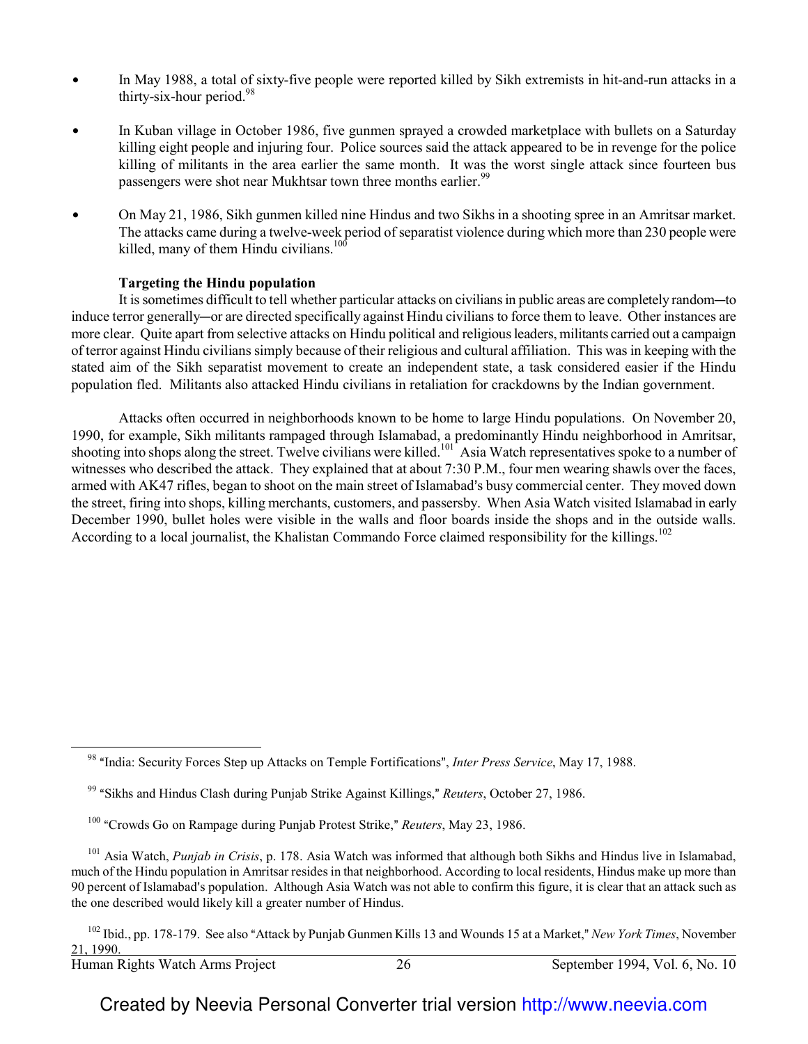- In May 1988, a total of sixty-five people were reported killed by Sikh extremists in hit-and-run attacks in a thirty-six-hour period. $98$
- In Kuban village in October 1986, five gunmen sprayed a crowded marketplace with bullets on a Saturday killing eight people and injuring four. Police sources said the attack appeared to be in revenge for the police killing of militants in the area earlier the same month. It was the worst single attack since fourteen bus passengers were shot near Mukhtsar town three months earlier.<sup>99</sup>
- On May 21, 1986, Sikh gunmen killed nine Hindus and two Sikhs in a shooting spree in an Amritsar market. The attacks came during a twelve-week period of separatist violence during which more than 230 people were killed, many of them Hindu civilians.<sup>100</sup>

## **Targeting the Hindu population**

It is sometimes difficult to tell whether particular attacks on civilians in public areas are completely random—to induce terror generally—or are directed specifically against Hindu civilians to force them to leave. Other instances are more clear. Quite apart from selective attacks on Hindu political and religious leaders, militants carried out a campaign of terror against Hindu civilians simply because of their religious and cultural affiliation. This was in keeping with the stated aim of the Sikh separatist movement to create an independent state, a task considered easier if the Hindu population fled. Militants also attacked Hindu civilians in retaliation for crackdowns by the Indian government.

Attacks often occurred in neighborhoods known to be home to large Hindu populations. On November 20, 1990, for example, Sikh militants rampaged through Islamabad, a predominantly Hindu neighborhood in Amritsar, shooting into shops along the street. Twelve civilians were killed.<sup>101</sup> Asia Watch representatives spoke to a number of witnesses who described the attack. They explained that at about 7:30 P.M., four men wearing shawls over the faces, armed with AK47 rifles, began to shoot on the main street of Islamabad's busy commercial center. They moved down the street, firing into shops, killing merchants, customers, and passersby. When Asia Watch visited Islamabad in early December 1990, bullet holes were visible in the walls and floor boards inside the shops and in the outside walls. According to a local journalist, the Khalistan Commando Force claimed responsibility for the killings.<sup>102</sup>

 $\overline{\phantom{0}}$ 

<sup>&</sup>lt;sup>98</sup> "India: Security Forces Step up Attacks on Temple Fortifications", *Inter Press Service*, May 17, 1988.

<sup>&</sup>lt;sup>99</sup> "Sikhs and Hindus Clash during Punjab Strike Against Killings," *Reuters*, October 27, 1986.

<sup>&</sup>lt;sup>100</sup> "Crowds Go on Rampage during Punjab Protest Strike," *Reuters*, May 23, 1986.

<sup>101</sup> Asia Watch, *Punjab in Crisis*, p. 178. Asia Watch was informed that although both Sikhs and Hindus live in Islamabad, much of the Hindu population in Amritsar resides in that neighborhood. According to local residents, Hindus make up more than 90 percent of Islamabad's population. Although Asia Watch was not able to confirm this figure, it is clear that an attack such as the one described would likely kill a greater number of Hindus.

<sup>&</sup>lt;sup>102</sup> Ibid., pp. 178-179. See also "Attack by Punjab Gunmen Kills 13 and Wounds 15 at a Market," *New York Times*, November 21, 1990.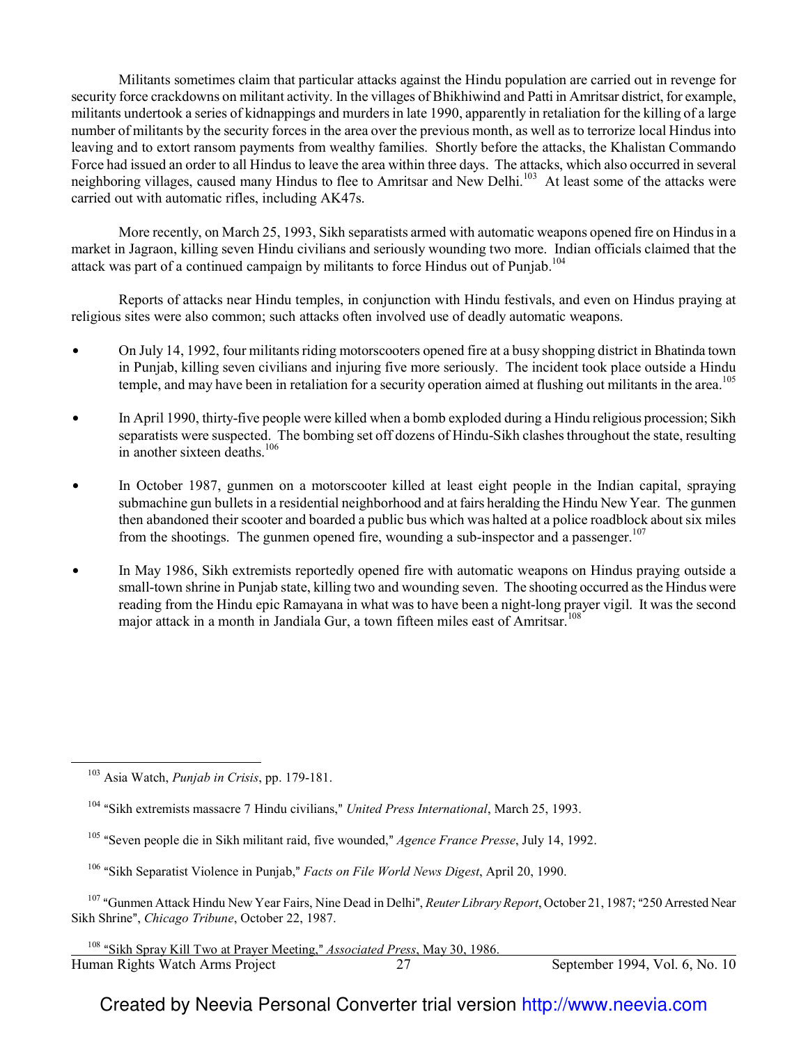Militants sometimes claim that particular attacks against the Hindu population are carried out in revenge for security force crackdowns on militant activity. In the villages of Bhikhiwind and Patti in Amritsar district, for example, militants undertook a series of kidnappings and murders in late 1990, apparently in retaliation for the killing of a large number of militants by the security forces in the area over the previous month, as well as to terrorize local Hindus into leaving and to extort ransom payments from wealthy families. Shortly before the attacks, the Khalistan Commando Force had issued an order to all Hindus to leave the area within three days. The attacks, which also occurred in several neighboring villages, caused many Hindus to flee to Amritsar and New Delhi.<sup>103</sup> At least some of the attacks were carried out with automatic rifles, including AK47s.

More recently, on March 25, 1993, Sikh separatists armed with automatic weapons opened fire on Hindus in a market in Jagraon, killing seven Hindu civilians and seriously wounding two more. Indian officials claimed that the attack was part of a continued campaign by militants to force Hindus out of Punjab.<sup>104</sup>

Reports of attacks near Hindu temples, in conjunction with Hindu festivals, and even on Hindus praying at religious sites were also common; such attacks often involved use of deadly automatic weapons.

- On July 14, 1992, four militants riding motorscooters opened fire at a busy shopping district in Bhatinda town in Punjab, killing seven civilians and injuring five more seriously. The incident took place outside a Hindu temple, and may have been in retaliation for a security operation aimed at flushing out militants in the area.<sup>105</sup>
- In April 1990, thirty-five people were killed when a bomb exploded during a Hindu religious procession; Sikh separatists were suspected. The bombing set off dozens of Hindu-Sikh clashes throughout the state, resulting in another sixteen deaths.<sup>106</sup>
- In October 1987, gunmen on a motorscooter killed at least eight people in the Indian capital, spraying submachine gun bullets in a residential neighborhood and at fairs heralding the Hindu New Year. The gunmen then abandoned their scooter and boarded a public bus which was halted at a police roadblock about six miles from the shootings. The gunmen opened fire, wounding a sub-inspector and a passenger.<sup>107</sup>
- In May 1986, Sikh extremists reportedly opened fire with automatic weapons on Hindus praying outside a small-town shrine in Punjab state, killing two and wounding seven. The shooting occurred as the Hindus were reading from the Hindu epic Ramayana in what was to have been a night-long prayer vigil. It was the second major attack in a month in Jandiala Gur, a town fifteen miles east of Amritsar.<sup>108</sup>

 $\overline{a}$ 

- <sup>105</sup> "Seven people die in Sikh militant raid, five wounded," *Agence France Presse*, July 14, 1992.
- <sup>106</sup> "Sikh Separatist Violence in Punjab," *Facts on File World News Digest*, April 20, 1990.

<sup>107</sup> "Gunmen Attack Hindu New Year Fairs, Nine Dead in Delhi", *Reuter Library Report*, October 21, 1987; "250 Arrested Near Sikh Shrine", *Chicago Tribune*, October 22, 1987.

l <sup>108</sup> "Sikh Spray Kill Two at Prayer Meeting," *Associated Press*, May 30, 1986.

Human Rights Watch Arms Project 27 September 1994, Vol. 6, No. 10

<sup>103</sup> Asia Watch, *Punjab in Crisis*, pp. 179-181.

<sup>&</sup>lt;sup>104</sup> "Sikh extremists massacre 7 Hindu civilians," *United Press International*, March 25, 1993.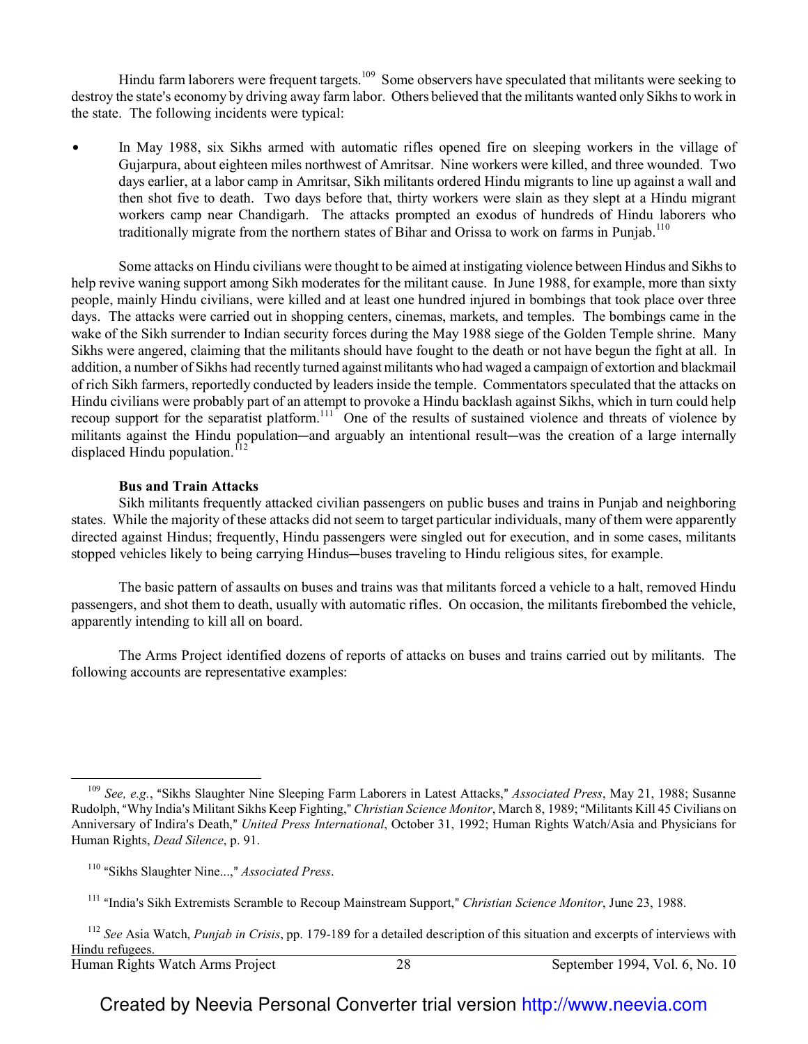Hindu farm laborers were frequent targets.<sup>109</sup> Some observers have speculated that militants were seeking to destroy the state's economy by driving away farm labor. Others believed that the militants wanted only Sikhs to work in the state. The following incidents were typical:

In May 1988, six Sikhs armed with automatic rifles opened fire on sleeping workers in the village of Gujarpura, about eighteen miles northwest of Amritsar. Nine workers were killed, and three wounded. Two days earlier, at a labor camp in Amritsar, Sikh militants ordered Hindu migrants to line up against a wall and then shot five to death. Two days before that, thirty workers were slain as they slept at a Hindu migrant workers camp near Chandigarh. The attacks prompted an exodus of hundreds of Hindu laborers who traditionally migrate from the northern states of Bihar and Orissa to work on farms in Punjab.<sup>110</sup>

Some attacks on Hindu civilians were thought to be aimed at instigating violence between Hindus and Sikhs to help revive waning support among Sikh moderates for the militant cause. In June 1988, for example, more than sixty people, mainly Hindu civilians, were killed and at least one hundred injured in bombings that took place over three days. The attacks were carried out in shopping centers, cinemas, markets, and temples. The bombings came in the wake of the Sikh surrender to Indian security forces during the May 1988 siege of the Golden Temple shrine. Many Sikhs were angered, claiming that the militants should have fought to the death or not have begun the fight at all. In addition, a number of Sikhs had recently turned against militants who had waged a campaign of extortion and blackmail of rich Sikh farmers, reportedly conducted by leaders inside the temple. Commentators speculated that the attacks on Hindu civilians were probably part of an attempt to provoke a Hindu backlash against Sikhs, which in turn could help recoup support for the separatist platform.<sup>111</sup> One of the results of sustained violence and threats of violence by militants against the Hindu population—and arguably an intentional result—was the creation of a large internally displaced Hindu population. $^{12}$ 

#### **Bus and Train Attacks**

Sikh militants frequently attacked civilian passengers on public buses and trains in Punjab and neighboring states. While the majority of these attacks did not seem to target particular individuals, many of them were apparently directed against Hindus; frequently, Hindu passengers were singled out for execution, and in some cases, militants stopped vehicles likely to being carrying Hindus—buses traveling to Hindu religious sites, for example.

The basic pattern of assaults on buses and trains was that militants forced a vehicle to a halt, removed Hindu passengers, and shot them to death, usually with automatic rifles. On occasion, the militants firebombed the vehicle, apparently intending to kill all on board.

The Arms Project identified dozens of reports of attacks on buses and trains carried out by militants. The following accounts are representative examples:

 $\overline{\phantom{0}}$ 

<sup>&</sup>lt;sup>109</sup> *See, e.g.*, "Sikhs Slaughter Nine Sleeping Farm Laborers in Latest Attacks," Associated Press, May 21, 1988; Susanne Rudolph, "Why India's Militant Sikhs Keep Fighting," *Christian Science Monitor*, March 8, 1989; "Militants Kill 45 Civilians on Anniversary of Indira's Death," United Press International, October 31, 1992; Human Rights Watch/Asia and Physicians for Human Rights, *Dead Silence*, p. 91.

<sup>&</sup>lt;sup>110</sup> "Sikhs Slaughter Nine...," *Associated Press.* 

<sup>&</sup>lt;sup>111</sup> "India's Sikh Extremists Scramble to Recoup Mainstream Support," *Christian Science Monitor*, June 23, 1988.

<sup>112</sup> *See* Asia Watch, *Punjab in Crisis*, pp. 179-189 for a detailed description of this situation and excerpts of interviews with Hindu refugees.

Human Rights Watch Arms Project 28 September 1994, Vol. 6, No. 10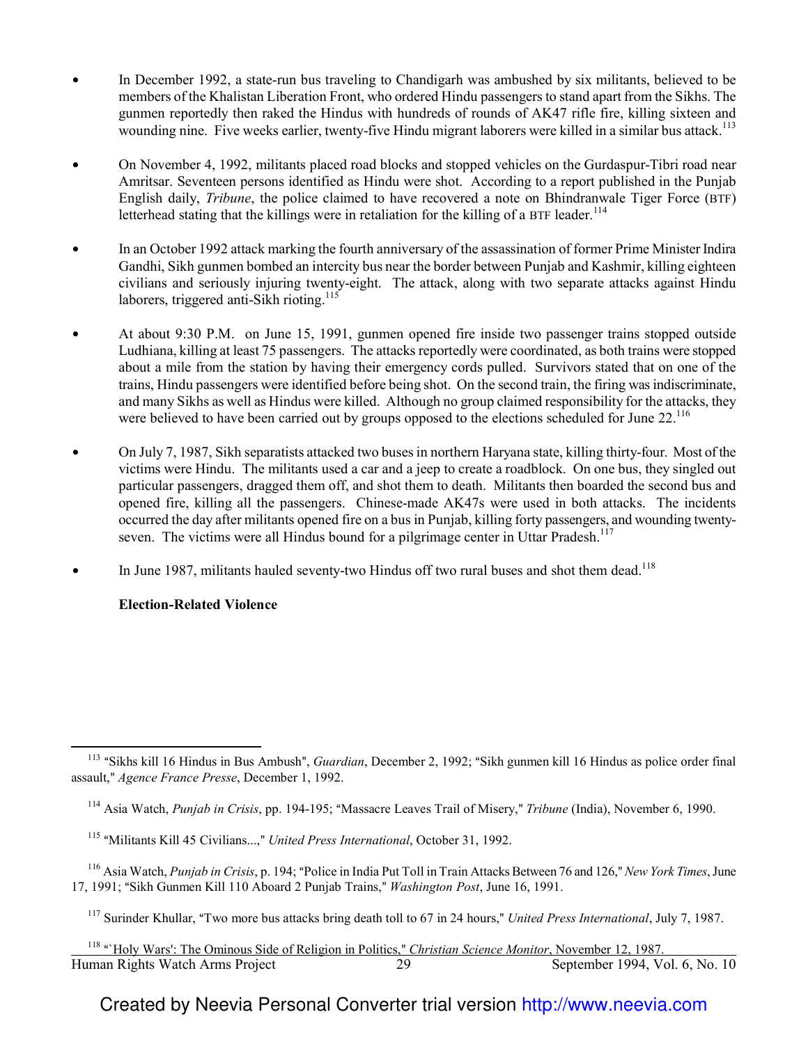- In December 1992, a state-run bus traveling to Chandigarh was ambushed by six militants, believed to be members of the Khalistan Liberation Front, who ordered Hindu passengers to stand apart from the Sikhs. The gunmen reportedly then raked the Hindus with hundreds of rounds of AK47 rifle fire, killing sixteen and wounding nine. Five weeks earlier, twenty-five Hindu migrant laborers were killed in a similar bus attack.<sup>113</sup>
- On November 4, 1992, militants placed road blocks and stopped vehicles on the Gurdaspur-Tibri road near Amritsar. Seventeen persons identified as Hindu were shot. According to a report published in the Punjab English daily, *Tribune*, the police claimed to have recovered a note on Bhindranwale Tiger Force (BTF) letterhead stating that the killings were in retaliation for the killing of a BTF leader.<sup>114</sup>
- In an October 1992 attack marking the fourth anniversary of the assassination of former Prime Minister Indira Gandhi, Sikh gunmen bombed an intercity bus near the border between Punjab and Kashmir, killing eighteen civilians and seriously injuring twenty-eight. The attack, along with two separate attacks against Hindu laborers, triggered anti-Sikh rioting.<sup>115</sup>
- At about 9:30 P.M. on June 15, 1991, gunmen opened fire inside two passenger trains stopped outside Ludhiana, killing at least 75 passengers. The attacks reportedly were coordinated, as both trains were stopped about a mile from the station by having their emergency cords pulled. Survivors stated that on one of the trains, Hindu passengers were identified before being shot. On the second train, the firing was indiscriminate, and many Sikhs as well as Hindus were killed. Although no group claimed responsibility for the attacks, they were believed to have been carried out by groups opposed to the elections scheduled for June 22.<sup>116</sup>
- On July 7, 1987, Sikh separatists attacked two buses in northern Haryana state, killing thirty-four. Most of the victims were Hindu. The militants used a car and a jeep to create a roadblock. On one bus, they singled out particular passengers, dragged them off, and shot them to death. Militants then boarded the second bus and opened fire, killing all the passengers. Chinese-made AK47s were used in both attacks. The incidents occurred the day after militants opened fire on a bus in Punjab, killing forty passengers, and wounding twentyseven. The victims were all Hindus bound for a pilgrimage center in Uttar Pradesh.<sup>117</sup>
- In June 1987, militants hauled seventy-two Hindus off two rural buses and shot them dead.<sup>118</sup>

## **Election-Related Violence**

 $\overline{\phantom{0}}$ 

<sup>&</sup>lt;sup>113</sup> "Sikhs kill 16 Hindus in Bus Ambush", *Guardian*, December 2, 1992; "Sikh gunmen kill 16 Hindus as police order final assault," Agence France Presse, December 1, 1992.

<sup>&</sup>lt;sup>114</sup> Asia Watch, *Punjab in Crisis*, pp. 194-195; "Massacre Leaves Trail of Misery," *Tribune* (India), November 6, 1990.

<sup>&</sup>lt;sup>115</sup> "Militants Kill 45 Civilians...," *United Press International*, October 31, 1992.

<sup>&</sup>lt;sup>116</sup> Asia Watch, *Punjab in Crisis*, p. 194; "Police in India Put Toll in Train Attacks Between 76 and 126," New York Times, June 17, 1991; "Sikh Gunmen Kill 110 Aboard 2 Punjab Trains," Washington Post, June 16, 1991.

<sup>&</sup>lt;sup>117</sup> Surinder Khullar, "Two more bus attacks bring death toll to 67 in 24 hours," *United Press International*, July 7, 1987.

Human Rights Watch Arms Project 29 September 1994, Vol. 6, No. 10 l <sup>118</sup> "'Holy Wars': The Ominous Side of Religion in Politics," *Christian Science Monitor*, November 12, 1987.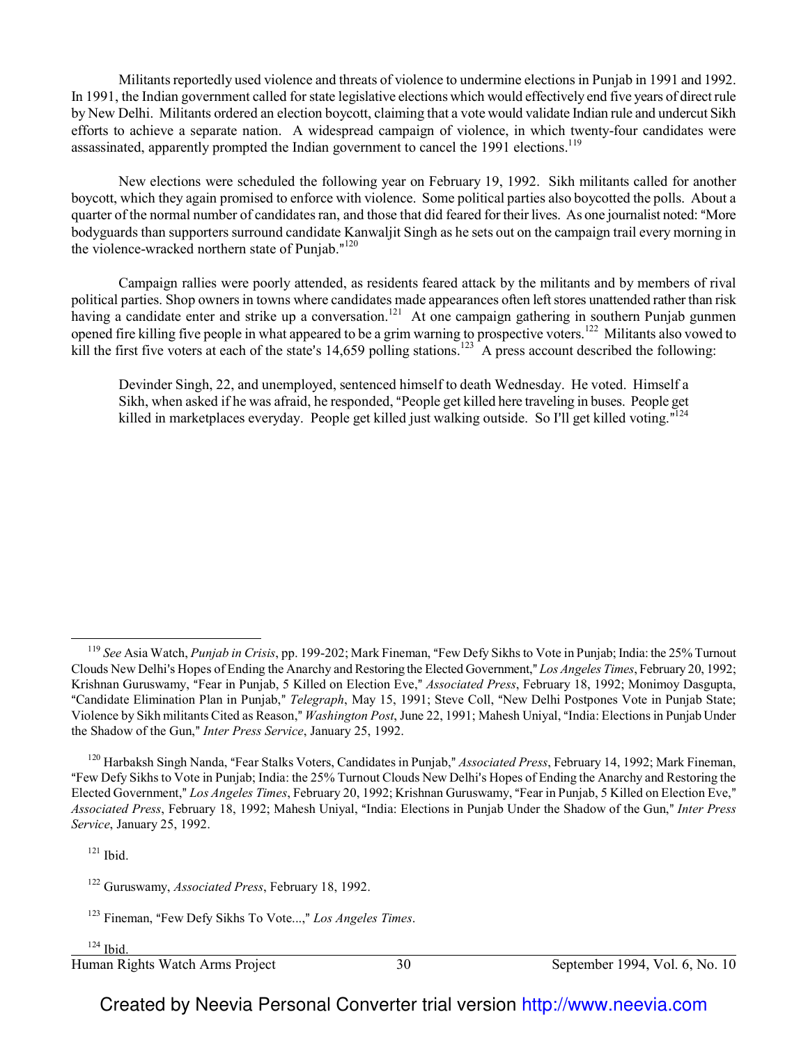Militants reportedly used violence and threats of violence to undermine elections in Punjab in 1991 and 1992. In 1991, the Indian government called for state legislative elections which would effectively end five years of direct rule by New Delhi. Militants ordered an election boycott, claiming that a vote would validate Indian rule and undercut Sikh efforts to achieve a separate nation. A widespread campaign of violence, in which twenty-four candidates were assassinated, apparently prompted the Indian government to cancel the 1991 elections.<sup>119</sup>

New elections were scheduled the following year on February 19, 1992. Sikh militants called for another boycott, which they again promised to enforce with violence. Some political parties also boycotted the polls. About a quarter of the normal number of candidates ran, and those that did feared for their lives. As one journalist noted: "More bodyguards than supporters surround candidate Kanwaljit Singh as he sets out on the campaign trail every morning in the violence-wracked northern state of Punjab."<sup>120</sup>

Campaign rallies were poorly attended, as residents feared attack by the militants and by members of rival political parties. Shop owners in towns where candidates made appearances often left stores unattended rather than risk having a candidate enter and strike up a conversation.<sup>121</sup> At one campaign gathering in southern Punjab gunmen opened fire killing five people in what appeared to be a grim warning to prospective voters.<sup>122</sup> Militants also vowed to kill the first five voters at each of the state's 14,659 polling stations.<sup>123</sup> A press account described the following:

Devinder Singh, 22, and unemployed, sentenced himself to death Wednesday. He voted. Himself a Sikh, when asked if he was afraid, he responded, "People get killed here traveling in buses. People get killed in marketplaces everyday. People get killed just walking outside. So I'll get killed voting."<sup>124</sup>

 $121$  Ibid.

 $\overline{a}$ 

 $124$  Ibid.

l

Human Rights Watch Arms Project 30 September 1994, Vol. 6, No. 10

<sup>&</sup>lt;sup>119</sup> See Asia Watch, *Punjab in Crisis*, pp. 199-202; Mark Fineman, "Few Defy Sikhs to Vote in Punjab; India: the 25% Turnout Clouds New Delhi's Hopes of Ending the Anarchy and Restoring the Elected Government," Los Angeles Times, February 20, 1992; Krishnan Guruswamy, "Fear in Punjab, 5 Killed on Election Eve," *Associated Press*, February 18, 1992; Monimoy Dasgupta, "Candidate Elimination Plan in Punjab," Telegraph, May 15, 1991; Steve Coll, "New Delhi Postpones Vote in Punjab State; Violence by Sikh militants Cited as Reason," Washington Post, June 22, 1991; Mahesh Uniyal, "India: Elections in Punjab Under the Shadow of the Gun," *Inter Press Service*, January 25, 1992.

<sup>&</sup>lt;sup>120</sup> Harbaksh Singh Nanda, "Fear Stalks Voters, Candidates in Punjab," *Associated Press*, February 14, 1992; Mark Fineman, "Few Defy Sikhs to Vote in Punjab; India: the 25% Turnout Clouds New Delhi's Hopes of Ending the Anarchy and Restoring the Elected Government," Los Angeles Times, February 20, 1992; Krishnan Guruswamy, "Fear in Punjab, 5 Killed on Election Eve," *Associated Press*, February 18, 1992; Mahesh Uniyal, "India: Elections in Punjab Under the Shadow of the Gun," Inter Press *Service*, January 25, 1992.

<sup>122</sup> Guruswamy, *Associated Press*, February 18, 1992.

<sup>&</sup>lt;sup>123</sup> Fineman, "Few Defy Sikhs To Vote...," Los Angeles Times.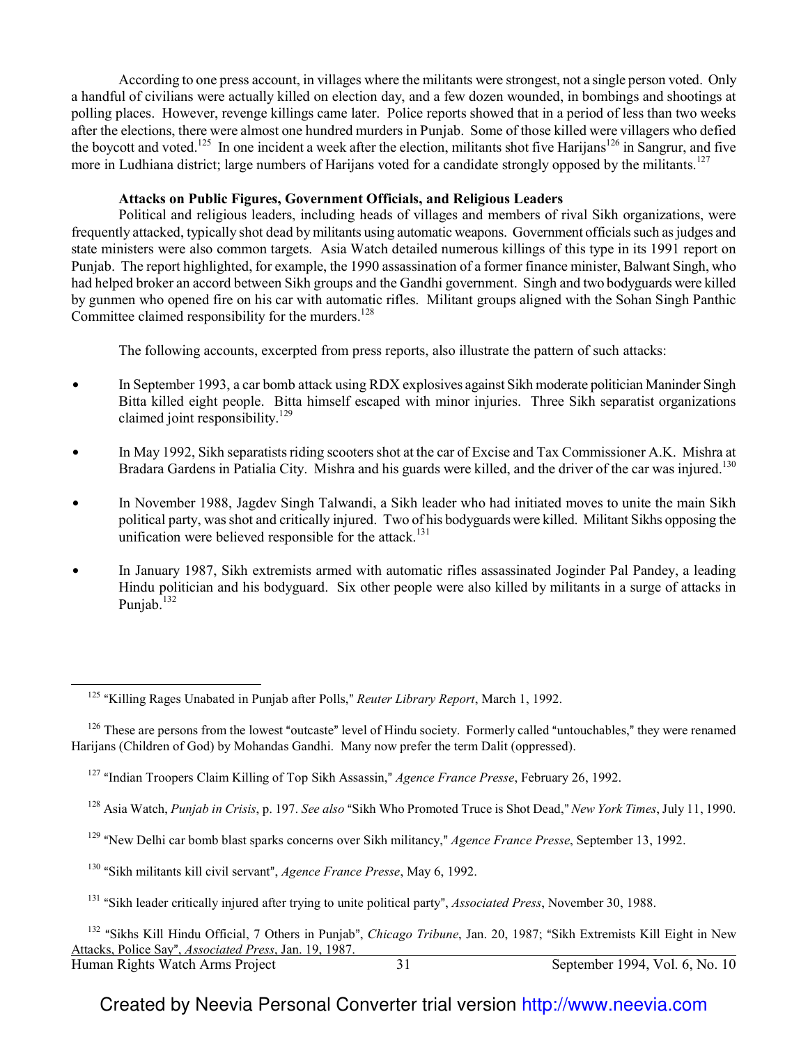According to one press account, in villages where the militants were strongest, not a single person voted. Only a handful of civilians were actually killed on election day, and a few dozen wounded, in bombings and shootings at polling places. However, revenge killings came later. Police reports showed that in a period of less than two weeks after the elections, there were almost one hundred murders in Punjab. Some of those killed were villagers who defied the boycott and voted.<sup>125</sup> In one incident a week after the election, militants shot five Harijans<sup>126</sup> in Sangrur, and five more in Ludhiana district; large numbers of Harijans voted for a candidate strongly opposed by the militants.<sup>127</sup>

## **Attacks on Public Figures, Government Officials, and Religious Leaders**

Political and religious leaders, including heads of villages and members of rival Sikh organizations, were frequently attacked, typically shot dead by militants using automatic weapons. Government officials such as judges and state ministers were also common targets. Asia Watch detailed numerous killings of this type in its 1991 report on Punjab. The report highlighted, for example, the 1990 assassination of a former finance minister, Balwant Singh, who had helped broker an accord between Sikh groups and the Gandhi government. Singh and two bodyguards were killed by gunmen who opened fire on his car with automatic rifles. Militant groups aligned with the Sohan Singh Panthic Committee claimed responsibility for the murders.<sup>128</sup>

The following accounts, excerpted from press reports, also illustrate the pattern of such attacks:

- $\bullet$  In September 1993, a car bomb attack using RDX explosives against Sikh moderate politician Maninder Singh Bitta killed eight people. Bitta himself escaped with minor injuries. Three Sikh separatist organizations claimed joint responsibility.<sup>129</sup>
- In May 1992, Sikh separatists riding scooters shot at the car of Excise and Tax Commissioner A.K. Mishra at Bradara Gardens in Patialia City. Mishra and his guards were killed, and the driver of the car was injured.<sup>130</sup>
- $\bullet$  In November 1988, Jagdev Singh Talwandi, a Sikh leader who had initiated moves to unite the main Sikh political party, was shot and critically injured. Two of his bodyguards were killed. Militant Sikhs opposing the unification were believed responsible for the attack.<sup>131</sup>
- In January 1987, Sikh extremists armed with automatic rifles assassinated Joginder Pal Pandey, a leading Hindu politician and his bodyguard. Six other people were also killed by militants in a surge of attacks in Punjab. $132$

- <sup>128</sup> Asia Watch, *Punjab in Crisis*, p. 197. *See also* "Sikh Who Promoted Truce is Shot Dead," *New York Times*, July 11, 1990.
- <sup>129</sup> "New Delhi car bomb blast sparks concerns over Sikh militancy," *Agence France Presse*, September 13, 1992.
- <sup>130</sup> "Sikh militants kill civil servant", *Agence France Presse*, May 6, 1992.

 $\overline{\phantom{0}}$ 

<sup>&</sup>lt;sup>125</sup> "Killing Rages Unabated in Punjab after Polls," *Reuter Library Report*, March 1, 1992.

 $126$  These are persons from the lowest "outcaste" level of Hindu society. Formerly called "untouchables," they were renamed Harijans (Children of God) by Mohandas Gandhi. Many now prefer the term Dalit (oppressed).

<sup>&</sup>lt;sup>127</sup> "Indian Troopers Claim Killing of Top Sikh Assassin," *Agence France Presse*, February 26, 1992.

<sup>&</sup>lt;sup>131</sup> "Sikh leader critically injured after trying to unite political party", *Associated Press*, November 30, 1988.

Human Rights Watch Arms Project 31 September 1994, Vol. 6, No. 10 <sup>132</sup> "Sikhs Kill Hindu Official, 7 Others in Punjab", *Chicago Tribune*, Jan. 20, 1987; "Sikh Extremists Kill Eight in New Attacks, Police Say", *Associated Press*, Jan. 19, 1987.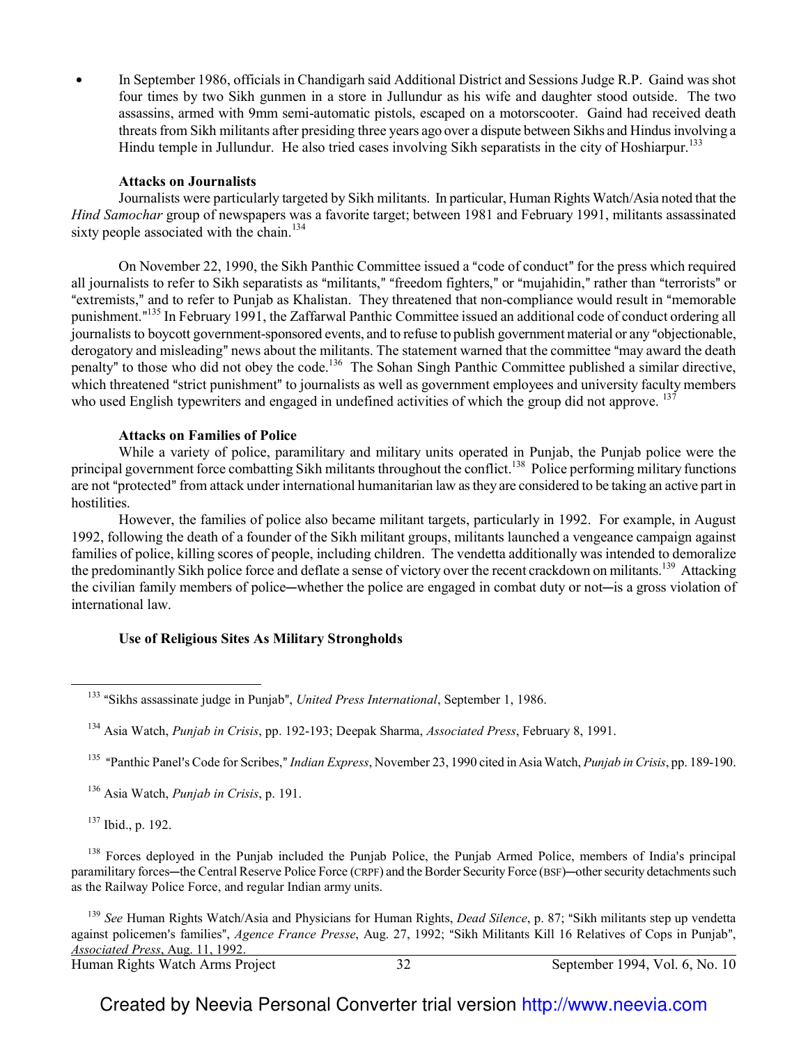In September 1986, officials in Chandigarh said Additional District and Sessions Judge R.P. Gaind was shot four times by two Sikh gunmen in a store in Jullundur as his wife and daughter stood outside. The two assassins, armed with 9mm semi-automatic pistols, escaped on a motorscooter. Gaind had received death threats from Sikh militants after presiding three years ago over a dispute between Sikhs and Hindus involving a Hindu temple in Jullundur. He also tried cases involving Sikh separatists in the city of Hoshiarpur.<sup>133</sup>

#### **Attacks on Journalists**

Journalists were particularly targeted by Sikh militants. In particular, Human Rights Watch/Asia noted that the *Hind Samochar* group of newspapers was a favorite target; between 1981 and February 1991, militants assassinated sixty people associated with the chain.<sup>134</sup>

On November 22, 1990, the Sikh Panthic Committee issued a "code of conduct" for the press which required all journalists to refer to Sikh separatists as "militants," "freedom fighters," or "mujahidin," rather than "terrorists" or "extremists," and to refer to Punjab as Khalistan. They threatened that non-compliance would result in "memorable punishment."<sup>135</sup> In February 1991, the Zaffarwal Panthic Committee issued an additional code of conduct ordering all journalists to boycott government-sponsored events, and to refuse to publish government material or any "objectionable, derogatory and misleading" news about the militants. The statement warned that the committee "may award the death penalty" to those who did not obey the code.<sup>136</sup> The Sohan Singh Panthic Committee published a similar directive, which threatened "strict punishment" to journalists as well as government employees and university faculty members who used English typewriters and engaged in undefined activities of which the group did not approve. <sup>137</sup>

#### **Attacks on Families of Police**

While a variety of police, paramilitary and military units operated in Punjab, the Punjab police were the principal government force combatting Sikh militants throughout the conflict.<sup>138</sup> Police performing military functions are not "protected" from attack under international humanitarian law as they are considered to be taking an active part in hostilities.

However, the families of police also became militant targets, particularly in 1992. For example, in August 1992, following the death of a founder of the Sikh militant groups, militants launched a vengeance campaign against families of police, killing scores of people, including children. The vendetta additionally was intended to demoralize the predominantly Sikh police force and deflate a sense of victory over the recent crackdown on militants.<sup>139</sup> Attacking the civilian family members of police—whether the police are engaged in combat duty or not—is a gross violation of international law.

## **Use of Religious Sites As Military Strongholds**

<sup>135</sup> "Panthic Panel's Code for Scribes," *Indian Express*, November 23, 1990 cited in Asia Watch, *Punjab in Crisis*, pp. 189-190.

<sup>136</sup> Asia Watch, *Punjab in Crisis*, p. 191.

 $137$  Ibid., p. 192.

 $\overline{\phantom{0}}$ 

 $138$  Forces deployed in the Punjab included the Punjab Police, the Punjab Armed Police, members of India's principal paramilitary forces—the Central Reserve Police Force (CRPF) and the Border Security Force (BSF)—other security detachments such as the Railway Police Force, and regular Indian army units.

Human Rights Watch Arms Project 32 September 1994, Vol. 6, No. 10 <sup>139</sup> *See* Human Rights Watch/Asia and Physicians for Human Rights, *Dead Silence*, p. 87; "Sikh militants step up vendetta against policemen's families", *Agence France Presse*, Aug. 27, 1992; "Sikh Militants Kill 16 Relatives of Cops in Punjab", *Associated Press*, Aug. 11, 1992.

<sup>&</sup>lt;sup>133</sup> "Sikhs assassinate judge in Punjab", *United Press International*, September 1, 1986.

<sup>134</sup> Asia Watch, *Punjab in Crisis*, pp. 192-193; Deepak Sharma, *Associated Press*, February 8, 1991.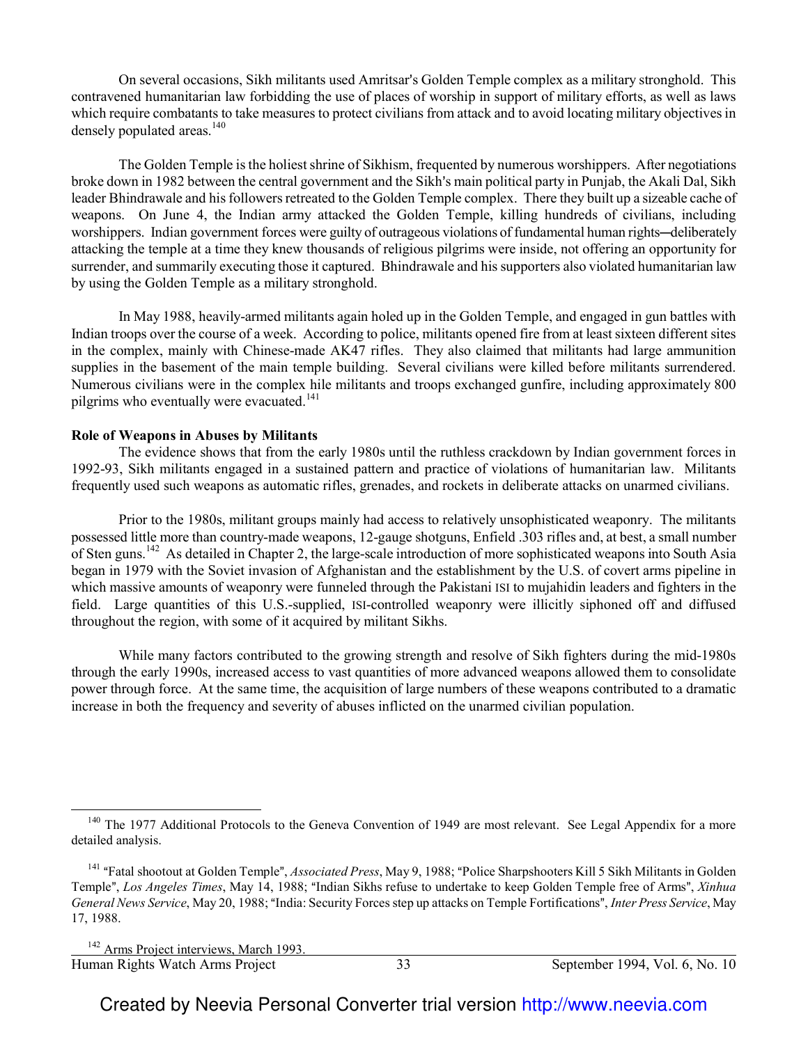On several occasions, Sikh militants used Amritsar's Golden Temple complex as a military stronghold. This contravened humanitarian law forbidding the use of places of worship in support of military efforts, as well as laws which require combatants to take measures to protect civilians from attack and to avoid locating military objectives in densely populated areas.<sup>140</sup>

The Golden Temple is the holiest shrine of Sikhism, frequented by numerous worshippers. After negotiations broke down in 1982 between the central government and the Sikh's main political party in Punjab, the Akali Dal, Sikh leader Bhindrawale and his followers retreated to the Golden Temple complex. There they built up a sizeable cache of weapons. On June 4, the Indian army attacked the Golden Temple, killing hundreds of civilians, including worshippers. Indian government forces were guilty of outrageous violations of fundamental human rights—deliberately attacking the temple at a time they knew thousands of religious pilgrims were inside, not offering an opportunity for surrender, and summarily executing those it captured. Bhindrawale and his supporters also violated humanitarian law by using the Golden Temple as a military stronghold.

In May 1988, heavily-armed militants again holed up in the Golden Temple, and engaged in gun battles with Indian troops over the course of a week. According to police, militants opened fire from at least sixteen different sites in the complex, mainly with Chinese-made AK47 rifles. They also claimed that militants had large ammunition supplies in the basement of the main temple building. Several civilians were killed before militants surrendered. Numerous civilians were in the complex hile militants and troops exchanged gunfire, including approximately 800 pilgrims who eventually were evacuated.<sup>141</sup>

#### **Role of Weapons in Abuses by Militants**

The evidence shows that from the early 1980s until the ruthless crackdown by Indian government forces in 1992-93, Sikh militants engaged in a sustained pattern and practice of violations of humanitarian law. Militants frequently used such weapons as automatic rifles, grenades, and rockets in deliberate attacks on unarmed civilians.

Prior to the 1980s, militant groups mainly had access to relatively unsophisticated weaponry. The militants possessed little more than country-made weapons, 12-gauge shotguns, Enfield .303 rifles and, at best, a small number of Sten guns.<sup>142</sup> As detailed in Chapter 2, the large-scale introduction of more sophisticated weapons into South Asia began in 1979 with the Soviet invasion of Afghanistan and the establishment by the U.S. of covert arms pipeline in which massive amounts of weaponry were funneled through the Pakistani ISI to mujahidin leaders and fighters in the field. Large quantities of this U.S.-supplied, ISI-controlled weaponry were illicitly siphoned off and diffused throughout the region, with some of it acquired by militant Sikhs.

While many factors contributed to the growing strength and resolve of Sikh fighters during the mid-1980s through the early 1990s, increased access to vast quantities of more advanced weapons allowed them to consolidate power through force. At the same time, the acquisition of large numbers of these weapons contributed to a dramatic increase in both the frequency and severity of abuses inflicted on the unarmed civilian population.

 $\overline{a}$ 

 $140$  The 1977 Additional Protocols to the Geneva Convention of 1949 are most relevant. See Legal Appendix for a more detailed analysis.

<sup>&</sup>lt;sup>141</sup> "Fatal shootout at Golden Temple", *Associated Press*, May 9, 1988; "Police Sharpshooters Kill 5 Sikh Militants in Golden Temple", *Los Angeles Times*, May 14, 1988; "Indian Sikhs refuse to undertake to keep Golden Temple free of Arms", *Xinhua General News Service*, May 20, 1988; "India: Security Forces step up attacks on Temple Fortifications", *Inter Press Service*, May 17, 1988.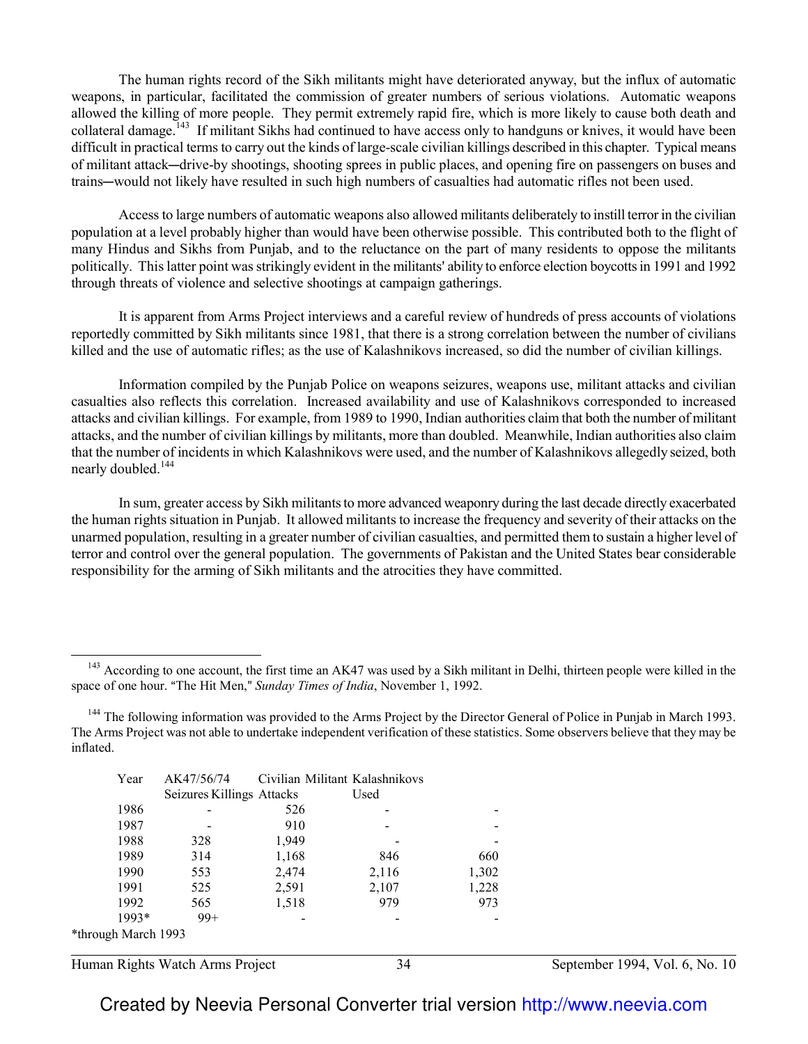The human rights record of the Sikh militants might have deteriorated anyway, but the influx of automatic weapons, in particular, facilitated the commission of greater numbers of serious violations. Automatic weapons allowed the killing of more people. They permit extremely rapid fire, which is more likely to cause both death and collateral damage.<sup>143</sup> If militant Sikhs had continued to have access only to handguns or knives, it would have been difficult in practical terms to carry out the kinds of large-scale civilian killings described in this chapter. Typical means of militant attack—drive-by shootings, shooting sprees in public places, and opening fire on passengers on buses and trains—would not likely have resulted in such high numbers of casualties had automatic rifles not been used.

Access to large numbers of automatic weapons also allowed militants deliberately to instill terror in the civilian population at a level probably higher than would have been otherwise possible. This contributed both to the flight of many Hindus and Sikhs from Punjab, and to the reluctance on the part of many residents to oppose the militants politically. This latter point was strikingly evident in the militants' ability to enforce election boycotts in 1991 and 1992 through threats of violence and selective shootings at campaign gatherings.

It is apparent from Arms Project interviews and a careful review of hundreds of press accounts of violations reportedly committed by Sikh militants since 1981, that there is a strong correlation between the number of civilians killed and the use of automatic rifles; as the use of Kalashnikovs increased, so did the number of civilian killings.

Information compiled by the Punjab Police on weapons seizures, weapons use, militant attacks and civilian casualties also reflects this correlation. Increased availability and use of Kalashnikovs corresponded to increased attacks and civilian killings. For example, from 1989 to 1990, Indian authorities claim that both the number of militant attacks, and the number of civilian killings by militants, more than doubled. Meanwhile, Indian authorities also claim that the number of incidents in which Kalashnikovs were used, and the number of Kalashnikovs allegedly seized, both nearly doubled.<sup>144</sup>

In sum, greater access by Sikh militants to more advanced weaponry during the last decade directly exacerbated the human rights situation in Punjab. It allowed militants to increase the frequency and severity of their attacks on the unarmed population, resulting in a greater number of civilian casualties, and permitted them to sustain a higher level of terror and control over the general population. The governments of Pakistan and the United States bear considerable responsibility for the arming of Sikh militants and the atrocities they have committed.

<sup>&</sup>lt;sup>144</sup> The following information was provided to the Arms Project by the Director General of Police in Punjab in March 1993. The Arms Project was not able to undertake independent verification of these statistics. Some observers believe that they may be inflated.

| Year                | AK47/56/74                |       | Civilian Militant Kalashnikovs |       |
|---------------------|---------------------------|-------|--------------------------------|-------|
|                     | Seizures Killings Attacks |       | Used                           |       |
| 1986                |                           | 526   |                                |       |
| 1987                |                           | 910   |                                |       |
| 1988                | 328                       | 1,949 |                                |       |
| 1989                | 314                       | 1,168 | 846                            | 660   |
| 1990                | 553                       | 2,474 | 2,116                          | 1,302 |
| 1991                | 525                       | 2,591 | 2,107                          | 1,228 |
| 1992                | 565                       | 1,518 | 979                            | 973   |
| 1993*               | $99+$                     |       |                                |       |
| *through March 1993 |                           |       |                                |       |

Human Rights Watch Arms Project 34 September 1994, Vol. 6, No. 10

 $\overline{a}$ 

<sup>&</sup>lt;sup>143</sup> According to one account, the first time an AK47 was used by a Sikh militant in Delhi, thirteen people were killed in the space of one hour. "The Hit Men," Sunday Times of India, November 1, 1992.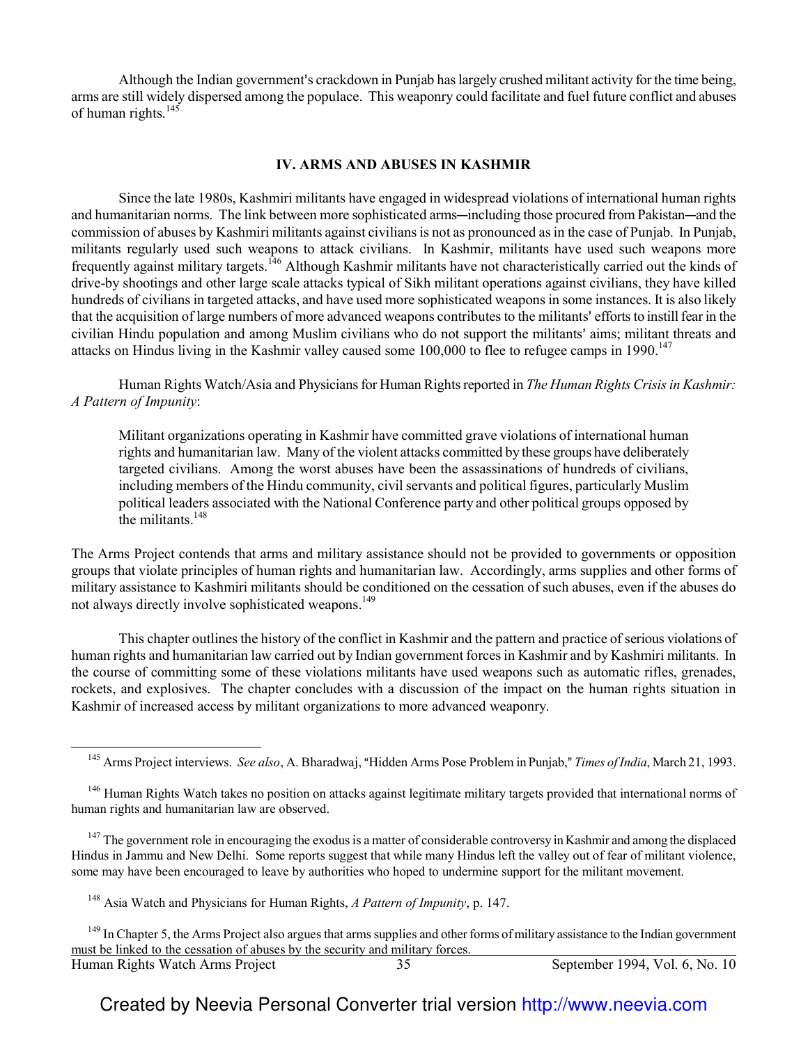Although the Indian government's crackdown in Punjab has largely crushed militant activity for the time being, arms are still widely dispersed among the populace. This weaponry could facilitate and fuel future conflict and abuses of human rights.<sup>145</sup>

#### **IV. ARMS AND ABUSES IN KASHMIR**

Since the late 1980s, Kashmiri militants have engaged in widespread violations of international human rights and humanitarian norms. The link between more sophisticated arms—including those procured from Pakistan—and the commission of abuses by Kashmiri militants against civilians is not as pronounced as in the case of Punjab. In Punjab, militants regularly used such weapons to attack civilians. In Kashmir, militants have used such weapons more frequently against military targets.<sup>146</sup> Although Kashmir militants have not characteristically carried out the kinds of drive-by shootings and other large scale attacks typical of Sikh militant operations against civilians, they have killed hundreds of civilians in targeted attacks, and have used more sophisticated weapons in some instances. It is also likely that the acquisition of large numbers of more advanced weapons contributes to the militants' efforts to instill fear in the civilian Hindu population and among Muslim civilians who do not support the militants' aims; militant threats and attacks on Hindus living in the Kashmir valley caused some 100,000 to flee to refugee camps in 1990.<sup>147</sup>

Human Rights Watch/Asia and Physicians for Human Rights reported in *The Human Rights Crisis in Kashmir: A Pattern of Impunity*:

Militant organizations operating in Kashmir have committed grave violations of international human rights and humanitarian law. Many of the violent attacks committed by these groups have deliberately targeted civilians. Among the worst abuses have been the assassinations of hundreds of civilians, including members of the Hindu community, civil servants and political figures, particularly Muslim political leaders associated with the National Conference party and other political groups opposed by the militants.<sup>148</sup>

The Arms Project contends that arms and military assistance should not be provided to governments or opposition groups that violate principles of human rights and humanitarian law. Accordingly, arms supplies and other forms of military assistance to Kashmiri militants should be conditioned on the cessation of such abuses, even if the abuses do not always directly involve sophisticated weapons.<sup>149</sup>

This chapter outlines the history of the conflict in Kashmir and the pattern and practice of serious violations of human rights and humanitarian law carried out by Indian government forces in Kashmir and by Kashmiri militants. In the course of committing some of these violations militants have used weapons such as automatic rifles, grenades, rockets, and explosives. The chapter concludes with a discussion of the impact on the human rights situation in Kashmir of increased access by militant organizations to more advanced weaponry.

<sup>147</sup> The government role in encouraging the exodus is a matter of considerable controversy in Kashmir and among the displaced Hindus in Jammu and New Delhi. Some reports suggest that while many Hindus left the valley out of fear of militant violence, some may have been encouraged to leave by authorities who hoped to undermine support for the militant movement.

 $\overline{\phantom{0}}$ 

<sup>&</sup>lt;sup>145</sup> Arms Project interviews. *See also*, A. Bharadwaj, "Hidden Arms Pose Problem in Punjab," *Times of India*, March 21, 1993.

<sup>&</sup>lt;sup>146</sup> Human Rights Watch takes no position on attacks against legitimate military targets provided that international norms of human rights and humanitarian law are observed.

<sup>148</sup> Asia Watch and Physicians for Human Rights, *A Pattern of Impunity*, p. 147.

Human Rights Watch Arms Project 35 September 1994, Vol. 6, No. 10 <sup>149</sup> In Chapter 5, the Arms Project also argues that arms supplies and other forms of military assistance to the Indian government must be linked to the cessation of abuses by the security and military forces.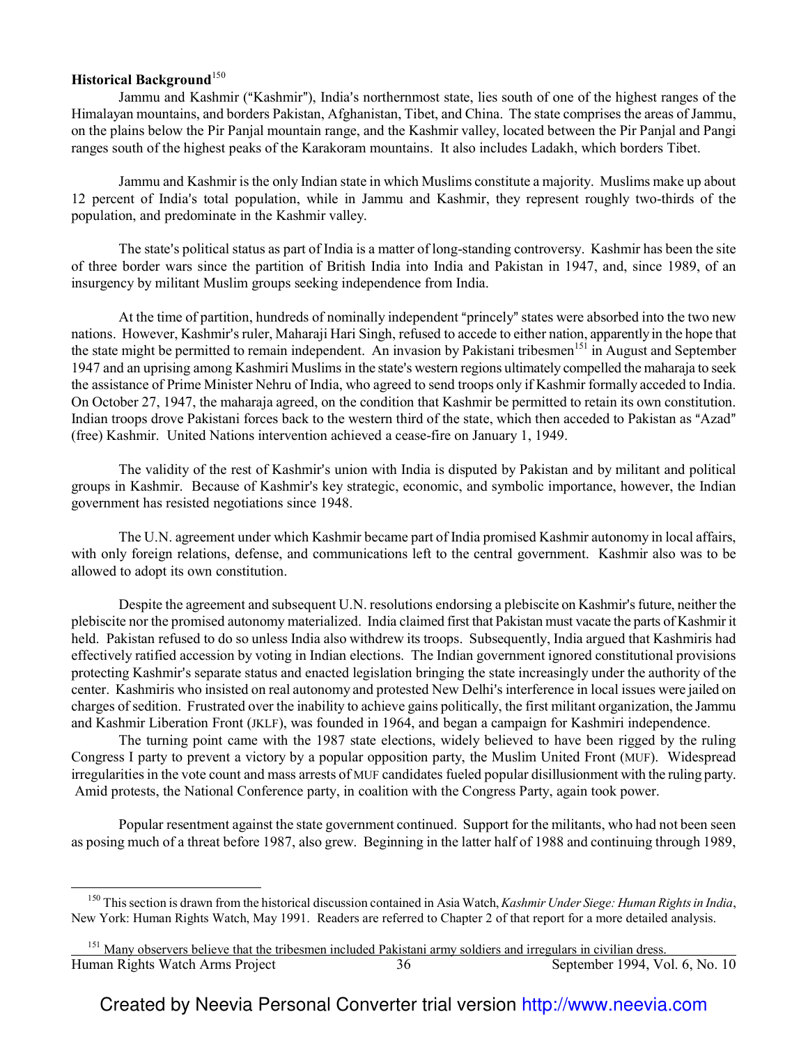## **Historical Background**<sup>150</sup>

 $\overline{\phantom{0}}$ 

Jammu and Kashmir ("Kashmir"), India's northernmost state, lies south of one of the highest ranges of the Himalayan mountains, and borders Pakistan, Afghanistan, Tibet, and China. The state comprises the areas of Jammu, on the plains below the Pir Panjal mountain range, and the Kashmir valley, located between the Pir Panjal and Pangi ranges south of the highest peaks of the Karakoram mountains. It also includes Ladakh, which borders Tibet.

Jammu and Kashmir is the only Indian state in which Muslims constitute a majority. Muslims make up about 12 percent of India's total population, while in Jammu and Kashmir, they represent roughly two-thirds of the population, and predominate in the Kashmir valley.

The state's political status as part of India is a matter of long-standing controversy. Kashmir has been the site of three border wars since the partition of British India into India and Pakistan in 1947, and, since 1989, of an insurgency by militant Muslim groups seeking independence from India.

At the time of partition, hundreds of nominally independent "princely" states were absorbed into the two new nations. However, Kashmir's ruler, Maharaji Hari Singh, refused to accede to either nation, apparently in the hope that the state might be permitted to remain independent. An invasion by Pakistani tribesmen<sup>151</sup> in August and September 1947 and an uprising among Kashmiri Muslims in the state's western regions ultimately compelled the maharaja to seek the assistance of Prime Minister Nehru of India, who agreed to send troops only if Kashmir formally acceded to India. On October 27, 1947, the maharaja agreed, on the condition that Kashmir be permitted to retain its own constitution. Indian troops drove Pakistani forces back to the western third of the state, which then acceded to Pakistan as "Azad" (free) Kashmir. United Nations intervention achieved a cease-fire on January 1, 1949.

The validity of the rest of Kashmir's union with India is disputed by Pakistan and by militant and political groups in Kashmir. Because of Kashmir's key strategic, economic, and symbolic importance, however, the Indian government has resisted negotiations since 1948.

The U.N. agreement under which Kashmir became part of India promised Kashmir autonomy in local affairs, with only foreign relations, defense, and communications left to the central government. Kashmir also was to be allowed to adopt its own constitution.

Despite the agreement and subsequent U.N. resolutions endorsing a plebiscite on Kashmir's future, neither the plebiscite nor the promised autonomy materialized. India claimed first that Pakistan must vacate the parts of Kashmir it held. Pakistan refused to do so unless India also withdrew its troops. Subsequently, India argued that Kashmiris had effectively ratified accession by voting in Indian elections. The Indian government ignored constitutional provisions protecting Kashmir's separate status and enacted legislation bringing the state increasingly under the authority of the center. Kashmiris who insisted on real autonomy and protested New Delhi's interference in local issues were jailed on charges of sedition. Frustrated over the inability to achieve gains politically, the first militant organization, the Jammu and Kashmir Liberation Front (JKLF), was founded in 1964, and began a campaign for Kashmiri independence.

The turning point came with the 1987 state elections, widely believed to have been rigged by the ruling Congress I party to prevent a victory by a popular opposition party, the Muslim United Front (MUF). Widespread irregularities in the vote count and mass arrests of MUF candidates fueled popular disillusionment with the ruling party. Amid protests, the National Conference party, in coalition with the Congress Party, again took power.

Popular resentment against the state government continued. Support for the militants, who had not been seen as posing much of a threat before 1987, also grew. Beginning in the latter half of 1988 and continuing through 1989,

<sup>150</sup> This section is drawn from the historical discussion contained in Asia Watch, *Kashmir Under Siege: Human Rights in India*, New York: Human Rights Watch, May 1991. Readers are referred to Chapter 2 of that report for a more detailed analysis.

Human Rights Watch Arms Project 36 September 1994, Vol. 6, No. 10 l <sup>151</sup> Many observers believe that the tribesmen included Pakistani army soldiers and irregulars in civilian dress.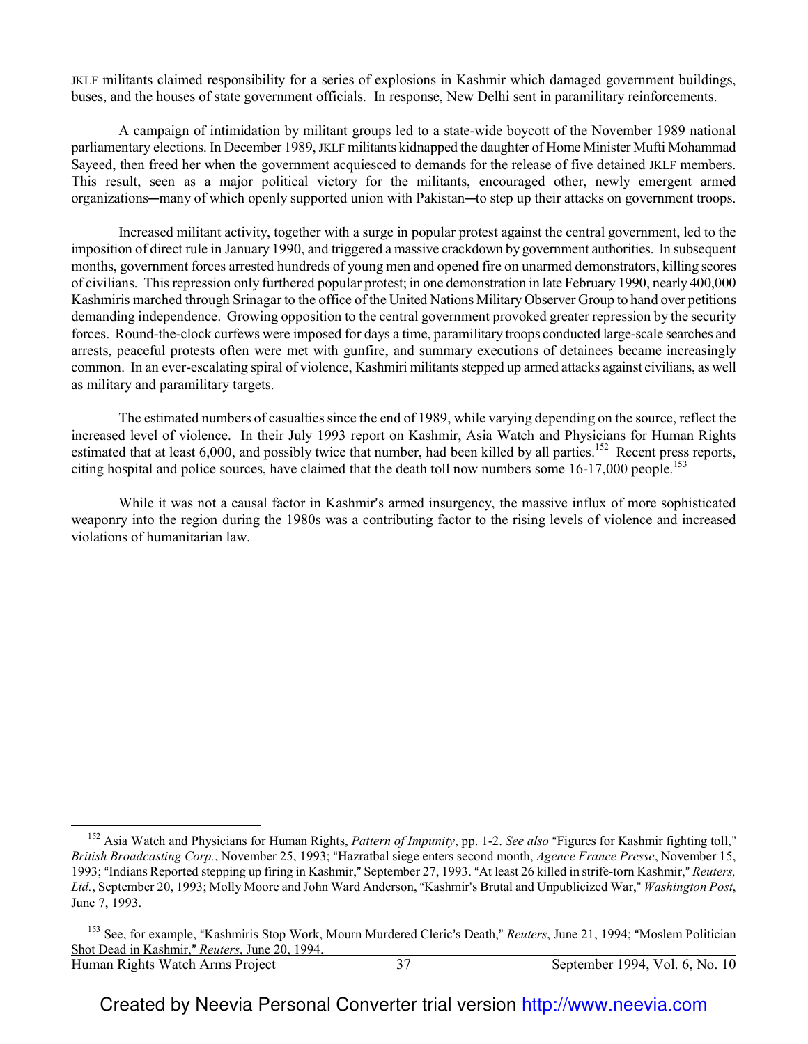JKLF militants claimed responsibility for a series of explosions in Kashmir which damaged government buildings, buses, and the houses of state government officials. In response, New Delhi sent in paramilitary reinforcements.

A campaign of intimidation by militant groups led to a state-wide boycott of the November 1989 national parliamentary elections. In December 1989, JKLF militants kidnapped the daughter of Home Minister Mufti Mohammad Sayeed, then freed her when the government acquiesced to demands for the release of five detained JKLF members. This result, seen as a major political victory for the militants, encouraged other, newly emergent armed organizations—many of which openly supported union with Pakistan—to step up their attacks on government troops.

Increased militant activity, together with a surge in popular protest against the central government, led to the imposition of direct rule in January 1990, and triggered a massive crackdown by government authorities. In subsequent months, government forces arrested hundreds of young men and opened fire on unarmed demonstrators, killing scores of civilians. This repression only furthered popular protest; in one demonstration in late February 1990, nearly 400,000 Kashmiris marched through Srinagar to the office of the United Nations Military Observer Group to hand over petitions demanding independence. Growing opposition to the central government provoked greater repression by the security forces. Round-the-clock curfews were imposed for days a time, paramilitary troops conducted large-scale searches and arrests, peaceful protests often were met with gunfire, and summary executions of detainees became increasingly common. In an ever-escalating spiral of violence, Kashmiri militants stepped up armed attacks against civilians, as well as military and paramilitary targets.

The estimated numbers of casualties since the end of 1989, while varying depending on the source, reflect the increased level of violence. In their July 1993 report on Kashmir, Asia Watch and Physicians for Human Rights estimated that at least 6,000, and possibly twice that number, had been killed by all parties.<sup>152</sup> Recent press reports, citing hospital and police sources, have claimed that the death toll now numbers some 16-17,000 people.<sup>153</sup>

While it was not a causal factor in Kashmir's armed insurgency, the massive influx of more sophisticated weaponry into the region during the 1980s was a contributing factor to the rising levels of violence and increased violations of humanitarian law.

 $\overline{a}$ 

<sup>&</sup>lt;sup>152</sup> Asia Watch and Physicians for Human Rights, *Pattern of Impunity*, pp. 1-2. *See also* "Figures for Kashmir fighting toll," *British Broadcasting Corp.*, November 25, 1993; "Hazratbal siege enters second month, *Agence France Presse*, November 15, 1993; "Indians Reported stepping up firing in Kashmir," September 27, 1993. "At least 26 killed in strife-torn Kashmir," *Reuters*, Ltd., September 20, 1993; Molly Moore and John Ward Anderson, "Kashmir's Brutal and Unpublicized War," Washington Post, June 7, 1993.

Human Rights Watch Arms Project 37 September 1994, Vol. 6, No. 10 <sup>153</sup> See, for example, "Kashmiris Stop Work, Mourn Murdered Cleric's Death," Reuters, June 21, 1994; "Moslem Politician Shot Dead in Kashmir," Reuters, June 20, 1994.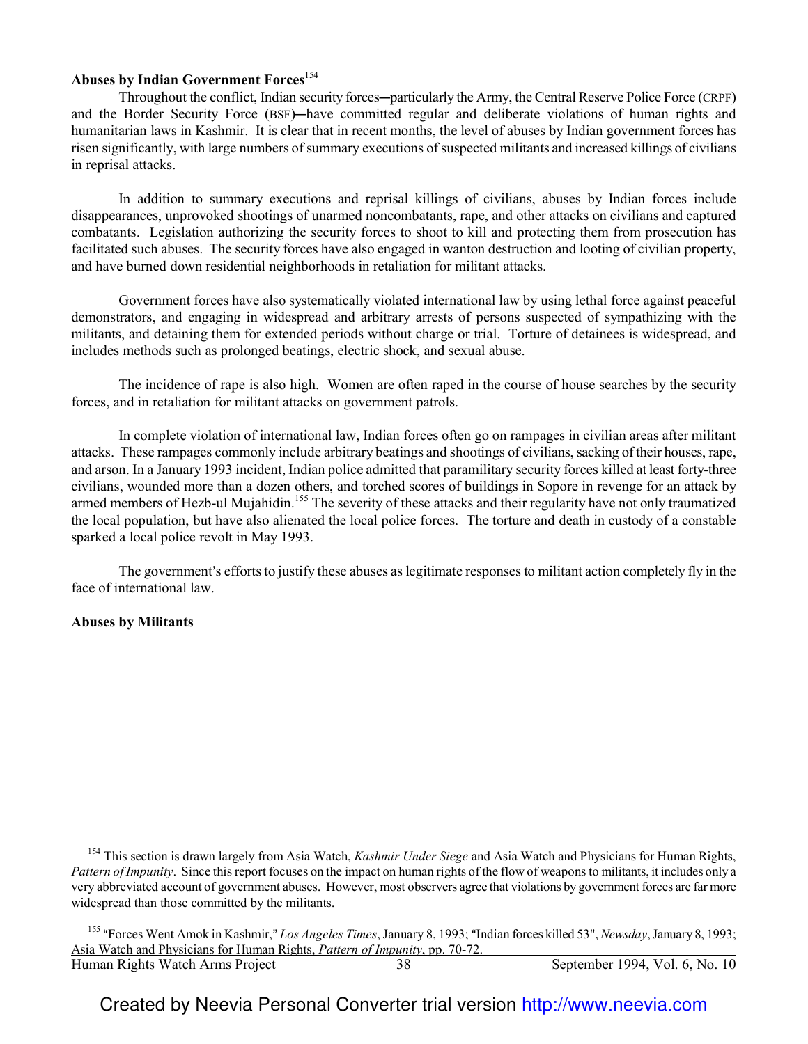## **Abuses by Indian Government Forces**<sup>154</sup>

Throughout the conflict, Indian security forces—particularly the Army, the Central Reserve Police Force (CRPF) and the Border Security Force (BSF)—have committed regular and deliberate violations of human rights and humanitarian laws in Kashmir. It is clear that in recent months, the level of abuses by Indian government forces has risen significantly, with large numbers of summary executions of suspected militants and increased killings of civilians in reprisal attacks.

In addition to summary executions and reprisal killings of civilians, abuses by Indian forces include disappearances, unprovoked shootings of unarmed noncombatants, rape, and other attacks on civilians and captured combatants. Legislation authorizing the security forces to shoot to kill and protecting them from prosecution has facilitated such abuses. The security forces have also engaged in wanton destruction and looting of civilian property, and have burned down residential neighborhoods in retaliation for militant attacks.

Government forces have also systematically violated international law by using lethal force against peaceful demonstrators, and engaging in widespread and arbitrary arrests of persons suspected of sympathizing with the militants, and detaining them for extended periods without charge or trial. Torture of detainees is widespread, and includes methods such as prolonged beatings, electric shock, and sexual abuse.

The incidence of rape is also high. Women are often raped in the course of house searches by the security forces, and in retaliation for militant attacks on government patrols.

In complete violation of international law, Indian forces often go on rampages in civilian areas after militant attacks. These rampages commonly include arbitrary beatings and shootings of civilians, sacking of their houses, rape, and arson. In a January 1993 incident, Indian police admitted that paramilitary security forces killed at least forty-three civilians, wounded more than a dozen others, and torched scores of buildings in Sopore in revenge for an attack by armed members of Hezb-ul Mujahidin.<sup>155</sup> The severity of these attacks and their regularity have not only traumatized the local population, but have also alienated the local police forces. The torture and death in custody of a constable sparked a local police revolt in May 1993.

The government's efforts to justify these abuses as legitimate responses to militant action completely fly in the face of international law.

#### **Abuses by Militants**

 $\overline{\phantom{0}}$ 

<sup>154</sup> This section is drawn largely from Asia Watch, *Kashmir Under Siege* and Asia Watch and Physicians for Human Rights, *Pattern of Impunity*. Since this report focuses on the impact on human rights of the flow of weapons to militants, it includes only a very abbreviated account of government abuses. However, most observers agree that violations by government forces are far more widespread than those committed by the militants.

Human Rights Watch Arms Project 38 September 1994, Vol. 6, No. 10 <sup>155</sup> "Forces Went Amok in Kashmir," Los Angeles Times, January 8, 1993; "Indian forces killed 53", *Newsday*, January 8, 1993; Asia Watch and Physicians for Human Rights, *Pattern of Impunity*, pp. 70-72.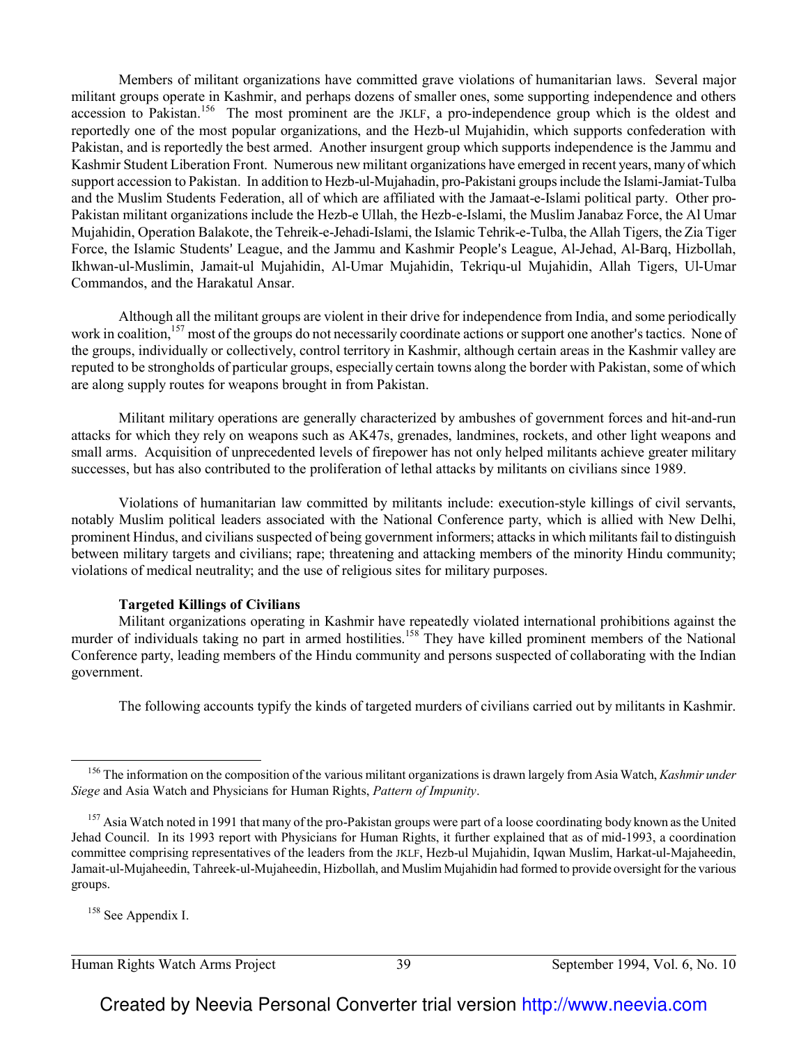Members of militant organizations have committed grave violations of humanitarian laws. Several major militant groups operate in Kashmir, and perhaps dozens of smaller ones, some supporting independence and others accession to Pakistan.<sup>156</sup> The most prominent are the JKLF, a pro-independence group which is the oldest and reportedly one of the most popular organizations, and the Hezb-ul Mujahidin, which supports confederation with Pakistan, and is reportedly the best armed. Another insurgent group which supports independence is the Jammu and Kashmir Student Liberation Front. Numerous new militant organizations have emerged in recent years, many of which support accession to Pakistan. In addition to Hezb-ul-Mujahadin, pro-Pakistani groups include the Islami-Jamiat-Tulba and the Muslim Students Federation, all of which are affiliated with the Jamaat-e-Islami political party. Other pro-Pakistan militant organizations include the Hezb-e Ullah, the Hezb-e-Islami, the Muslim Janabaz Force, the Al Umar Mujahidin, Operation Balakote, the Tehreik-e-Jehadi-Islami, the Islamic Tehrik-e-Tulba, the Allah Tigers, the Zia Tiger Force, the Islamic Students' League, and the Jammu and Kashmir People's League, Al-Jehad, Al-Barq, Hizbollah, Ikhwan-ul-Muslimin, Jamait-ul Mujahidin, Al-Umar Mujahidin, Tekriqu-ul Mujahidin, Allah Tigers, Ul-Umar Commandos, and the Harakatul Ansar.

Although all the militant groups are violent in their drive for independence from India, and some periodically work in coalition,<sup>157</sup> most of the groups do not necessarily coordinate actions or support one another's tactics. None of the groups, individually or collectively, control territory in Kashmir, although certain areas in the Kashmir valley are reputed to be strongholds of particular groups, especially certain towns along the border with Pakistan, some of which are along supply routes for weapons brought in from Pakistan.

Militant military operations are generally characterized by ambushes of government forces and hit-and-run attacks for which they rely on weapons such as AK47s, grenades, landmines, rockets, and other light weapons and small arms. Acquisition of unprecedented levels of firepower has not only helped militants achieve greater military successes, but has also contributed to the proliferation of lethal attacks by militants on civilians since 1989.

 Violations of humanitarian law committed by militants include: execution-style killings of civil servants, notably Muslim political leaders associated with the National Conference party, which is allied with New Delhi, prominent Hindus, and civilians suspected of being government informers; attacks in which militants fail to distinguish between military targets and civilians; rape; threatening and attacking members of the minority Hindu community; violations of medical neutrality; and the use of religious sites for military purposes.

#### **Targeted Killings of Civilians**

Militant organizations operating in Kashmir have repeatedly violated international prohibitions against the murder of individuals taking no part in armed hostilities.<sup>158</sup> They have killed prominent members of the National Conference party, leading members of the Hindu community and persons suspected of collaborating with the Indian government.

The following accounts typify the kinds of targeted murders of civilians carried out by militants in Kashmir.

<sup>158</sup> See Appendix I.

 $\overline{\phantom{0}}$ 

Human Rights Watch Arms Project 39 September 1994, Vol. 6, No. 10

<sup>156</sup> The information on the composition of the various militant organizations is drawn largely from Asia Watch, *Kashmir under Siege* and Asia Watch and Physicians for Human Rights, *Pattern of Impunity*.

<sup>&</sup>lt;sup>157</sup> Asia Watch noted in 1991 that many of the pro-Pakistan groups were part of a loose coordinating body known as the United Jehad Council. In its 1993 report with Physicians for Human Rights, it further explained that as of mid-1993, a coordination committee comprising representatives of the leaders from the JKLF, Hezb-ul Mujahidin, Iqwan Muslim, Harkat-ul-Majaheedin, Jamait-ul-Mujaheedin, Tahreek-ul-Mujaheedin, Hizbollah, and Muslim Mujahidin had formed to provide oversight for the various groups.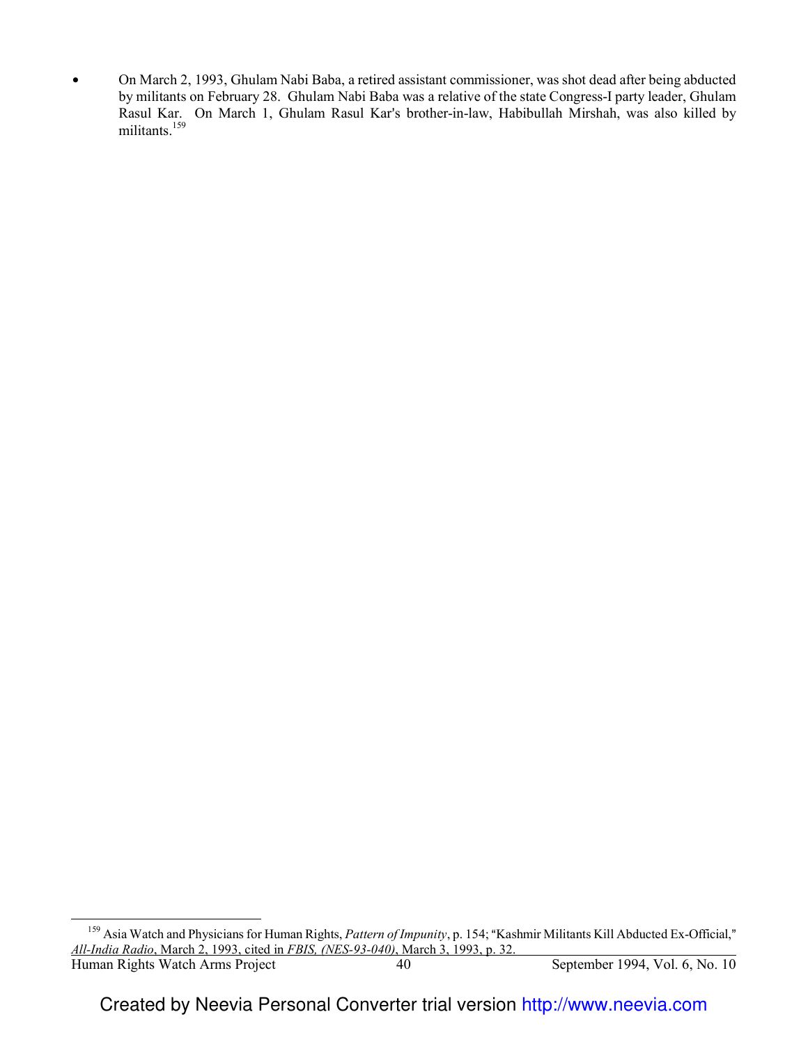$\bullet$  On March 2, 1993, Ghulam Nabi Baba, a retired assistant commissioner, was shot dead after being abducted by militants on February 28. Ghulam Nabi Baba was a relative of the state Congress-I party leader, Ghulam Rasul Kar. On March 1, Ghulam Rasul Kar's brother-in-law, Habibullah Mirshah, was also killed by militants.<sup>159</sup>

 $\overline{\phantom{0}}$ 

Human Rights Watch Arms Project 40 September 1994, Vol. 6, No. 10 <sup>159</sup> Asia Watch and Physicians for Human Rights, *Pattern of Impunity*, p. 154; "Kashmir Militants Kill Abducted Ex-Official," *All-India Radio*, March 2, 1993, cited in *FBIS, (NES-93-040)*, March 3, 1993, p. 32.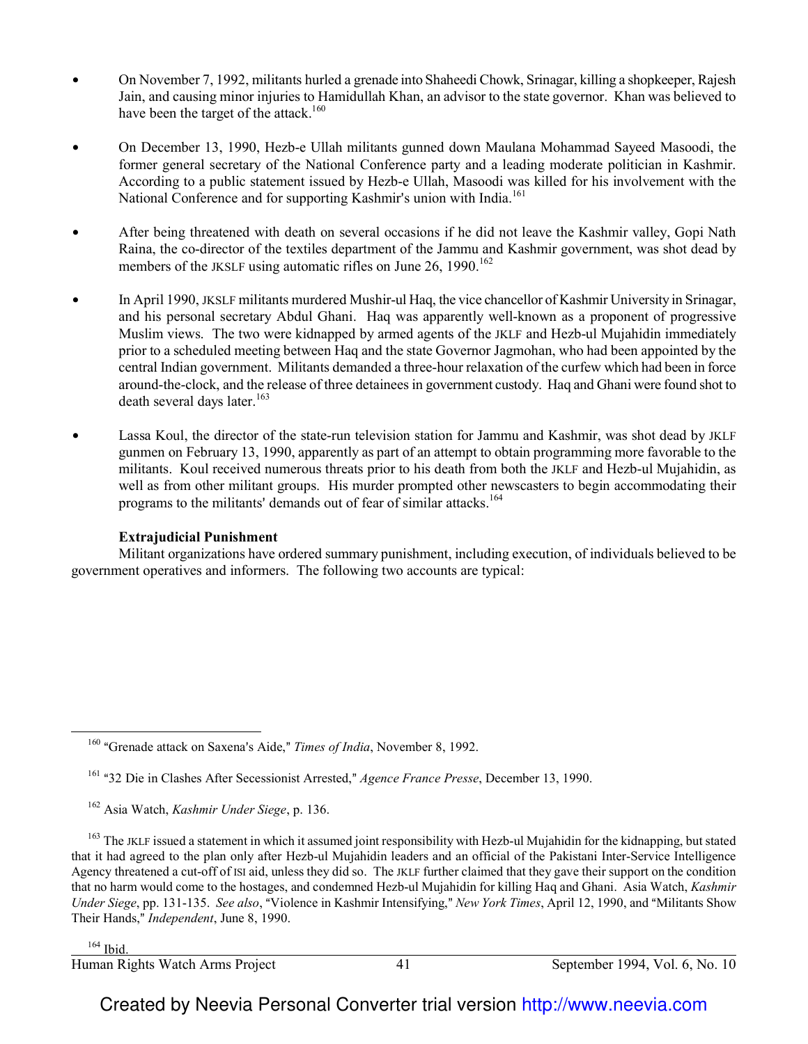- On November 7, 1992, militants hurled a grenade into Shaheedi Chowk, Srinagar, killing a shopkeeper, Rajesh Jain, and causing minor injuries to Hamidullah Khan, an advisor to the state governor. Khan was believed to have been the target of the attack.<sup>160</sup>
- On December 13, 1990, Hezb-e Ullah militants gunned down Maulana Mohammad Sayeed Masoodi, the former general secretary of the National Conference party and a leading moderate politician in Kashmir. According to a public statement issued by Hezb-e Ullah, Masoodi was killed for his involvement with the National Conference and for supporting Kashmir's union with India.<sup>161</sup>
- After being threatened with death on several occasions if he did not leave the Kashmir valley, Gopi Nath Raina, the co-director of the textiles department of the Jammu and Kashmir government, was shot dead by members of the JKSLF using automatic rifles on June 26, 1990.<sup>162</sup>
- $\bullet$  In April 1990, JKSLF militants murdered Mushir-ul Haq, the vice chancellor of Kashmir University in Srinagar, and his personal secretary Abdul Ghani. Haq was apparently well-known as a proponent of progressive Muslim views. The two were kidnapped by armed agents of the JKLF and Hezb-ul Mujahidin immediately prior to a scheduled meeting between Haq and the state Governor Jagmohan, who had been appointed by the central Indian government. Militants demanded a three-hour relaxation of the curfew which had been in force around-the-clock, and the release of three detainees in government custody. Haq and Ghani were found shot to death several days later.<sup>163</sup>
- Lassa Koul, the director of the state-run television station for Jammu and Kashmir, was shot dead by JKLF gunmen on February 13, 1990, apparently as part of an attempt to obtain programming more favorable to the militants. Koul received numerous threats prior to his death from both the JKLF and Hezb-ul Mujahidin, as well as from other militant groups. His murder prompted other newscasters to begin accommodating their programs to the militants' demands out of fear of similar attacks.<sup>164</sup>

## **Extrajudicial Punishment**

Militant organizations have ordered summary punishment, including execution, of individuals believed to be government operatives and informers. The following two accounts are typical:

 $\overline{\phantom{0}}$ 

Human Rights Watch Arms Project 41 September 1994, Vol. 6, No. 10 l

<sup>&</sup>lt;sup>160</sup> "Grenade attack on Saxena's Aide," Times of India, November 8, 1992.

<sup>&</sup>lt;sup>161</sup> "32 Die in Clashes After Secessionist Arrested," *Agence France Presse*, December 13, 1990.

<sup>162</sup> Asia Watch, *Kashmir Under Siege*, p. 136.

<sup>&</sup>lt;sup>163</sup> The JKLF issued a statement in which it assumed joint responsibility with Hezb-ul Mujahidin for the kidnapping, but stated that it had agreed to the plan only after Hezb-ul Mujahidin leaders and an official of the Pakistani Inter-Service Intelligence Agency threatened a cut-off of ISI aid, unless they did so. The JKLF further claimed that they gave their support on the condition that no harm would come to the hostages, and condemned Hezb-ul Mujahidin for killing Haq and Ghani. Asia Watch, *Kashmir Under Siege*, pp. 131-135. *See also*, "Violence in Kashmir Intensifying," *New York Times*, April 12, 1990, and "Militants Show Their Hands," *Independent*, June 8, 1990.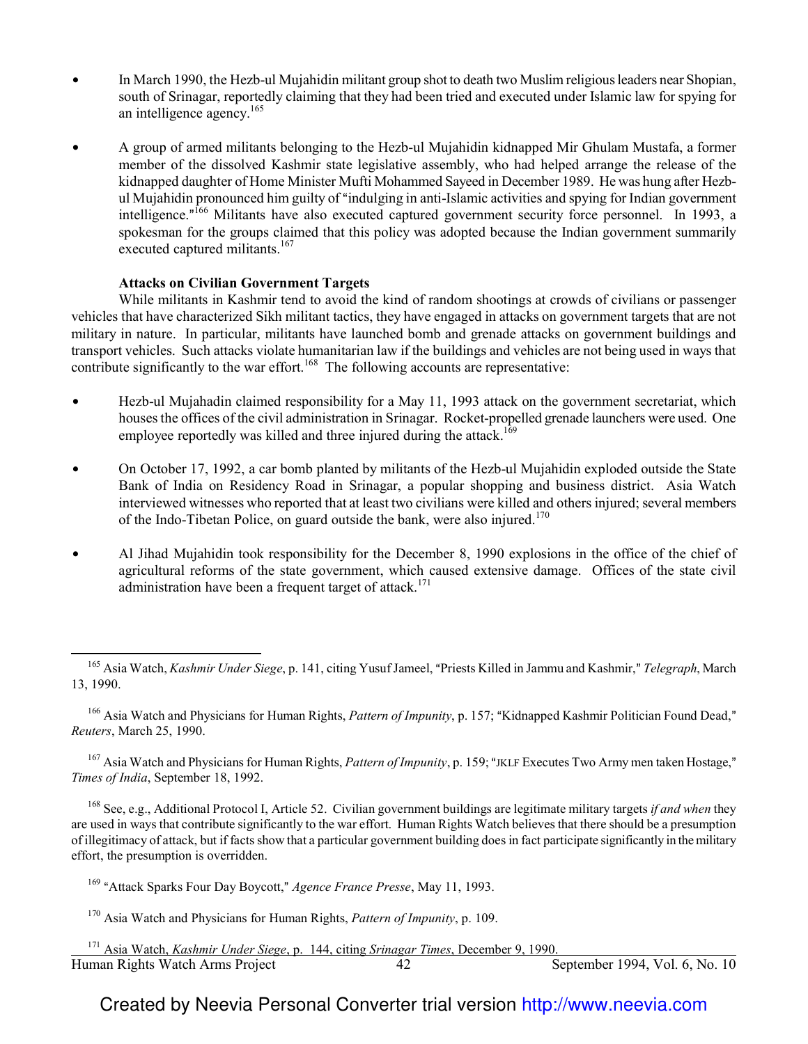- $\bullet$  In March 1990, the Hezb-ul Mujahidin militant group shot to death two Muslim religious leaders near Shopian, south of Srinagar, reportedly claiming that they had been tried and executed under Islamic law for spying for an intelligence agency.<sup>165</sup>
- \$ A group of armed militants belonging to the Hezb-ul Mujahidin kidnapped Mir Ghulam Mustafa, a former member of the dissolved Kashmir state legislative assembly, who had helped arrange the release of the kidnapped daughter of Home Minister Mufti Mohammed Sayeed in December 1989. He was hung after Hezbul Mujahidin pronounced him guilty of "indulging in anti-Islamic activities and spying for Indian government intelligence."<sup>166</sup> Militants have also executed captured government security force personnel. In 1993, a spokesman for the groups claimed that this policy was adopted because the Indian government summarily executed captured militants.<sup>167</sup>

#### **Attacks on Civilian Government Targets**

 $\overline{\phantom{0}}$ 

While militants in Kashmir tend to avoid the kind of random shootings at crowds of civilians or passenger vehicles that have characterized Sikh militant tactics, they have engaged in attacks on government targets that are not military in nature. In particular, militants have launched bomb and grenade attacks on government buildings and transport vehicles. Such attacks violate humanitarian law if the buildings and vehicles are not being used in ways that contribute significantly to the war effort.<sup>168</sup> The following accounts are representative:

- Hezb-ul Mujahadin claimed responsibility for a May 11, 1993 attack on the government secretariat, which houses the offices of the civil administration in Srinagar. Rocket-propelled grenade launchers were used. One employee reportedly was killed and three injured during the attack.<sup>169</sup>
- On October 17, 1992, a car bomb planted by militants of the Hezb-ul Mujahidin exploded outside the State Bank of India on Residency Road in Srinagar, a popular shopping and business district. Asia Watch interviewed witnesses who reported that at least two civilians were killed and others injured; several members of the Indo-Tibetan Police, on guard outside the bank, were also injured.<sup>170</sup>
- Al Jihad Mujahidin took responsibility for the December 8, 1990 explosions in the office of the chief of agricultural reforms of the state government, which caused extensive damage. Offices of the state civil administration have been a frequent target of attack.<sup>171</sup>

<sup>167</sup> Asia Watch and Physicians for Human Rights, *Pattern of Impunity*, p. 159; "JKLF Executes Two Army men taken Hostage," *Times of India*, September 18, 1992.

<sup>168</sup> See, e.g., Additional Protocol I, Article 52. Civilian government buildings are legitimate military targets *if and when* they are used in ways that contribute significantly to the war effort. Human Rights Watch believes that there should be a presumption of illegitimacy of attack, but if facts show that a particular government building does in fact participate significantly in the military effort, the presumption is overridden.

<sup>&</sup>lt;sup>165</sup> Asia Watch, *Kashmir Under Siege*, p. 141, citing Yusuf Jameel, "Priests Killed in Jammu and Kashmir," *Telegraph*, March 13, 1990.

<sup>&</sup>lt;sup>166</sup> Asia Watch and Physicians for Human Rights, *Pattern of Impunity*, p. 157; "Kidnapped Kashmir Politician Found Dead," *Reuters*, March 25, 1990.

<sup>&</sup>lt;sup>169</sup> "Attack Sparks Four Day Boycott," *Agence France Presse*, May 11, 1993.

<sup>170</sup> Asia Watch and Physicians for Human Rights, *Pattern of Impunity*, p. 109.

Human Rights Watch Arms Project 42 September 1994, Vol. 6, No. 10 Human Rights Watch Arms Project <sup>171</sup> Asia Watch, *Kashmir Under Siege*, p. 144, citing *Srinagar Times*, December 9, 1990.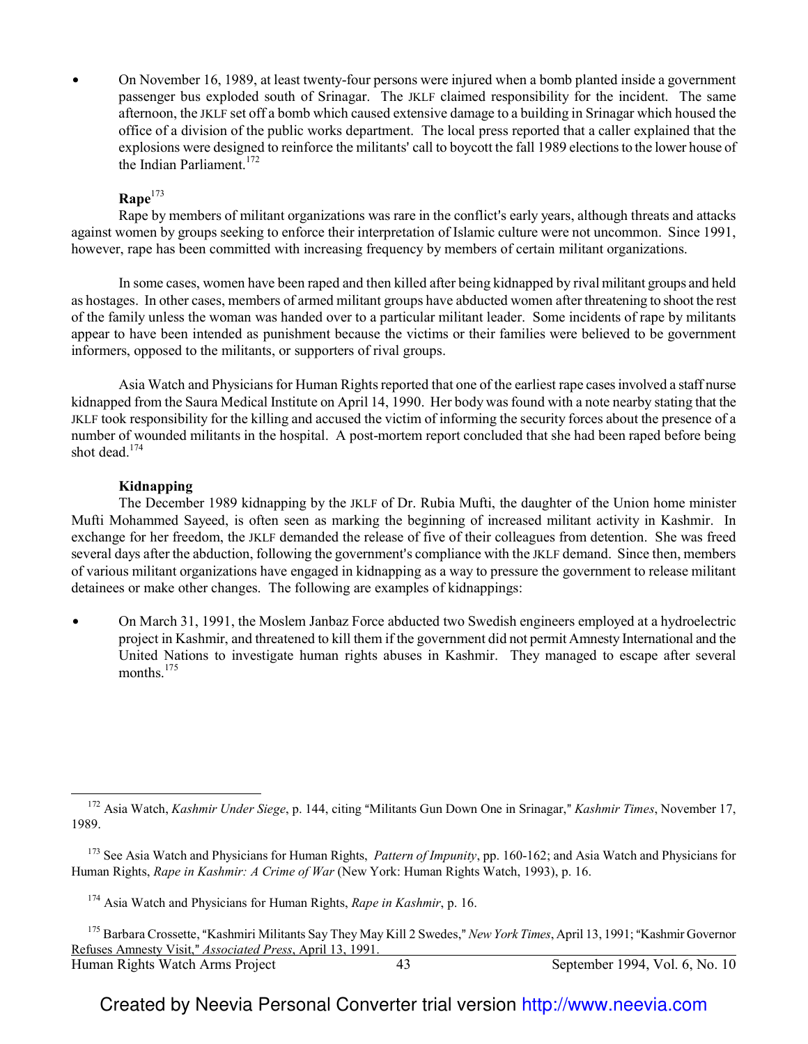On November 16, 1989, at least twenty-four persons were injured when a bomb planted inside a government passenger bus exploded south of Srinagar. The JKLF claimed responsibility for the incident. The same afternoon, the JKLF set off a bomb which caused extensive damage to a building in Srinagar which housed the office of a division of the public works department. The local press reported that a caller explained that the explosions were designed to reinforce the militants' call to boycott the fall 1989 elections to the lower house of the Indian Parliament. $172$ 

## **Rape**<sup>173</sup>

Rape by members of militant organizations was rare in the conflict's early years, although threats and attacks against women by groups seeking to enforce their interpretation of Islamic culture were not uncommon. Since 1991, however, rape has been committed with increasing frequency by members of certain militant organizations.

In some cases, women have been raped and then killed after being kidnapped by rival militant groups and held as hostages. In other cases, members of armed militant groups have abducted women after threatening to shoot the rest of the family unless the woman was handed over to a particular militant leader. Some incidents of rape by militants appear to have been intended as punishment because the victims or their families were believed to be government informers, opposed to the militants, or supporters of rival groups.

Asia Watch and Physicians for Human Rights reported that one of the earliest rape cases involved a staff nurse kidnapped from the Saura Medical Institute on April 14, 1990. Her body was found with a note nearby stating that the JKLF took responsibility for the killing and accused the victim of informing the security forces about the presence of a number of wounded militants in the hospital. A post-mortem report concluded that she had been raped before being shot dead.<sup>174</sup>

## **Kidnapping**

 $\overline{a}$ 

The December 1989 kidnapping by the JKLF of Dr. Rubia Mufti, the daughter of the Union home minister Mufti Mohammed Sayeed, is often seen as marking the beginning of increased militant activity in Kashmir. In exchange for her freedom, the JKLF demanded the release of five of their colleagues from detention. She was freed several days after the abduction, following the government's compliance with the JKLF demand. Since then, members of various militant organizations have engaged in kidnapping as a way to pressure the government to release militant detainees or make other changes. The following are examples of kidnappings:

On March 31, 1991, the Moslem Janbaz Force abducted two Swedish engineers employed at a hydroelectric project in Kashmir, and threatened to kill them if the government did not permit Amnesty International and the United Nations to investigate human rights abuses in Kashmir. They managed to escape after several months $175$ 

<sup>&</sup>lt;sup>172</sup> Asia Watch, *Kashmir Under Siege*, p. 144, citing "Militants Gun Down One in Srinagar," *Kashmir Times*, November 17, 1989.

<sup>173</sup> See Asia Watch and Physicians for Human Rights, *Pattern of Impunity*, pp. 160-162; and Asia Watch and Physicians for Human Rights, *Rape in Kashmir: A Crime of War* (New York: Human Rights Watch, 1993), p. 16.

<sup>174</sup> Asia Watch and Physicians for Human Rights, *Rape in Kashmir*, p. 16.

Human Rights Watch Arms Project 43 September 1994, Vol. 6, No. 10 <sup>175</sup> Barbara Crossette, "Kashmiri Militants Say They May Kill 2 Swedes," New York Times, April 13, 1991; "Kashmir Governor Refuses Amnesty Visit,@ *Associated Press*, April 13, 1991.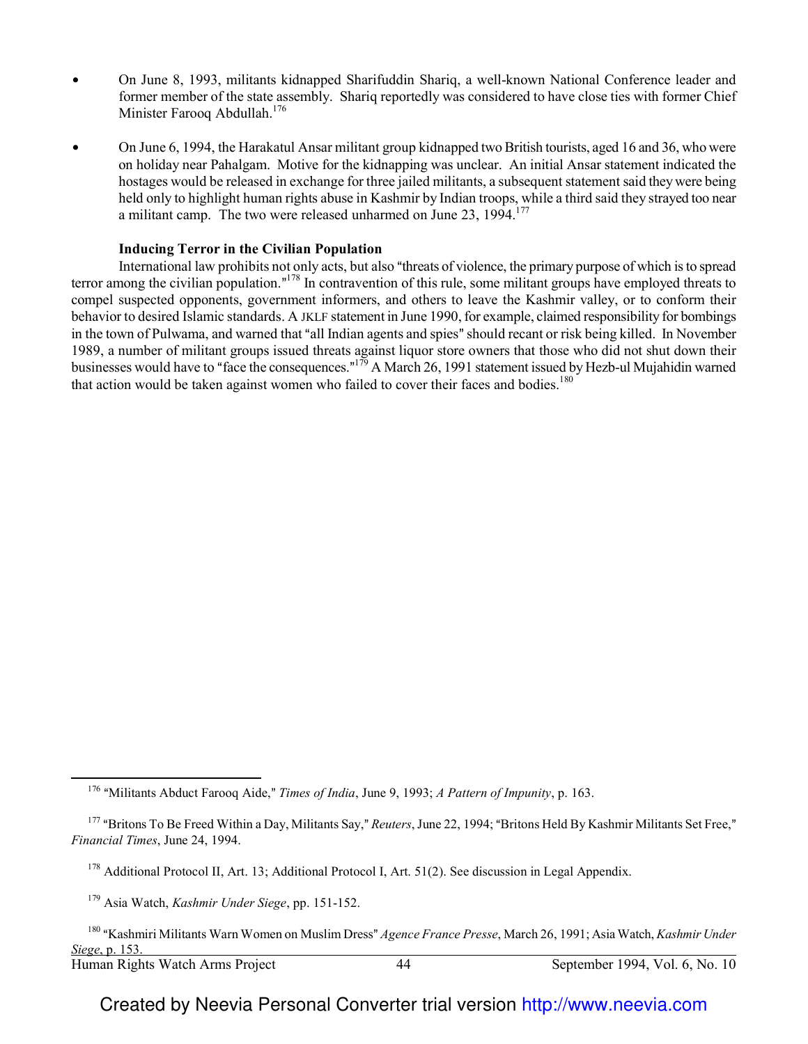- On June 8, 1993, militants kidnapped Sharifuddin Shariq, a well-known National Conference leader and former member of the state assembly. Shariq reportedly was considered to have close ties with former Chief Minister Farooq Abdullah.<sup>176</sup>
- On June 6, 1994, the Harakatul Ansar militant group kidnapped two British tourists, aged 16 and 36, who were on holiday near Pahalgam. Motive for the kidnapping was unclear. An initial Ansar statement indicated the hostages would be released in exchange for three jailed militants, a subsequent statement said they were being held only to highlight human rights abuse in Kashmir by Indian troops, while a third said they strayed too near a militant camp. The two were released unharmed on June  $23$ ,  $1994$ <sup> $177$ </sup>

#### **Inducing Terror in the Civilian Population**

International law prohibits not only acts, but also "threats of violence, the primary purpose of which is to spread terror among the civilian population.<sup> $n^{178}$ </sup> In contravention of this rule, some militant groups have employed threats to compel suspected opponents, government informers, and others to leave the Kashmir valley, or to conform their behavior to desired Islamic standards. A JKLF statement in June 1990, for example, claimed responsibility for bombings in the town of Pulwama, and warned that "all Indian agents and spies" should recant or risk being killed. In November 1989, a number of militant groups issued threats against liquor store owners that those who did not shut down their businesses would have to "face the consequences."<sup> $179$ </sup> A March 26, 1991 statement issued by Hezb-ul Mujahidin warned that action would be taken against women who failed to cover their faces and bodies.<sup>180</sup>

 $\overline{a}$ 

<sup>&</sup>lt;sup>176</sup> "Militants Abduct Farooq Aide," *Times of India*, June 9, 1993; *A Pattern of Impunity*, p. 163.

<sup>&</sup>lt;sup>177</sup> "Britons To Be Freed Within a Day, Militants Say," *Reuters*, June 22, 1994; "Britons Held By Kashmir Militants Set Free," *Financial Times*, June 24, 1994.

<sup>&</sup>lt;sup>178</sup> Additional Protocol II, Art. 13; Additional Protocol I, Art. 51(2). See discussion in Legal Appendix.

<sup>179</sup> Asia Watch, *Kashmir Under Siege*, pp. 151-152.

Human Rights Watch Arms Project 44 September 1994, Vol. 6, No. 10 <sup>180</sup> "Kashmiri Militants Warn Women on Muslim Dress" Agence France Presse, March 26, 1991; Asia Watch, *Kashmir Under Siege*, p. 153.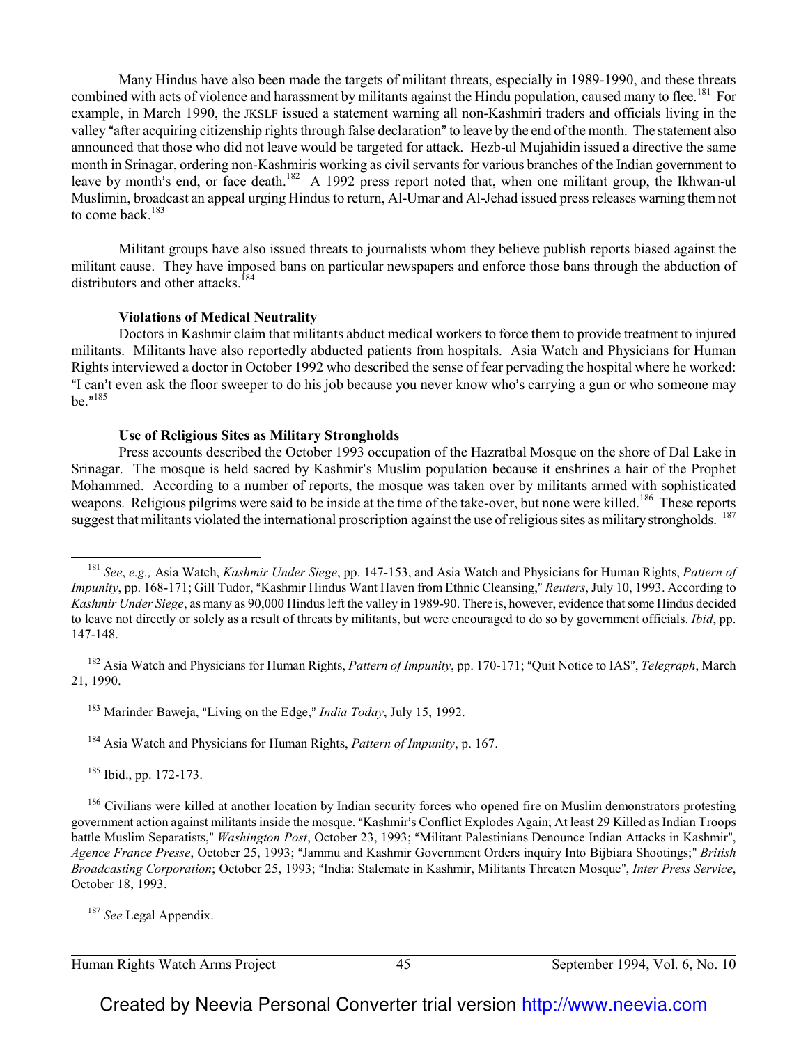Many Hindus have also been made the targets of militant threats, especially in 1989-1990, and these threats combined with acts of violence and harassment by militants against the Hindu population, caused many to flee.<sup>181</sup> For example, in March 1990, the JKSLF issued a statement warning all non-Kashmiri traders and officials living in the valley "after acquiring citizenship rights through false declaration" to leave by the end of the month. The statement also announced that those who did not leave would be targeted for attack. Hezb-ul Mujahidin issued a directive the same month in Srinagar, ordering non-Kashmiris working as civil servants for various branches of the Indian government to leave by month's end, or face death.<sup>182</sup> A 1992 press report noted that, when one militant group, the Ikhwan-ul Muslimin, broadcast an appeal urging Hindus to return, Al-Umar and Al-Jehad issued press releases warning them not to come back. $183$ 

Militant groups have also issued threats to journalists whom they believe publish reports biased against the militant cause. They have imposed bans on particular newspapers and enforce those bans through the abduction of distributors and other attacks.<sup>184</sup>

#### **Violations of Medical Neutrality**

Doctors in Kashmir claim that militants abduct medical workers to force them to provide treatment to injured militants. Militants have also reportedly abducted patients from hospitals. Asia Watch and Physicians for Human Rights interviewed a doctor in October 1992 who described the sense of fear pervading the hospital where he worked: "I can't even ask the floor sweeper to do his job because you never know who's carrying a gun or who someone may be." $^{185}$ 

#### **Use of Religious Sites as Military Strongholds**

Press accounts described the October 1993 occupation of the Hazratbal Mosque on the shore of Dal Lake in Srinagar. The mosque is held sacred by Kashmir's Muslim population because it enshrines a hair of the Prophet Mohammed. According to a number of reports, the mosque was taken over by militants armed with sophisticated weapons. Religious pilgrims were said to be inside at the time of the take-over, but none were killed.<sup>186</sup> These reports suggest that militants violated the international proscription against the use of religious sites as military strongholds. <sup>187</sup>

<sup>184</sup> Asia Watch and Physicians for Human Rights, *Pattern of Impunity*, p. 167.

<sup>185</sup> Ibid., pp. 172-173.

 $\overline{\phantom{0}}$ 

<sup>187</sup> *See* Legal Appendix.

Human Rights Watch Arms Project 45 September 1994, Vol. 6, No. 10

<sup>181</sup> *See*, *e.g.,* Asia Watch, *Kashmir Under Siege*, pp. 147-153, and Asia Watch and Physicians for Human Rights, *Pattern of Impunity*, pp. 168-171; Gill Tudor, "Kashmir Hindus Want Haven from Ethnic Cleansing," *Reuters*, July 10, 1993. According to *Kashmir Under Siege*, as many as 90,000 Hindus left the valley in 1989-90. There is, however, evidence that some Hindus decided to leave not directly or solely as a result of threats by militants, but were encouraged to do so by government officials. *Ibid*, pp. 147-148.

<sup>&</sup>lt;sup>182</sup> Asia Watch and Physicians for Human Rights, *Pattern of Impunity*, pp. 170-171; "Quit Notice to IAS", *Telegraph*, March 21, 1990.

<sup>&</sup>lt;sup>183</sup> Marinder Baweja, "Living on the Edge," *India Today*, July 15, 1992.

<sup>&</sup>lt;sup>186</sup> Civilians were killed at another location by Indian security forces who opened fire on Muslim demonstrators protesting government action against militants inside the mosque. "Kashmir's Conflict Explodes Again; At least 29 Killed as Indian Troops battle Muslim Separatists," Washington Post, October 23, 1993; "Militant Palestinians Denounce Indian Attacks in Kashmir", *Agence France Presse*, October 25, 1993; "Jammu and Kashmir Government Orders inquiry Into Bijbiara Shootings;" British *Broadcasting Corporation*; October 25, 1993; "India: Stalemate in Kashmir, Militants Threaten Mosque", *Inter Press Service*, October 18, 1993.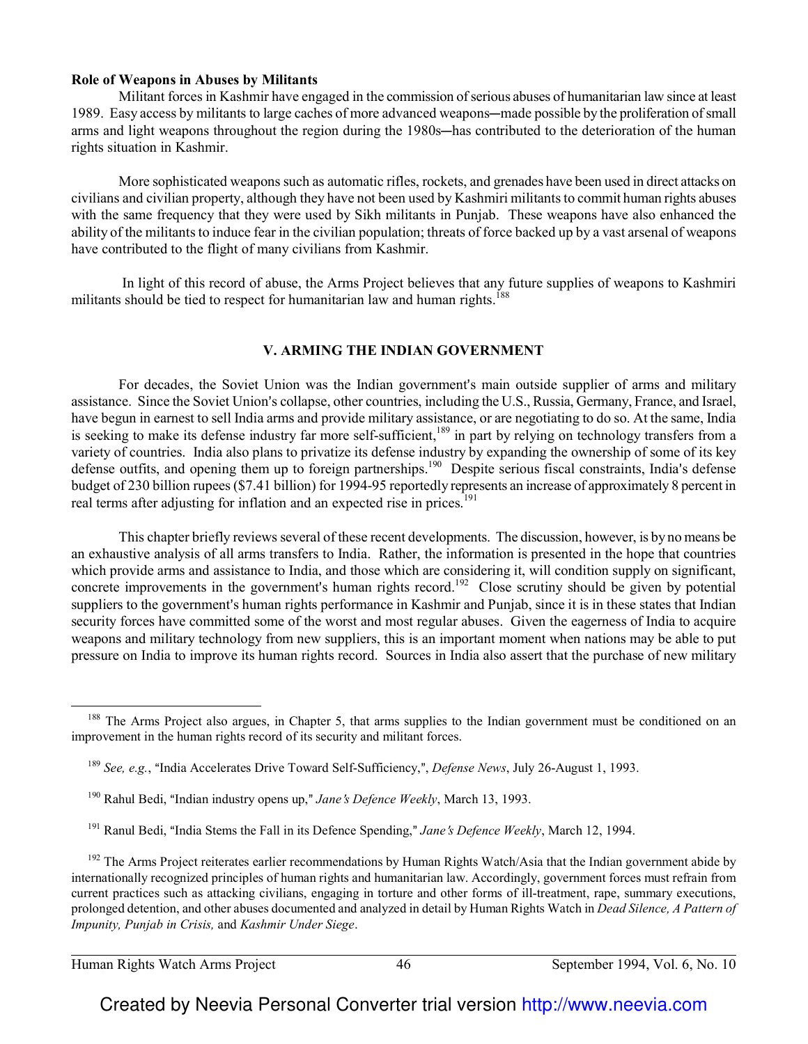#### **Role of Weapons in Abuses by Militants**

Militant forces in Kashmir have engaged in the commission of serious abuses of humanitarian law since at least 1989. Easy access by militants to large caches of more advanced weapons—made possible by the proliferation of small arms and light weapons throughout the region during the 1980s—has contributed to the deterioration of the human rights situation in Kashmir.

More sophisticated weapons such as automatic rifles, rockets, and grenades have been used in direct attacks on civilians and civilian property, although they have not been used by Kashmiri militants to commit human rights abuses with the same frequency that they were used by Sikh militants in Punjab. These weapons have also enhanced the ability of the militants to induce fear in the civilian population; threats of force backed up by a vast arsenal of weapons have contributed to the flight of many civilians from Kashmir.

 In light of this record of abuse, the Arms Project believes that any future supplies of weapons to Kashmiri militants should be tied to respect for humanitarian law and human rights.<sup>188</sup>

#### **V. ARMING THE INDIAN GOVERNMENT**

For decades, the Soviet Union was the Indian government's main outside supplier of arms and military assistance. Since the Soviet Union's collapse, other countries, including the U.S., Russia, Germany, France, and Israel, have begun in earnest to sell India arms and provide military assistance, or are negotiating to do so. At the same, India is seeking to make its defense industry far more self-sufficient,<sup>189</sup> in part by relying on technology transfers from a variety of countries. India also plans to privatize its defense industry by expanding the ownership of some of its key defense outfits, and opening them up to foreign partnerships.<sup>190</sup> Despite serious fiscal constraints, India's defense budget of 230 billion rupees (\$7.41 billion) for 1994-95 reportedly represents an increase of approximately 8 percent in real terms after adjusting for inflation and an expected rise in prices.<sup>191</sup>

This chapter briefly reviews several of these recent developments. The discussion, however, is by no means be an exhaustive analysis of all arms transfers to India. Rather, the information is presented in the hope that countries which provide arms and assistance to India, and those which are considering it, will condition supply on significant, concrete improvements in the government's human rights record.<sup>192</sup> Close scrutiny should be given by potential suppliers to the government's human rights performance in Kashmir and Punjab, since it is in these states that Indian security forces have committed some of the worst and most regular abuses. Given the eagerness of India to acquire weapons and military technology from new suppliers, this is an important moment when nations may be able to put pressure on India to improve its human rights record. Sources in India also assert that the purchase of new military

 $\overline{\phantom{0}}$ 

<sup>&</sup>lt;sup>188</sup> The Arms Project also argues, in Chapter 5, that arms supplies to the Indian government must be conditioned on an improvement in the human rights record of its security and militant forces.

<sup>&</sup>lt;sup>189</sup> *See, e.g.*, "India Accelerates Drive Toward Self-Sufficiency,", *Defense News*, July 26-August 1, 1993.

<sup>&</sup>lt;sup>190</sup> Rahul Bedi, "Indian industry opens up," *Jane's Defence Weekly*, March 13, 1993.

<sup>&</sup>lt;sup>191</sup> Ranul Bedi, "India Stems the Fall in its Defence Spending," *Jane's Defence Weekly*, March 12, 1994.

 $192$  The Arms Project reiterates earlier recommendations by Human Rights Watch/Asia that the Indian government abide by internationally recognized principles of human rights and humanitarian law. Accordingly, government forces must refrain from current practices such as attacking civilians, engaging in torture and other forms of ill-treatment, rape, summary executions, prolonged detention, and other abuses documented and analyzed in detail by Human Rights Watch in *Dead Silence, A Pattern of Impunity, Punjab in Crisis,* and *Kashmir Under Siege*.

Human Rights Watch Arms Project 46 September 1994, Vol. 6, No. 10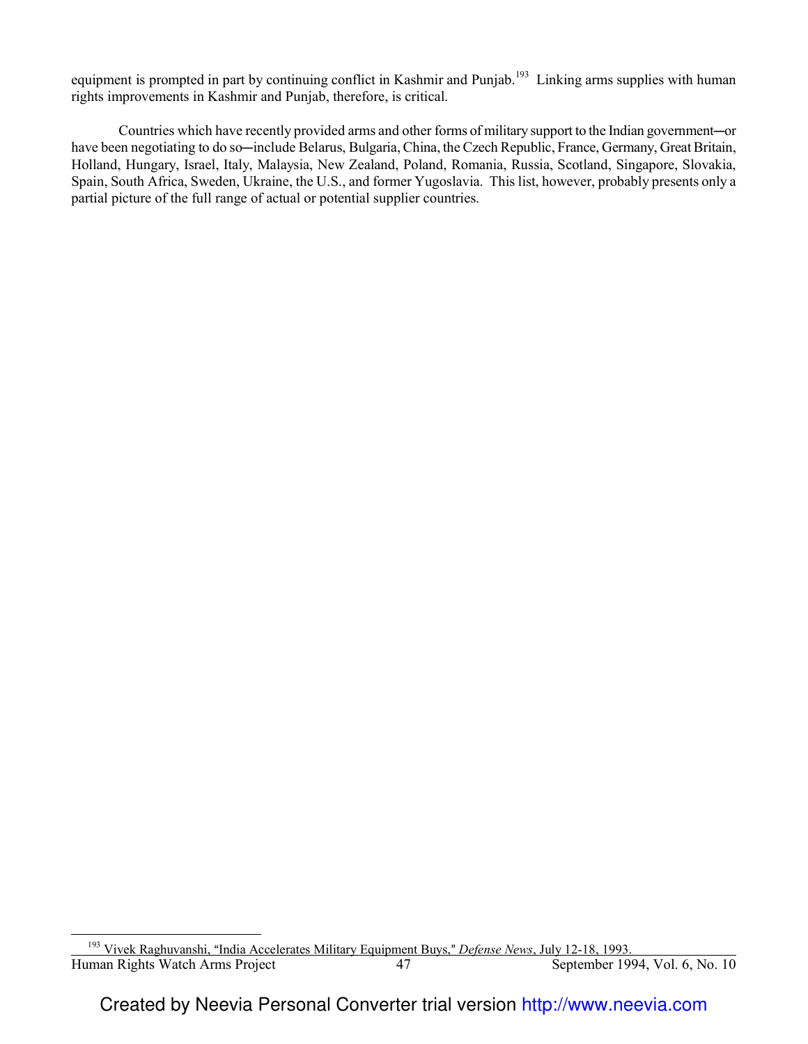equipment is prompted in part by continuing conflict in Kashmir and Punjab.<sup>193</sup> Linking arms supplies with human rights improvements in Kashmir and Punjab, therefore, is critical.

Countries which have recently provided arms and other forms of military support to the Indian government-or have been negotiating to do so—include Belarus, Bulgaria, China, the Czech Republic, France, Germany, Great Britain, Holland, Hungary, Israel, Italy, Malaysia, New Zealand, Poland, Romania, Russia, Scotland, Singapore, Slovakia, Spain, South Africa, Sweden, Ukraine, the U.S., and former Yugoslavia. This list, however, probably presents only a partial picture of the full range of actual or potential supplier countries.

 $\overline{a}$ 

Human Rights Watch Arms Project 47 September 1994, Vol. 6, No. 10 l <sup>193</sup> Vivek Raghuvanshi, "India Accelerates Military Equipment Buys," *Defense News*, July 12-18, 1993.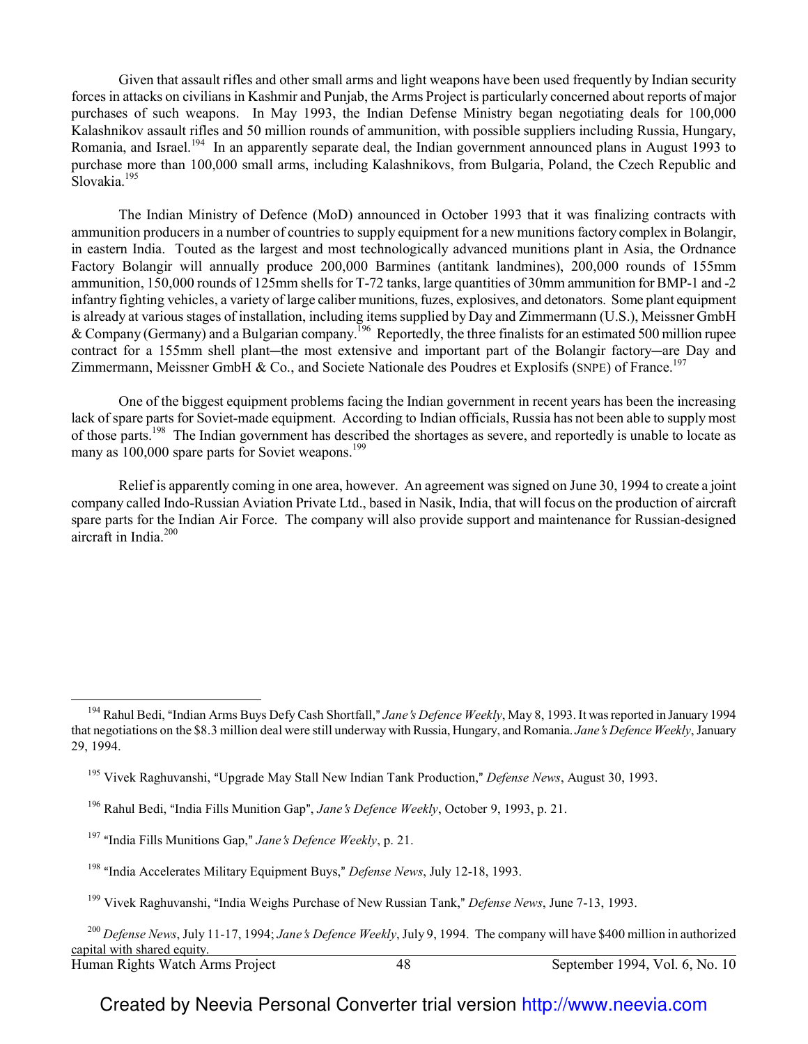Given that assault rifles and other small arms and light weapons have been used frequently by Indian security forces in attacks on civilians in Kashmir and Punjab, the Arms Project is particularly concerned about reports of major purchases of such weapons. In May 1993, the Indian Defense Ministry began negotiating deals for 100,000 Kalashnikov assault rifles and 50 million rounds of ammunition, with possible suppliers including Russia, Hungary, Romania, and Israel.<sup>194</sup> In an apparently separate deal, the Indian government announced plans in August 1993 to purchase more than 100,000 small arms, including Kalashnikovs, from Bulgaria, Poland, the Czech Republic and Slovakia.<sup>195</sup>

The Indian Ministry of Defence (MoD) announced in October 1993 that it was finalizing contracts with ammunition producers in a number of countries to supply equipment for a new munitions factory complex in Bolangir, in eastern India. Touted as the largest and most technologically advanced munitions plant in Asia, the Ordnance Factory Bolangir will annually produce 200,000 Barmines (antitank landmines), 200,000 rounds of 155mm ammunition, 150,000 rounds of 125mm shells for T-72 tanks, large quantities of 30mm ammunition for BMP-1 and -2 infantry fighting vehicles, a variety of large caliber munitions, fuzes, explosives, and detonators. Some plant equipment is already at various stages of installation, including items supplied by Day and Zimmermann (U.S.), Meissner GmbH & Company (Germany) and a Bulgarian company.<sup>196</sup> Reportedly, the three finalists for an estimated 500 million rupee contract for a 155mm shell plant—the most extensive and important part of the Bolangir factory—are Day and Zimmermann, Meissner GmbH & Co., and Societe Nationale des Poudres et Explosifs (SNPE) of France.<sup>197</sup>

One of the biggest equipment problems facing the Indian government in recent years has been the increasing lack of spare parts for Soviet-made equipment. According to Indian officials, Russia has not been able to supply most of those parts.<sup>198</sup> The Indian government has described the shortages as severe, and reportedly is unable to locate as many as 100,000 spare parts for Soviet weapons.<sup>199</sup>

Relief is apparently coming in one area, however. An agreement was signed on June 30, 1994 to create a joint company called Indo-Russian Aviation Private Ltd., based in Nasik, India, that will focus on the production of aircraft spare parts for the Indian Air Force. The company will also provide support and maintenance for Russian-designed aircraft in India.<sup>200</sup>

 $\overline{\phantom{0}}$ 

<sup>&</sup>lt;sup>194</sup> Rahul Bedi, "Indian Arms Buys Defy Cash Shortfall," *Jane's Defence Weekly*, May 8, 1993. It was reported in January 1994 that negotiations on the \$8.3 million deal were still underway with Russia, Hungary, and Romania. *Jane s Defence Weekly*, January 29, 1994.

<sup>&</sup>lt;sup>195</sup> Vivek Raghuvanshi, "Upgrade May Stall New Indian Tank Production," *Defense News*, August 30, 1993.

<sup>&</sup>lt;sup>196</sup> Rahul Bedi, "India Fills Munition Gap", *Jane's Defence Weekly*, October 9, 1993, p. 21.

<sup>&</sup>lt;sup>197</sup> "India Fills Munitions Gap," *Jane's Defence Weekly*, p. 21.

<sup>&</sup>lt;sup>198</sup> "India Accelerates Military Equipment Buys," *Defense News*, July 12-18, 1993.

<sup>&</sup>lt;sup>199</sup> Vivek Raghuvanshi, "India Weighs Purchase of New Russian Tank," *Defense News*, June 7-13, 1993.

Human Rights Watch Arms Project 48 September 1994, Vol. 6, No. 10 <sup>200</sup> *Defense News*, July 11-17, 1994; *Jane's Defence Weekly*, July 9, 1994. The company will have \$400 million in authorized capital with shared equity.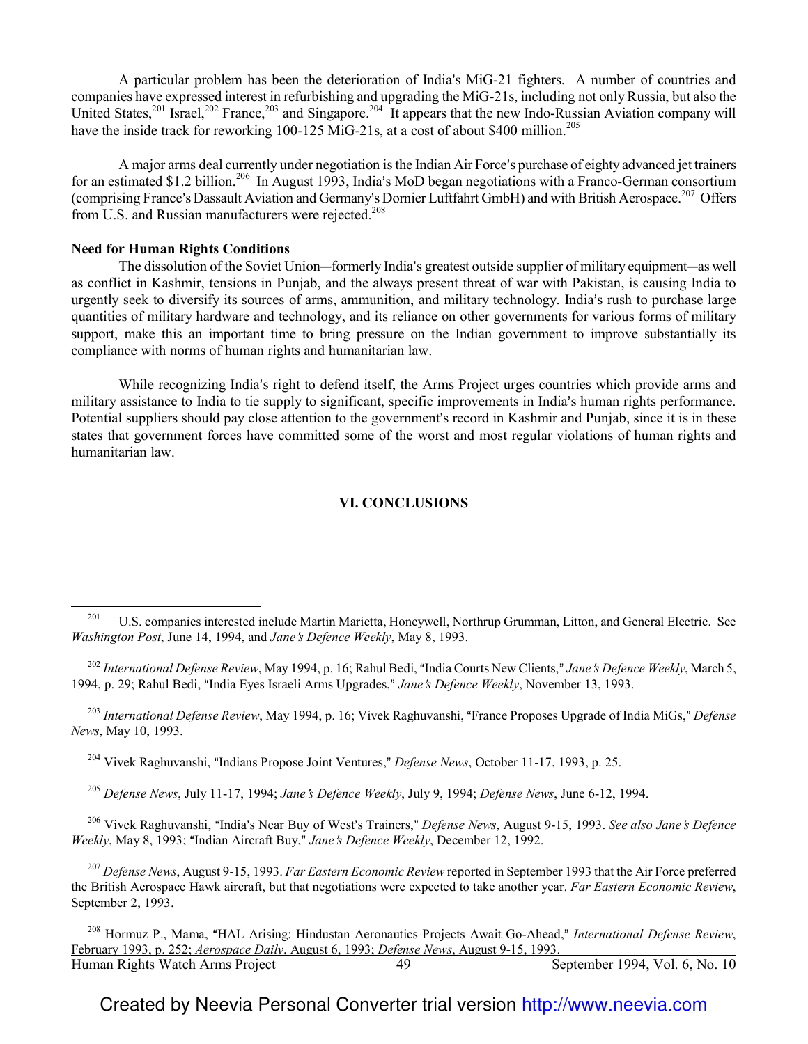A particular problem has been the deterioration of India's MiG-21 fighters. A number of countries and companies have expressed interest in refurbishing and upgrading the MiG-21s, including not only Russia, but also the United States,<sup>201</sup> Israel,<sup>202</sup> France,<sup>203</sup> and Singapore.<sup>204</sup> It appears that the new Indo-Russian Aviation company will have the inside track for reworking 100-125 MiG-21s, at a cost of about \$400 million.<sup>205</sup>

A major arms deal currently under negotiation is the Indian Air Force's purchase of eighty advanced jet trainers for an estimated \$1.2 billion.<sup>206</sup> In August 1993, India's MoD began negotiations with a Franco-German consortium (comprising France's Dassault Aviation and Germany's Dornier Luftfahrt GmbH) and with British Aerospace.<sup>207</sup> Offers from U.S. and Russian manufacturers were rejected.<sup>208</sup>

#### **Need for Human Rights Conditions**

 $\overline{a}$ 

The dissolution of the Soviet Union—formerly India's greatest outside supplier of military equipment—as well as conflict in Kashmir, tensions in Punjab, and the always present threat of war with Pakistan, is causing India to urgently seek to diversify its sources of arms, ammunition, and military technology. India's rush to purchase large quantities of military hardware and technology, and its reliance on other governments for various forms of military support, make this an important time to bring pressure on the Indian government to improve substantially its compliance with norms of human rights and humanitarian law.

While recognizing India's right to defend itself, the Arms Project urges countries which provide arms and military assistance to India to tie supply to significant, specific improvements in India's human rights performance. Potential suppliers should pay close attention to the government's record in Kashmir and Punjab, since it is in these states that government forces have committed some of the worst and most regular violations of human rights and humanitarian law.

#### **VI. CONCLUSIONS**

<sup>204</sup> Vivek Raghuvanshi, "Indians Propose Joint Ventures," *Defense News*, October 11-17, 1993, p. 25.

<sup>205</sup> *Defense News, July 11-17, 1994; Jane's Defence Weekly, July 9, 1994; Defense News, June 6-12, 1994.* 

<sup>206</sup> Vivek Raghuvanshi, "India's Near Buy of West's Trainers," *Defense News*, August 9-15, 1993. *See also Jane's Defence Weekly*, May 8, 1993; "Indian Aircraft Buy," Jane's Defence Weekly, December 12, 1992.

<sup>207</sup> *Defense News*, August 9-15, 1993. *Far Eastern Economic Review* reported in September 1993 that the Air Force preferred the British Aerospace Hawk aircraft, but that negotiations were expected to take another year. *Far Eastern Economic Review*, September 2, 1993.

<sup>&</sup>lt;sup>201</sup> U.S. companies interested include Martin Marietta, Honeywell, Northrup Grumman, Litton, and General Electric. See *Washington Post*, June 14, 1994, and *Jane*=*s Defence Weekly*, May 8, 1993.

<sup>&</sup>lt;sup>202</sup> International Defense Review, May 1994, p. 16; Rahul Bedi, "India Courts New Clients," Jane's Defence Weekly, March 5, 1994, p. 29; Rahul Bedi, "India Eyes Israeli Arms Upgrades," *Jane's Defence Weekly*, November 13, 1993.

<sup>&</sup>lt;sup>203</sup> International Defense Review, May 1994, p. 16; Vivek Raghuvanshi, "France Proposes Upgrade of India MiGs," Defense *News*, May 10, 1993.

Human Rights Watch Arms Project 49 September 1994, Vol. 6, No. 10 <sup>208</sup> Hormuz P., Mama, "HAL Arising: Hindustan Aeronautics Projects Await Go-Ahead," International Defense Review, February 1993, p. 252; *Aerospace Daily*, August 6, 1993; *Defense News*, August 9-15, 1993.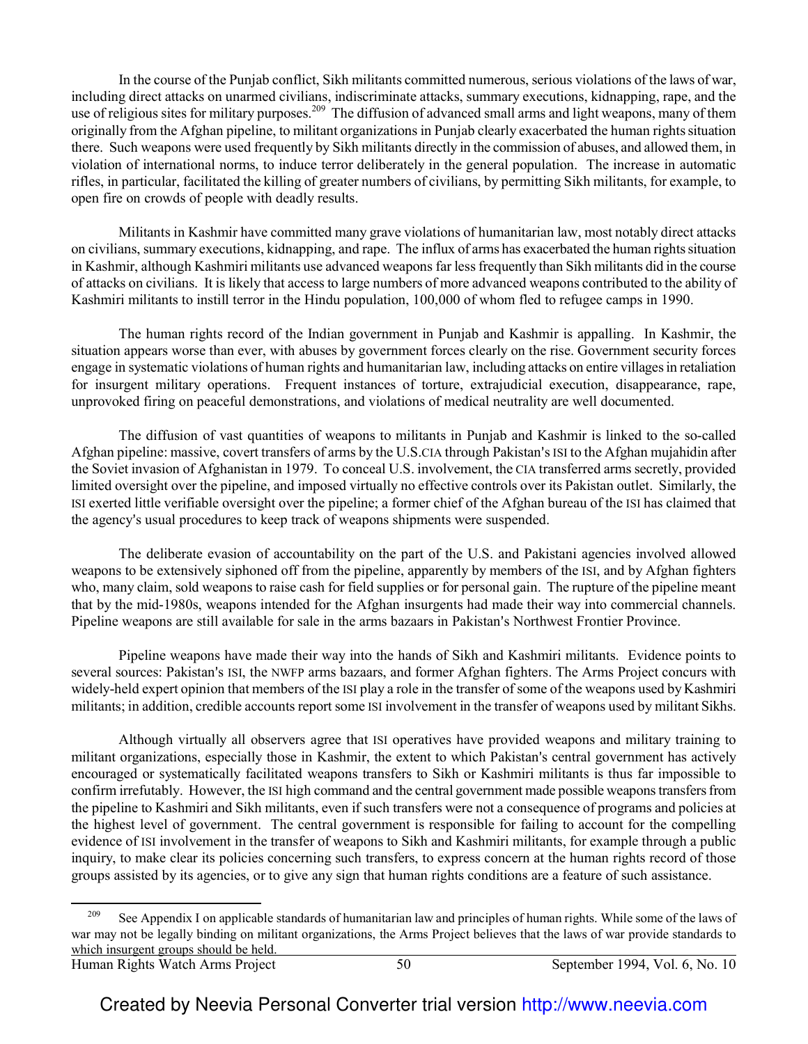In the course of the Punjab conflict, Sikh militants committed numerous, serious violations of the laws of war, including direct attacks on unarmed civilians, indiscriminate attacks, summary executions, kidnapping, rape, and the use of religious sites for military purposes.<sup>209</sup> The diffusion of advanced small arms and light weapons, many of them originally from the Afghan pipeline, to militant organizations in Punjab clearly exacerbated the human rights situation there. Such weapons were used frequently by Sikh militants directly in the commission of abuses, and allowed them, in violation of international norms, to induce terror deliberately in the general population. The increase in automatic rifles, in particular, facilitated the killing of greater numbers of civilians, by permitting Sikh militants, for example, to open fire on crowds of people with deadly results.

Militants in Kashmir have committed many grave violations of humanitarian law, most notably direct attacks on civilians, summary executions, kidnapping, and rape. The influx of arms has exacerbated the human rights situation in Kashmir, although Kashmiri militants use advanced weapons far less frequently than Sikh militants did in the course of attacks on civilians. It is likely that access to large numbers of more advanced weapons contributed to the ability of Kashmiri militants to instill terror in the Hindu population, 100,000 of whom fled to refugee camps in 1990.

The human rights record of the Indian government in Punjab and Kashmir is appalling. In Kashmir, the situation appears worse than ever, with abuses by government forces clearly on the rise. Government security forces engage in systematic violations of human rights and humanitarian law, including attacks on entire villages in retaliation for insurgent military operations. Frequent instances of torture, extrajudicial execution, disappearance, rape, unprovoked firing on peaceful demonstrations, and violations of medical neutrality are well documented.

The diffusion of vast quantities of weapons to militants in Punjab and Kashmir is linked to the so-called Afghan pipeline: massive, covert transfers of arms by the U.S.CIA through Pakistan's ISI to the Afghan mujahidin after the Soviet invasion of Afghanistan in 1979. To conceal U.S. involvement, the CIA transferred arms secretly, provided limited oversight over the pipeline, and imposed virtually no effective controls over its Pakistan outlet. Similarly, the ISI exerted little verifiable oversight over the pipeline; a former chief of the Afghan bureau of the ISI has claimed that the agency's usual procedures to keep track of weapons shipments were suspended.

The deliberate evasion of accountability on the part of the U.S. and Pakistani agencies involved allowed weapons to be extensively siphoned off from the pipeline, apparently by members of the ISI, and by Afghan fighters who, many claim, sold weapons to raise cash for field supplies or for personal gain. The rupture of the pipeline meant that by the mid-1980s, weapons intended for the Afghan insurgents had made their way into commercial channels. Pipeline weapons are still available for sale in the arms bazaars in Pakistan's Northwest Frontier Province.

Pipeline weapons have made their way into the hands of Sikh and Kashmiri militants. Evidence points to several sources: Pakistan's ISI, the NWFP arms bazaars, and former Afghan fighters. The Arms Project concurs with widely-held expert opinion that members of the ISI play a role in the transfer of some of the weapons used by Kashmiri militants; in addition, credible accounts report some ISI involvement in the transfer of weapons used by militant Sikhs.

Although virtually all observers agree that ISI operatives have provided weapons and military training to militant organizations, especially those in Kashmir, the extent to which Pakistan's central government has actively encouraged or systematically facilitated weapons transfers to Sikh or Kashmiri militants is thus far impossible to confirm irrefutably. However, the ISI high command and the central government made possible weapons transfers from the pipeline to Kashmiri and Sikh militants, even if such transfers were not a consequence of programs and policies at the highest level of government. The central government is responsible for failing to account for the compelling evidence of ISI involvement in the transfer of weapons to Sikh and Kashmiri militants, for example through a public inquiry, to make clear its policies concerning such transfers, to express concern at the human rights record of those groups assisted by its agencies, or to give any sign that human rights conditions are a feature of such assistance.

 $\overline{\phantom{0}}$ 

<sup>&</sup>lt;sup>209</sup> See Appendix I on applicable standards of humanitarian law and principles of human rights. While some of the laws of war may not be legally binding on militant organizations, the Arms Project believes that the laws of war provide standards to which insurgent groups should be held.

Human Rights Watch Arms Project 50 September 1994, Vol. 6, No. 10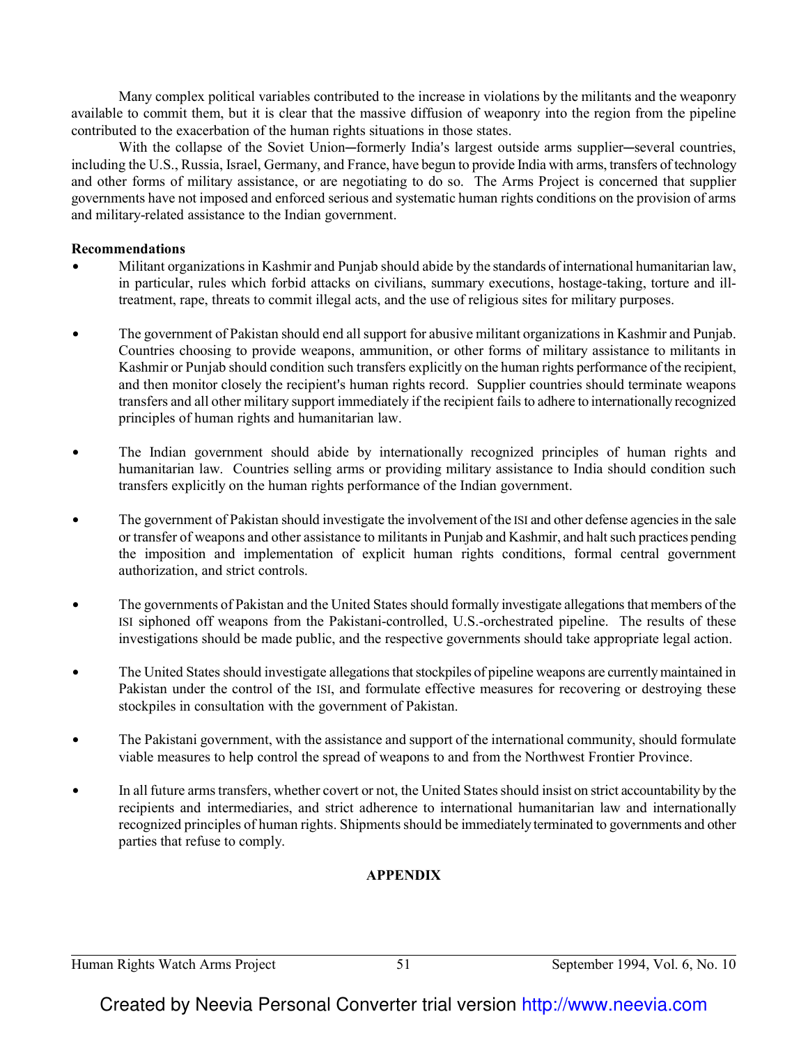Many complex political variables contributed to the increase in violations by the militants and the weaponry available to commit them, but it is clear that the massive diffusion of weaponry into the region from the pipeline contributed to the exacerbation of the human rights situations in those states.

With the collapse of the Soviet Union-formerly India's largest outside arms supplier-several countries, including the U.S., Russia, Israel, Germany, and France, have begun to provide India with arms, transfers of technology and other forms of military assistance, or are negotiating to do so. The Arms Project is concerned that supplier governments have not imposed and enforced serious and systematic human rights conditions on the provision of arms and military-related assistance to the Indian government.

#### **Recommendations**

- Militant organizations in Kashmir and Punjab should abide by the standards of international humanitarian law, in particular, rules which forbid attacks on civilians, summary executions, hostage-taking, torture and illtreatment, rape, threats to commit illegal acts, and the use of religious sites for military purposes.
- The government of Pakistan should end all support for abusive militant organizations in Kashmir and Punjab. Countries choosing to provide weapons, ammunition, or other forms of military assistance to militants in Kashmir or Punjab should condition such transfers explicitly on the human rights performance of the recipient, and then monitor closely the recipient's human rights record. Supplier countries should terminate weapons transfers and all other military support immediately if the recipient fails to adhere to internationally recognized principles of human rights and humanitarian law.
- The Indian government should abide by internationally recognized principles of human rights and humanitarian law. Countries selling arms or providing military assistance to India should condition such transfers explicitly on the human rights performance of the Indian government.
- The government of Pakistan should investigate the involvement of the ISI and other defense agencies in the sale or transfer of weapons and other assistance to militants in Punjab and Kashmir, and halt such practices pending the imposition and implementation of explicit human rights conditions, formal central government authorization, and strict controls.
- The governments of Pakistan and the United States should formally investigate allegations that members of the ISI siphoned off weapons from the Pakistani-controlled, U.S.-orchestrated pipeline. The results of these investigations should be made public, and the respective governments should take appropriate legal action.
- The United States should investigate allegations that stockpiles of pipeline weapons are currently maintained in Pakistan under the control of the ISI, and formulate effective measures for recovering or destroying these stockpiles in consultation with the government of Pakistan.
- The Pakistani government, with the assistance and support of the international community, should formulate viable measures to help control the spread of weapons to and from the Northwest Frontier Province.
- In all future arms transfers, whether covert or not, the United States should insist on strict accountability by the recipients and intermediaries, and strict adherence to international humanitarian law and internationally recognized principles of human rights. Shipments should be immediately terminated to governments and other parties that refuse to comply.

## **APPENDIX**

Human Rights Watch Arms Project 51 September 1994, Vol. 6, No. 10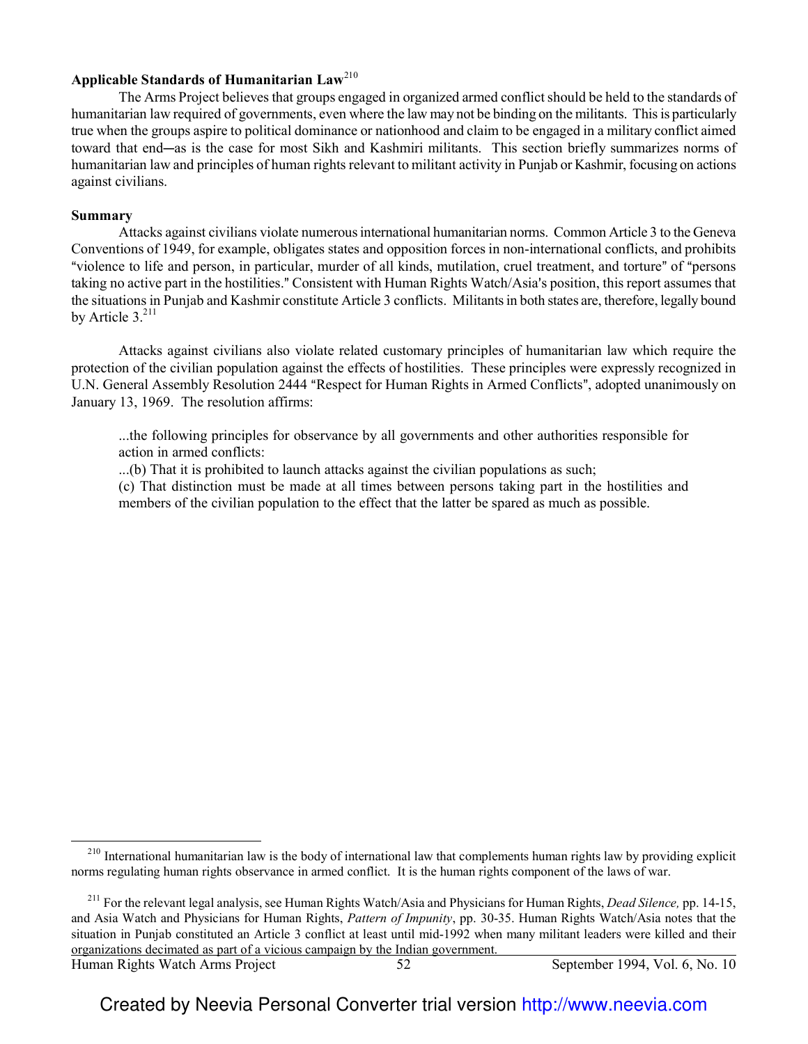## **Applicable Standards of Humanitarian Law**<sup>210</sup>

The Arms Project believes that groups engaged in organized armed conflict should be held to the standards of humanitarian law required of governments, even where the law may not be binding on the militants. This is particularly true when the groups aspire to political dominance or nationhood and claim to be engaged in a military conflict aimed toward that end-as is the case for most Sikh and Kashmiri militants. This section briefly summarizes norms of humanitarian law and principles of human rights relevant to militant activity in Punjab or Kashmir, focusing on actions against civilians.

#### **Summary**

Attacks against civilians violate numerous international humanitarian norms. Common Article 3 to the Geneva Conventions of 1949, for example, obligates states and opposition forces in non-international conflicts, and prohibits "violence to life and person, in particular, murder of all kinds, mutilation, cruel treatment, and torture" of "persons taking no active part in the hostilities." Consistent with Human Rights Watch/Asia's position, this report assumes that the situations in Punjab and Kashmir constitute Article 3 conflicts. Militants in both states are, therefore, legally bound by Article  $3^{211}$ 

Attacks against civilians also violate related customary principles of humanitarian law which require the protection of the civilian population against the effects of hostilities. These principles were expressly recognized in U.N. General Assembly Resolution 2444 "Respect for Human Rights in Armed Conflicts", adopted unanimously on January 13, 1969. The resolution affirms:

...the following principles for observance by all governments and other authorities responsible for action in armed conflicts:

...(b) That it is prohibited to launch attacks against the civilian populations as such;

(c) That distinction must be made at all times between persons taking part in the hostilities and members of the civilian population to the effect that the latter be spared as much as possible.

 $\overline{\phantom{0}}$ 

 $210$  International humanitarian law is the body of international law that complements human rights law by providing explicit norms regulating human rights observance in armed conflict. It is the human rights component of the laws of war.

<sup>211</sup> For the relevant legal analysis, see Human Rights Watch/Asia and Physicians for Human Rights, *Dead Silence,* pp. 14-15, and Asia Watch and Physicians for Human Rights, *Pattern of Impunity*, pp. 30-35. Human Rights Watch/Asia notes that the situation in Punjab constituted an Article 3 conflict at least until mid-1992 when many militant leaders were killed and their organizations decimated as part of a vicious campaign by the Indian government.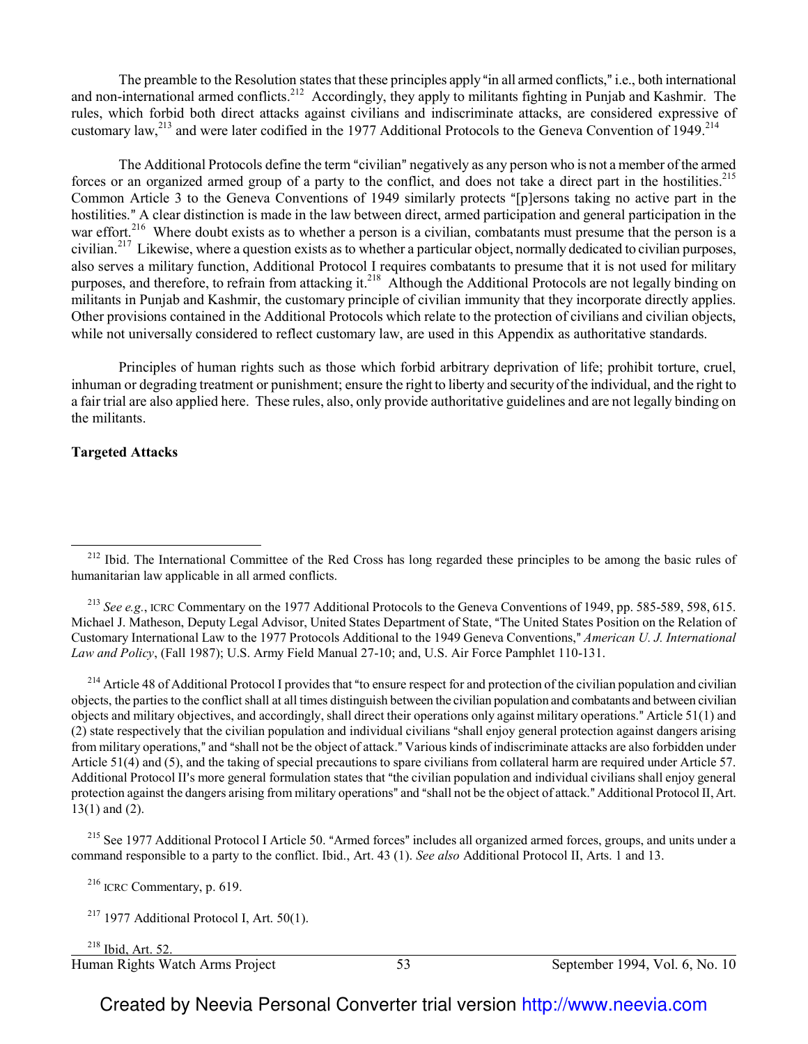The preamble to the Resolution states that these principles apply "in all armed conflicts," i.e., both international and non-international armed conflicts.<sup>212</sup> Accordingly, they apply to militants fighting in Punjab and Kashmir. The rules, which forbid both direct attacks against civilians and indiscriminate attacks, are considered expressive of customary law,<sup>213</sup> and were later codified in the 1977 Additional Protocols to the Geneva Convention of 1949.<sup>214</sup>

The Additional Protocols define the term "civilian" negatively as any person who is not a member of the armed forces or an organized armed group of a party to the conflict, and does not take a direct part in the hostilities.<sup>215</sup> Common Article 3 to the Geneva Conventions of 1949 similarly protects "[p]ersons taking no active part in the hostilities." A clear distinction is made in the law between direct, armed participation and general participation in the war effort.<sup>216</sup> Where doubt exists as to whether a person is a civilian, combatants must presume that the person is a civilian.<sup>217</sup> Likewise, where a question exists as to whether a particular object, normally dedicated to civilian purposes, also serves a military function, Additional Protocol I requires combatants to presume that it is not used for military purposes, and therefore, to refrain from attacking it.<sup>218</sup> Although the Additional Protocols are not legally binding on militants in Punjab and Kashmir, the customary principle of civilian immunity that they incorporate directly applies. Other provisions contained in the Additional Protocols which relate to the protection of civilians and civilian objects, while not universally considered to reflect customary law, are used in this Appendix as authoritative standards.

Principles of human rights such as those which forbid arbitrary deprivation of life; prohibit torture, cruel, inhuman or degrading treatment or punishment; ensure the right to liberty and security of the individual, and the right to a fair trial are also applied here. These rules, also, only provide authoritative guidelines and are not legally binding on the militants.

#### **Targeted Attacks**

 $\overline{\phantom{0}}$ 

<sup>213</sup> *See e.g.*, ICRC Commentary on the 1977 Additional Protocols to the Geneva Conventions of 1949, pp. 585-589, 598, 615. Michael J. Matheson, Deputy Legal Advisor, United States Department of State, "The United States Position on the Relation of Customary International Law to the 1977 Protocols Additional to the 1949 Geneva Conventions," American U. J. International *Law and Policy*, (Fall 1987); U.S. Army Field Manual 27-10; and, U.S. Air Force Pamphlet 110-131.

<sup>214</sup> Article 48 of Additional Protocol I provides that "to ensure respect for and protection of the civilian population and civilian objects, the parties to the conflict shall at all times distinguish between the civilian population and combatants and between civilian objects and military objectives, and accordingly, shall direct their operations only against military operations." Article  $51(1)$  and  $(2)$  state respectively that the civilian population and individual civilians "shall enjoy general protection against dangers arising from military operations," and "shall not be the object of attack." Various kinds of indiscriminate attacks are also forbidden under Article 51(4) and (5), and the taking of special precautions to spare civilians from collateral harm are required under Article 57. Additional Protocol II's more general formulation states that "the civilian population and individual civilians shall enjoy general protection against the dangers arising from military operations" and "shall not be the object of attack." Additional Protocol II, Art. 13(1) and (2).

<sup>215</sup> See 1977 Additional Protocol I Article 50. "Armed forces" includes all organized armed forces, groups, and units under a command responsible to a party to the conflict. Ibid., Art. 43 (1). *See also* Additional Protocol II, Arts. 1 and 13.

<sup>216</sup> ICRC Commentary, p. 619.

 $2^{17}$  1977 Additional Protocol I, Art. 50(1).

l <sup>218</sup> Ibid, Art. 52.

Human Rights Watch Arms Project 53 September 1994, Vol. 6, No. 10

<sup>&</sup>lt;sup>212</sup> Ibid. The International Committee of the Red Cross has long regarded these principles to be among the basic rules of humanitarian law applicable in all armed conflicts.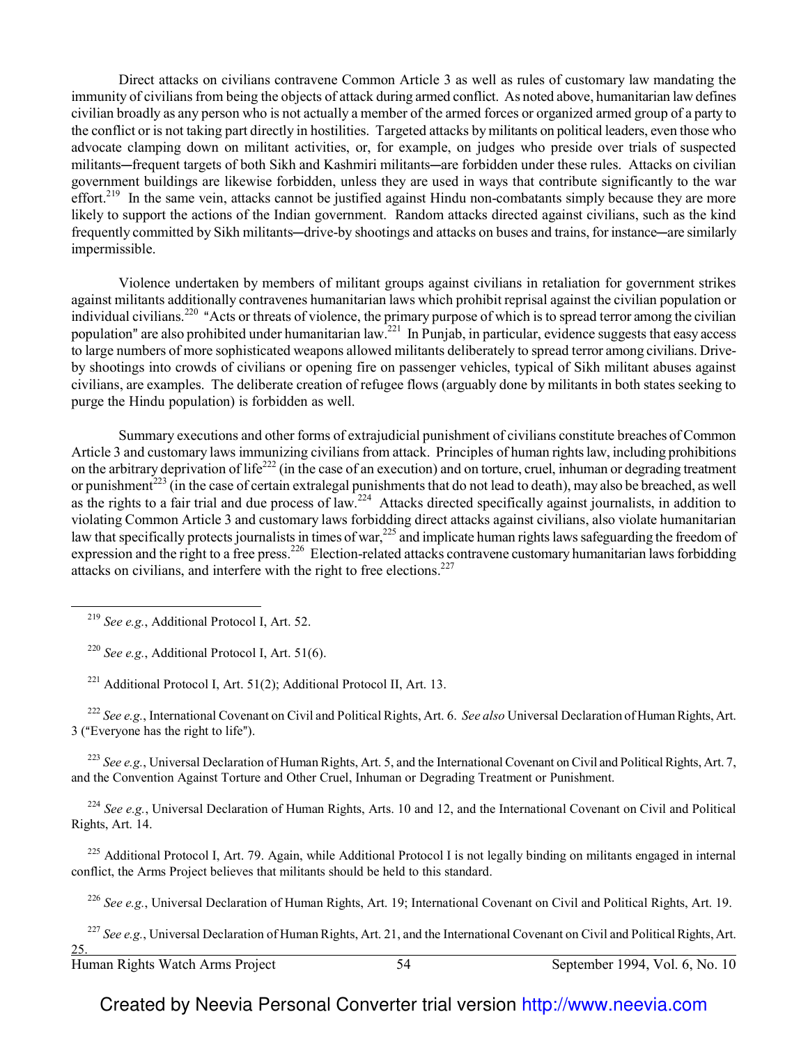Direct attacks on civilians contravene Common Article 3 as well as rules of customary law mandating the immunity of civilians from being the objects of attack during armed conflict. As noted above, humanitarian law defines civilian broadly as any person who is not actually a member of the armed forces or organized armed group of a party to the conflict or is not taking part directly in hostilities. Targeted attacks by militants on political leaders, even those who advocate clamping down on militant activities, or, for example, on judges who preside over trials of suspected militants—frequent targets of both Sikh and Kashmiri militants—are forbidden under these rules. Attacks on civilian government buildings are likewise forbidden, unless they are used in ways that contribute significantly to the war effort.<sup>219</sup> In the same vein, attacks cannot be justified against Hindu non-combatants simply because they are more likely to support the actions of the Indian government. Random attacks directed against civilians, such as the kind frequently committed by Sikh militants—drive-by shootings and attacks on buses and trains, for instance—are similarly impermissible.

Violence undertaken by members of militant groups against civilians in retaliation for government strikes against militants additionally contravenes humanitarian laws which prohibit reprisal against the civilian population or individual civilians.<sup>220</sup> "Acts or threats of violence, the primary purpose of which is to spread terror among the civilian population" are also prohibited under humanitarian law.<sup>221</sup> In Punjab, in particular, evidence suggests that easy access to large numbers of more sophisticated weapons allowed militants deliberately to spread terror among civilians. Driveby shootings into crowds of civilians or opening fire on passenger vehicles, typical of Sikh militant abuses against civilians, are examples. The deliberate creation of refugee flows (arguably done by militants in both states seeking to purge the Hindu population) is forbidden as well.

Summary executions and other forms of extrajudicial punishment of civilians constitute breaches of Common Article 3 and customary laws immunizing civilians from attack. Principles of human rights law, including prohibitions on the arbitrary deprivation of life<sup>222</sup> (in the case of an execution) and on torture, cruel, inhuman or degrading treatment or punishment<sup>223</sup> (in the case of certain extralegal punishments that do not lead to death), may also be breached, as well as the rights to a fair trial and due process of law.<sup>224</sup> Attacks directed specifically against journalists, in addition to violating Common Article 3 and customary laws forbidding direct attacks against civilians, also violate humanitarian law that specifically protects journalists in times of war,<sup>225</sup> and implicate human rights laws safeguarding the freedom of expression and the right to a free press.<sup>226</sup> Election-related attacks contravene customary humanitarian laws forbidding attacks on civilians, and interfere with the right to free elections.<sup>227</sup>

 $\overline{\phantom{0}}$ 

<sup>220</sup> *See e.g.*, Additional Protocol I, Art. 51(6).

<sup>221</sup> Additional Protocol I, Art. 51(2); Additional Protocol II, Art. 13.

<sup>222</sup> *See e.g.*, International Covenant on Civil and Political Rights, Art. 6. *See also* Universal Declaration of Human Rights, Art. 3 ("Everyone has the right to life").

<sup>223</sup> *See e.g.*, Universal Declaration of Human Rights, Art. 5, and the International Covenant on Civil and Political Rights, Art. 7, and the Convention Against Torture and Other Cruel, Inhuman or Degrading Treatment or Punishment.

<sup>224</sup> See e.g., Universal Declaration of Human Rights, Arts. 10 and 12, and the International Covenant on Civil and Political Rights, Art. 14.

 $^{225}$  Additional Protocol I, Art. 79. Again, while Additional Protocol I is not legally binding on militants engaged in internal conflict, the Arms Project believes that militants should be held to this standard.

<sup>226</sup> *See e.g.*, Universal Declaration of Human Rights, Art. 19; International Covenant on Civil and Political Rights, Art. 19.

<sup>227</sup> See e.g., Universal Declaration of Human Rights, Art. 21, and the International Covenant on Civil and Political Rights, Art.

<sup>219</sup> *See e.g.*, Additional Protocol I, Art. 52.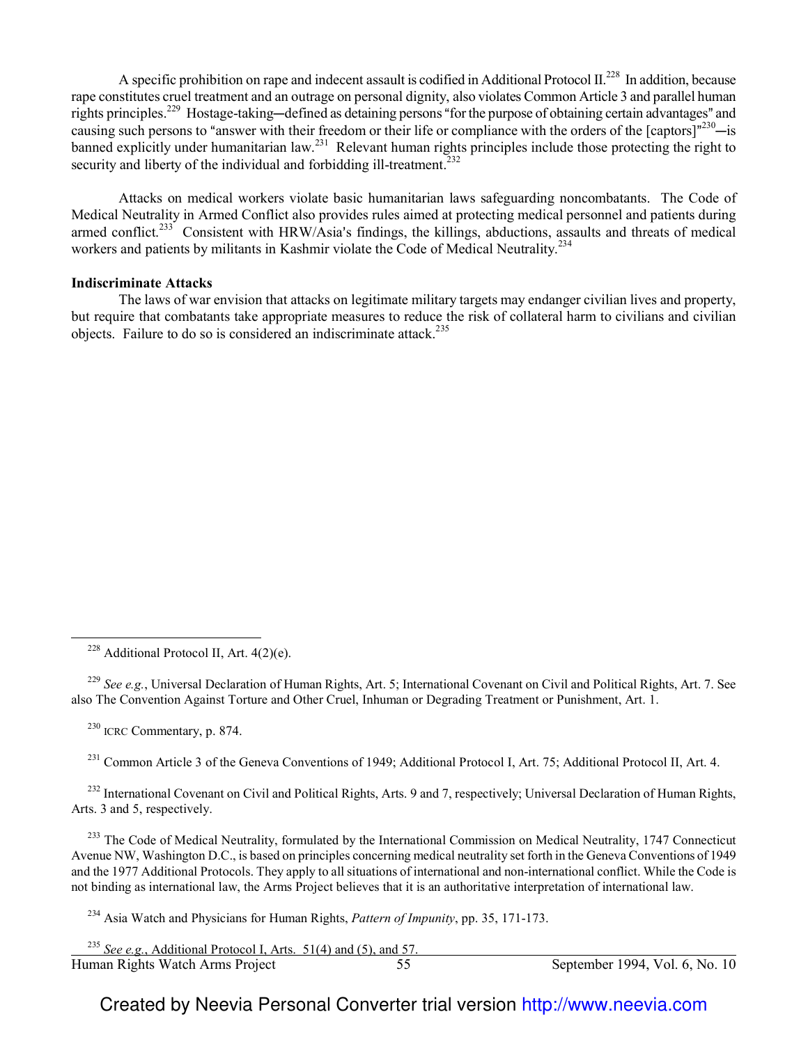A specific prohibition on rape and indecent assault is codified in Additional Protocol  $II^{228}$  In addition, because rape constitutes cruel treatment and an outrage on personal dignity, also violates Common Article 3 and parallel human rights principles.<sup>229</sup> Hostage-taking—defined as detaining persons "for the purpose of obtaining certain advantages" and causing such persons to "answer with their freedom or their life or compliance with the orders of the  $[capors]$ "230—is banned explicitly under humanitarian law.<sup>231</sup> Relevant human rights principles include those protecting the right to security and liberty of the individual and forbidding ill-treatment.<sup>232</sup>

Attacks on medical workers violate basic humanitarian laws safeguarding noncombatants. The Code of Medical Neutrality in Armed Conflict also provides rules aimed at protecting medical personnel and patients during armed conflict.<sup>233</sup> Consistent with HRW/Asia's findings, the killings, abductions, assaults and threats of medical workers and patients by militants in Kashmir violate the Code of Medical Neutrality.<sup>234</sup>

#### **Indiscriminate Attacks**

The laws of war envision that attacks on legitimate military targets may endanger civilian lives and property, but require that combatants take appropriate measures to reduce the risk of collateral harm to civilians and civilian objects. Failure to do so is considered an indiscriminate attack.<sup>235</sup>

<sup>229</sup> *See e.g.*, Universal Declaration of Human Rights, Art. 5; International Covenant on Civil and Political Rights, Art. 7. See also The Convention Against Torture and Other Cruel, Inhuman or Degrading Treatment or Punishment, Art. 1.

<sup>230</sup> ICRC Commentary, p. 874.

 $\overline{\phantom{0}}$ 

<sup>231</sup> Common Article 3 of the Geneva Conventions of 1949; Additional Protocol I, Art. 75; Additional Protocol II, Art. 4.

<sup>232</sup> International Covenant on Civil and Political Rights, Arts. 9 and 7, respectively; Universal Declaration of Human Rights, Arts. 3 and 5, respectively.

<sup>233</sup> The Code of Medical Neutrality, formulated by the International Commission on Medical Neutrality, 1747 Connecticut Avenue NW, Washington D.C., is based on principles concerning medical neutrality set forth in the Geneva Conventions of 1949 and the 1977 Additional Protocols. They apply to all situations of international and non-international conflict. While the Code is not binding as international law, the Arms Project believes that it is an authoritative interpretation of international law.

<sup>234</sup> Asia Watch and Physicians for Human Rights, *Pattern of Impunity*, pp. 35, 171-173.

Human Rights Watch Arms Project 55 September 1994, Vol. 6, No. 10 <sup>235</sup> *See e.g.*, Additional Protocol I, Arts. 51(4) and (5), and 57.

 $228$  Additional Protocol II, Art. 4(2)(e).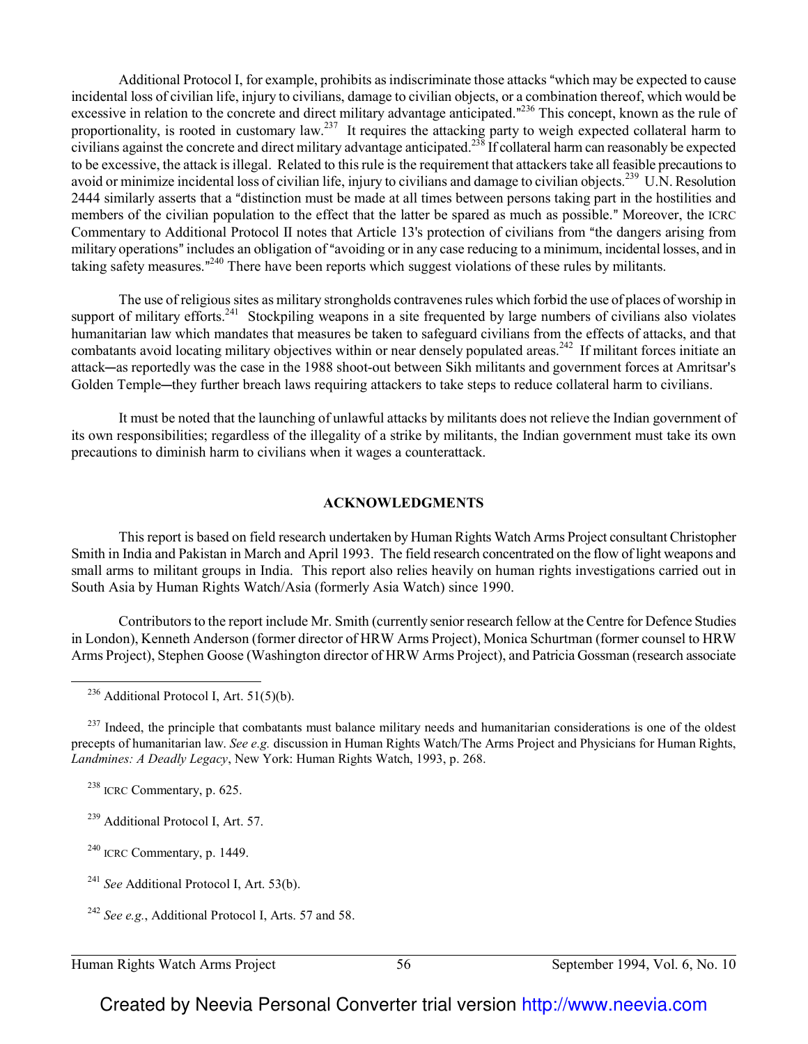Additional Protocol I, for example, prohibits as indiscriminate those attacks "which may be expected to cause incidental loss of civilian life, injury to civilians, damage to civilian objects, or a combination thereof, which would be excessive in relation to the concrete and direct military advantage anticipated."<sup>236</sup> This concept, known as the rule of proportionality, is rooted in customary law.<sup>237</sup> It requires the attacking party to weigh expected collateral harm to civilians against the concrete and direct military advantage anticipated.<sup>238</sup> If collateral harm can reasonably be expected to be excessive, the attack is illegal. Related to this rule is the requirement that attackers take all feasible precautions to avoid or minimize incidental loss of civilian life, injury to civilians and damage to civilian objects.<sup>239</sup> U.N. Resolution 2444 similarly asserts that a "distinction must be made at all times between persons taking part in the hostilities and members of the civilian population to the effect that the latter be spared as much as possible." Moreover, the ICRC Commentary to Additional Protocol II notes that Article 13's protection of civilians from "the dangers arising from military operations" includes an obligation of "avoiding or in any case reducing to a minimum, incidental losses, and in taking safety measures."<sup>240</sup> There have been reports which suggest violations of these rules by militants.

The use of religious sites as military strongholds contravenes rules which forbid the use of places of worship in support of military efforts.<sup>241</sup> Stockpiling weapons in a site frequented by large numbers of civilians also violates humanitarian law which mandates that measures be taken to safeguard civilians from the effects of attacks, and that combatants avoid locating military objectives within or near densely populated areas.<sup>242</sup> If militant forces initiate an attack—as reportedly was the case in the 1988 shoot-out between Sikh militants and government forces at Amritsar's Golden Temple—they further breach laws requiring attackers to take steps to reduce collateral harm to civilians.

It must be noted that the launching of unlawful attacks by militants does not relieve the Indian government of its own responsibilities; regardless of the illegality of a strike by militants, the Indian government must take its own precautions to diminish harm to civilians when it wages a counterattack.

#### **ACKNOWLEDGMENTS**

This report is based on field research undertaken by Human Rights Watch Arms Project consultant Christopher Smith in India and Pakistan in March and April 1993. The field research concentrated on the flow of light weapons and small arms to militant groups in India. This report also relies heavily on human rights investigations carried out in South Asia by Human Rights Watch/Asia (formerly Asia Watch) since 1990.

Contributors to the report include Mr. Smith (currently senior research fellow at the Centre for Defence Studies in London), Kenneth Anderson (former director of HRW Arms Project), Monica Schurtman (former counsel to HRW Arms Project), Stephen Goose (Washington director of HRW Arms Project), and Patricia Gossman (research associate

 $^{237}$  Indeed, the principle that combatants must balance military needs and humanitarian considerations is one of the oldest precepts of humanitarian law. *See e.g.* discussion in Human Rights Watch/The Arms Project and Physicians for Human Rights, *Landmines: A Deadly Legacy*, New York: Human Rights Watch, 1993, p. 268.

<sup>238</sup> ICRC Commentary, p. 625.

 $\overline{\phantom{0}}$ 

<sup>239</sup> Additional Protocol I, Art. 57.

 $240$  ICRC Commentary, p. 1449.

<sup>241</sup> See Additional Protocol I, Art. 53(b).

<sup>242</sup> *See e.g.*, Additional Protocol I, Arts. 57 and 58.

 $^{236}$  Additional Protocol I, Art. 51(5)(b).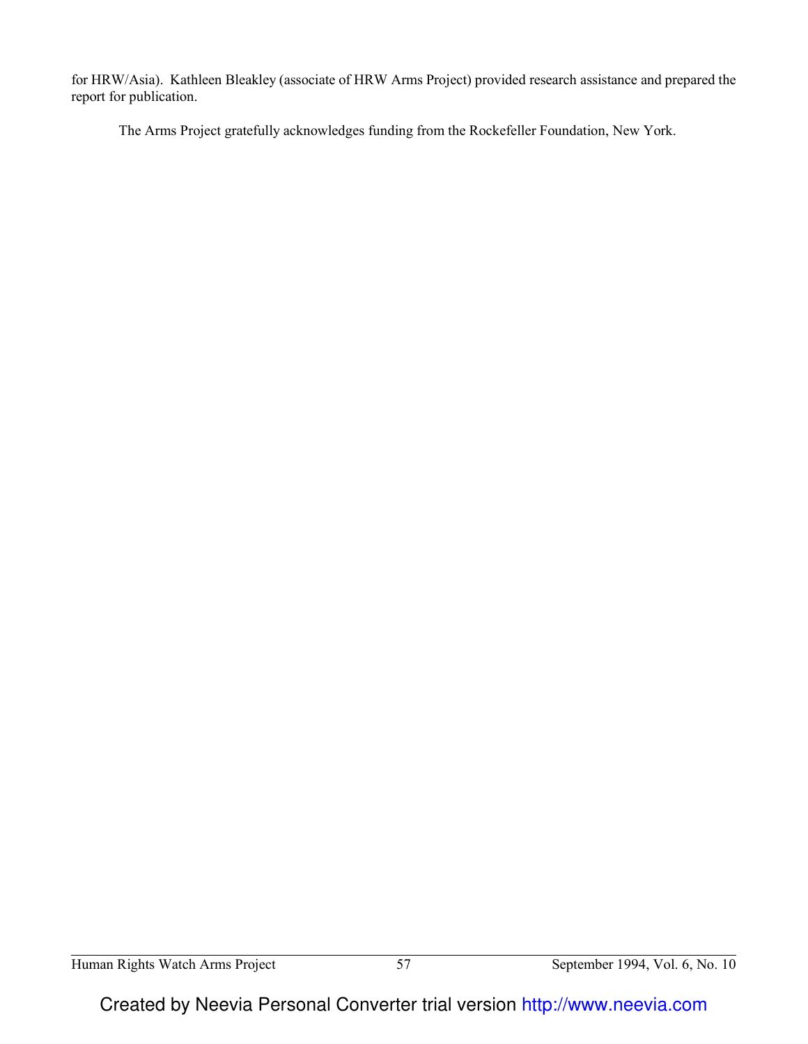for HRW/Asia). Kathleen Bleakley (associate of HRW Arms Project) provided research assistance and prepared the report for publication.

The Arms Project gratefully acknowledges funding from the Rockefeller Foundation, New York.